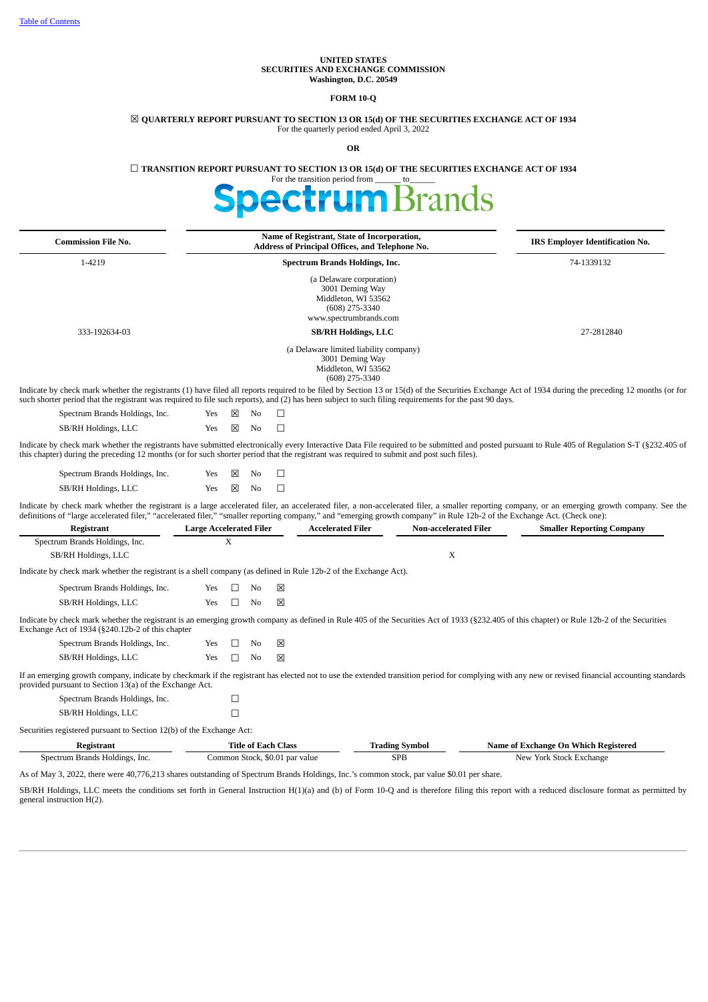#### **UNITED STATES SECURITIES AND EXCHANGE COMMISSION Washington, D.C. 20549**

**FORM 10-Q**

☒ **QUARTERLY REPORT PURSUANT TO SECTION 13 OR 15(d) OF THE SECURITIES EXCHANGE ACT OF 1934**

For the quarterly period ended April 3, 2022

**OR**

☐ **TRANSITION REPORT PURSUANT TO SECTION 13 OR 15(d) OF THE SECURITIES EXCHANGE ACT OF 1934**

# Specification period from Brands

| <b>Commission File No.</b>                                                                                                                         |                                |        |    | Name of Registrant, State of Incorporation,<br>Address of Principal Offices, and Telephone No. | <b>IRS Employer Identification No.</b>                                                                                                                                                                                                                                                                                                                                                                                                  |                                      |
|----------------------------------------------------------------------------------------------------------------------------------------------------|--------------------------------|--------|----|------------------------------------------------------------------------------------------------|-----------------------------------------------------------------------------------------------------------------------------------------------------------------------------------------------------------------------------------------------------------------------------------------------------------------------------------------------------------------------------------------------------------------------------------------|--------------------------------------|
| 1-4219                                                                                                                                             |                                |        |    |                                                                                                | Spectrum Brands Holdings, Inc.                                                                                                                                                                                                                                                                                                                                                                                                          | 74-1339132                           |
|                                                                                                                                                    |                                |        |    |                                                                                                | (a Delaware corporation)<br>3001 Deming Way<br>Middleton, WI 53562<br>$(608)$ 275-3340<br>www.spectrumbrands.com                                                                                                                                                                                                                                                                                                                        |                                      |
| 333-192634-03                                                                                                                                      |                                |        |    |                                                                                                | <b>SB/RH Holdings, LLC</b>                                                                                                                                                                                                                                                                                                                                                                                                              | 27-2812840                           |
|                                                                                                                                                    |                                |        |    |                                                                                                | (a Delaware limited liability company)<br>3001 Deming Way<br>Middleton, WI 53562<br>(608) 275-3340                                                                                                                                                                                                                                                                                                                                      |                                      |
|                                                                                                                                                    |                                |        |    |                                                                                                | Indicate by check mark whether the registrants (1) have filed all reports required to be filed by Section 13 or 15(d) of the Securities Exchange Act of 1934 during the preceding 12 months (or for<br>such shorter period that the registrant was required to file such reports), and (2) has been subject to such filing requirements for the past 90 days.                                                                           |                                      |
| Spectrum Brands Holdings, Inc.                                                                                                                     | Yes                            | 冈      | No | $\Box$                                                                                         |                                                                                                                                                                                                                                                                                                                                                                                                                                         |                                      |
| SB/RH Holdings, LLC                                                                                                                                | Yes                            | ⊠      | No | □                                                                                              |                                                                                                                                                                                                                                                                                                                                                                                                                                         |                                      |
|                                                                                                                                                    |                                |        |    |                                                                                                | Indicate by check mark whether the registrants have submitted electronically every Interactive Data File required to be submitted and posted pursuant to Rule 405 of Regulation S-T (§232.405 of<br>this chapter) during the preceding 12 months (or for such shorter period that the registrant was required to submit and post such files).                                                                                           |                                      |
| Spectrum Brands Holdings, Inc.                                                                                                                     | Yes                            | ×      | No | □                                                                                              |                                                                                                                                                                                                                                                                                                                                                                                                                                         |                                      |
|                                                                                                                                                    |                                |        |    |                                                                                                |                                                                                                                                                                                                                                                                                                                                                                                                                                         |                                      |
| SB/RH Holdings, LLC                                                                                                                                | Yes                            | ⊠      | No | □                                                                                              |                                                                                                                                                                                                                                                                                                                                                                                                                                         |                                      |
| Registrant                                                                                                                                         | <b>Large Accelerated Filer</b> |        |    |                                                                                                | Indicate by check mark whether the registrant is a large accelerated filer, an accelerated filer, a non-accelerated filer, a smaller reporting company, or an emerging growth company. See the<br>definitions of "large accelerated filer," "accelerated filer," "smaller reporting company," and "emerging growth company" in Rule 12b-2 of the Exchange Act. (Check one):<br><b>Accelerated Filer</b><br><b>Non-accelerated Filer</b> | <b>Smaller Reporting Company</b>     |
| Spectrum Brands Holdings, Inc.<br>SB/RH Holdings, LLC                                                                                              |                                | X      |    |                                                                                                | X                                                                                                                                                                                                                                                                                                                                                                                                                                       |                                      |
|                                                                                                                                                    |                                |        |    |                                                                                                |                                                                                                                                                                                                                                                                                                                                                                                                                                         |                                      |
| Indicate by check mark whether the registrant is a shell company (as defined in Rule 12b-2 of the Exchange Act).<br>Spectrum Brands Holdings, Inc. | Yes                            | $\Box$ | No | X                                                                                              |                                                                                                                                                                                                                                                                                                                                                                                                                                         |                                      |
| SB/RH Holdings, LLC                                                                                                                                | Yes                            | $\Box$ | No | 区                                                                                              |                                                                                                                                                                                                                                                                                                                                                                                                                                         |                                      |
|                                                                                                                                                    |                                |        |    |                                                                                                | Indicate by check mark whether the registrant is an emerging growth company as defined in Rule 405 of the Securities Act of 1933 (§232.405 of this chapter) or Rule 12b-2 of the Securities                                                                                                                                                                                                                                             |                                      |
| Exchange Act of 1934 (§240.12b-2 of this chapter<br>Spectrum Brands Holdings, Inc.                                                                 | Yes                            | □      | No | X                                                                                              |                                                                                                                                                                                                                                                                                                                                                                                                                                         |                                      |
| SB/RH Holdings, LLC                                                                                                                                | Yes                            | $\Box$ | No | 区                                                                                              |                                                                                                                                                                                                                                                                                                                                                                                                                                         |                                      |
| provided pursuant to Section 13(a) of the Exchange Act.                                                                                            |                                |        |    |                                                                                                | If an emerging growth company, indicate by checkmark if the registrant has elected not to use the extended transition period for complying with any new or revised financial accounting standards                                                                                                                                                                                                                                       |                                      |
| Spectrum Brands Holdings, Inc.                                                                                                                     |                                | □      |    |                                                                                                |                                                                                                                                                                                                                                                                                                                                                                                                                                         |                                      |
| SB/RH Holdings, LLC                                                                                                                                |                                | □      |    |                                                                                                |                                                                                                                                                                                                                                                                                                                                                                                                                                         |                                      |
| Securities registered pursuant to Section 12(b) of the Exchange Act:                                                                               |                                |        |    |                                                                                                |                                                                                                                                                                                                                                                                                                                                                                                                                                         |                                      |
| <b>Registrant</b>                                                                                                                                  |                                |        |    | <b>Title of Each Class</b>                                                                     | <b>Trading Symbol</b>                                                                                                                                                                                                                                                                                                                                                                                                                   | Name of Exchange On Which Registered |

SB/RH Holdings, LLC meets the conditions set forth in General Instruction H(1)(a) and (b) of Form 10-Q and is therefore filing this report with a reduced disclosure format as permitted by general instruction H(2).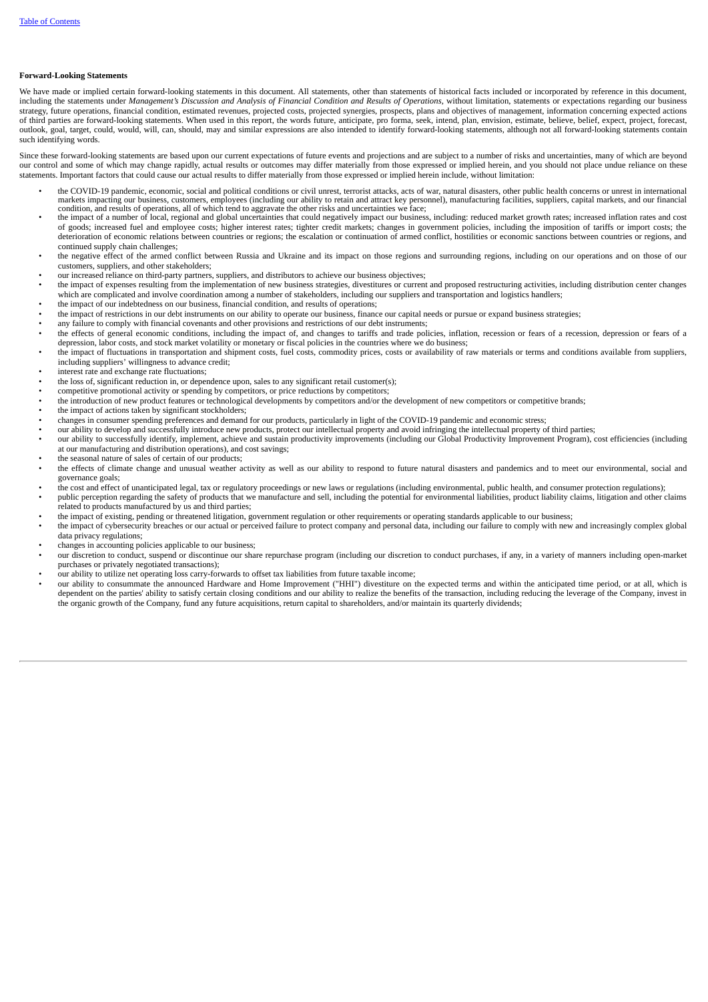## **Forward-Looking Statements**

We have made or implied certain forward-looking statements in this document. All statements, other than statements of historical facts included or incorporated by reference in this document, including the statements under Management's Discussion and Analysis of Financial Condition and Results of Operations. without limitation, statements or expectations regarding our business strategy, future operations, financial condition, estimated revenues, projected costs, projected synergies, prospects, plans and objectives of management, information concerning expected actions of third parties are forward-looking statements. When used in this report, the words future, anticipate, pro forma, seek, intend, plan, envision, estimate, believe, belief, expect, project, forecast, outlook, goal, target, could, would, will, can, should, may and similar expressions are also intended to identify forward-looking statements, although not all forward-looking statements contain such identifying words.

Since these forward-looking statements are based upon our current expectations of future events and projections and are subject to a number of risks and uncertainties, many of which are beyond our control and some of which may change rapidly, actual results or outcomes may differ materially from those expressed or implied herein, and you should not place undue reliance on these statements. Important factors that could cause our actual results to differ materially from those expressed or implied herein include, without limitation:

- the COVID-19 pandemic, economic, social and political conditions or civil unrest, terrorist attacks, acts of war, natural disasters, other public health concerns or unrest in international markets impacting our business, customers, employees (including our ability to retain and attract key personnel), manufacturing facilities, suppliers, capital markets, and our financial markets, and our financial
- condition, and results of operations, all of which tend to aggravate the other risks and uncertainties we face;<br>• the impact of a number of local, regional and global uncertainties that could negatively impact our business of goods; increased fuel and employee costs; higher interest rates; tighter credit markets; changes in government policies, including the imposition of tariffs or import costs; the deterioration of economic relations between countries or regions; the escalation or continuation of armed conflict, hostilities or economic sanctions between countries or regions, and continued supply chain challenges;
- the negative effect of the armed conflict between Russia and Ukraine and its impact on those regions and surrounding regions, including on our operations and on those of our customers, suppliers, and other stakeholders;
- our increased reliance on third-party partners, suppliers, and distributors to achieve our business objectives;
- the impact of expenses resulting from the implementation of new business strategies, divestitures or current and proposed restructuring activities, including distribution center changes which are complicated and involve coordination among a number of stakeholders, including our suppliers and transportation and logistics handlers;
- the impact of our indebtedness on our business, financial condition, and results of operations;
- the impact of restrictions in our debt instruments on our ability to operate our business, finance our capital needs or pursue or expand business strategies;
- any failure to comply with financial covenants and other provisions and restrictions of our debt instruments; the effects of general economic conditions, including the impact of, and changes to tariffs and trade policies, inflation, recession or fears of a recession, depression or fears of a
- depression, labor costs, and stock market volatility or monetary or fiscal policies in the countries where we do business; the impact of fluctuations in transportation and shipment costs, fuel costs, commodity prices, costs or availability of raw materials or terms and conditions available from suppliers, including suppliers' willingness to advance credit;
- interest rate and exchange rate fluctuations:
- the loss of, significant reduction in, or dependence upon, sales to any significant retail customer(s);
- competitive promotional activity or spending by competitors, or price reductions by competitors;
- the introduction of new product features or technological developments by competitors and/or the development of new competitors or competitive brands;
- the impact of actions taken by significant stockholders;
- changes in consumer spending preferences and demand for our products, particularly in light of the COVID-19 pandemic and economic stress;
- our ability to develop and successfully introduce new products, protect our intellectual property and avoid infringing the intellectual property of third parties;
- our ability to successfully identify, implement, achieve and sustain productivity improvements (including our Global Productivity Improvement Program), cost efficiencies (including at our manufacturing and distribution operations), and cost savings;
- the seasonal nature of sales of certain of our products;
- the effects of climate change and unusual weather activity as well as our ability to respond to future natural disasters and pandemics and to meet our environmental, social and governance goals;
- the cost and effect of unanticipated legal, tax or regulatory proceedings or new laws or regulations (including environmental, public health, and consumer protection regulations);
- public perception regarding the safety of products that we manufacture and sell, including the potential for environmental liabilities, product liability claims, litigation and other claims related to products manufactured by us and third parties;
- the impact of existing, pending or threatened litigation, government regulation or other requirements or operating standards applicable to our business;
- the impact of cybersecurity breaches or our actual or perceived failure to protect company and personal data, including our failure to comply with new and increasingly complex global data privacy regulations;
- changes in accounting policies applicable to our business;
- our discretion to conduct, suspend or discontinue our share repurchase program (including our discretion to conduct purchases, if any, in a variety of manners including open-market purchases or privately negotiated transactions);
- our ability to utilize net operating loss carry-forwards to offset tax liabilities from future taxable income;
- our ability to consummate the announced Hardware and Home Improvement ("HHI") divestiture on the expected terms and within the anticipated time period, or at all, which is dependent on the parties' ability to satisfy certain closing conditions and our ability to realize the benefits of the transaction, including reducing the leverage of the Company, invest in the organic growth of the Company, fund any future acquisitions, return capital to shareholders, and/or maintain its quarterly dividends;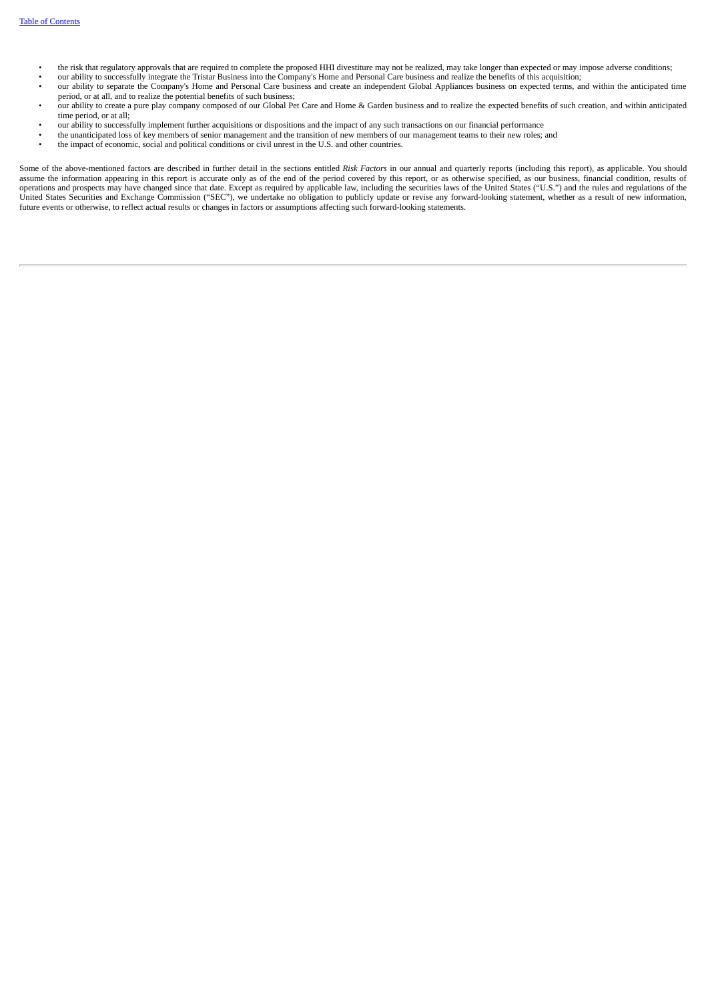- the risk that regulatory approvals that are required to complete the proposed HHI divestiture may not be realized, may take longer than expected or may impose adverse conditions;
- our ability to successfully integrate the Tristar Business into the Company's Home and Personal Care business and realize the benefits of this acquisition;
- our ability to separate the Company's Home and Personal Care business and create an independent Global Appliances business on expected terms, and within the anticipated time period, or at all, and to realize the potential benefits of such business;
- our ability to create a pure play company composed of our Global Pet Care and Home & Garden business and to realize the expected benefits of such creation, and within anticipated time period, or at all;
- our ability to successfully implement further acquisitions or dispositions and the impact of any such transactions on our financial performance
- the unanticipated loss of key members of senior management and the transition of new members of our management teams to their new roles; and
- the impact of economic, social and political conditions or civil unrest in the U.S. and other countries.

<span id="page-2-0"></span>Some of the above-mentioned factors are described in further detail in the sections entitled *Risk Factors* in our annual and quarterly reports (including this report), as applicable. You should assume the information appearing in this report is accurate only as of the end of the period covered by this report, or as otherwise specified, as our business, financial condition, results of assume the information appear operations and prospects may have changed since that date. Except as required by applicable law, including the securities laws of the United States ("U.S.") and the rules and regulations of the United States Securities and Exchange Commission ("SEC"), we undertake no obligation to publicly update or revise any forward-looking statement, whether as a result of new information, future events or otherwise, to reflect actual results or changes in factors or assumptions affecting such forward-looking statements.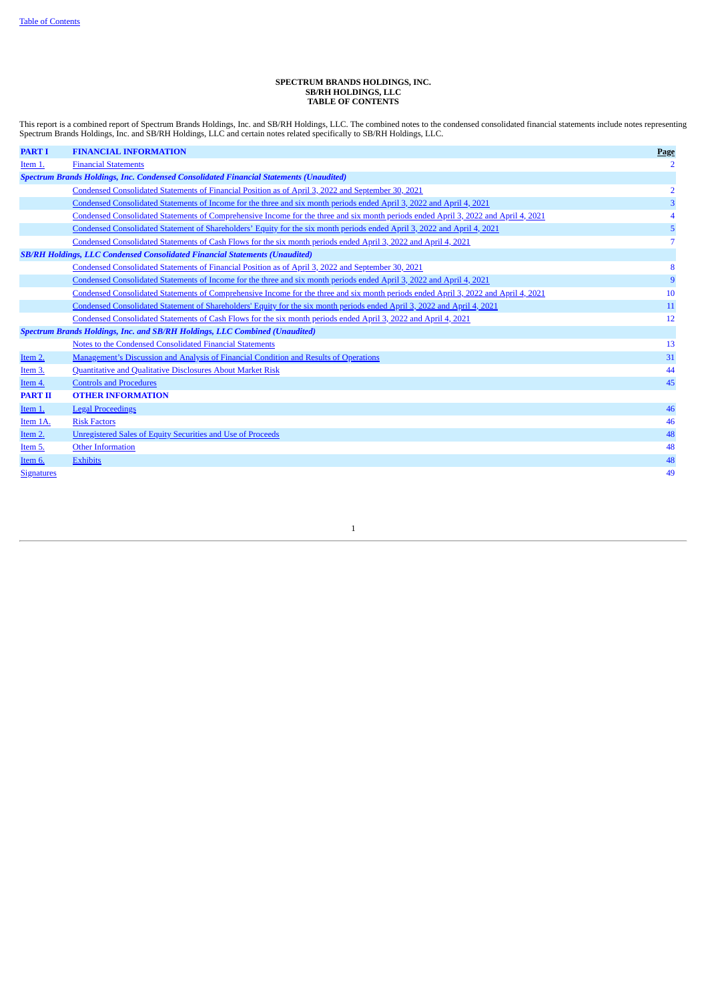#### **SPECTRUM BRANDS HOLDINGS, INC. SB/RH HOLDINGS, LLC TABLE OF CONTENTS**

This report is a combined report of Spectrum Brands Holdings, Inc. and SB/RH Holdings, LLC. The combined notes to the condensed consolidated financial statements include notes representing Spectrum Brands Holdings, Inc. and SB/RH Holdings, LLC and certain notes related specifically to SB/RH Holdings, LLC.

<span id="page-3-0"></span>

| <b>PART I</b>     | <b>FINANCIAL INFORMATION</b>                                                                                                        | Page           |
|-------------------|-------------------------------------------------------------------------------------------------------------------------------------|----------------|
| Item 1.           | <b>Financial Statements</b>                                                                                                         | $\overline{2}$ |
|                   | Spectrum Brands Holdings, Inc. Condensed Consolidated Financial Statements (Unaudited)                                              |                |
|                   | Condensed Consolidated Statements of Financial Position as of April 3, 2022 and September 30, 2021                                  | $\overline{2}$ |
|                   | Condensed Consolidated Statements of Income for the three and six month periods ended April 3, 2022 and April 4, 2021               | 3              |
|                   | Condensed Consolidated Statements of Comprehensive Income for the three and six month periods ended April 3, 2022 and April 4, 2021 |                |
|                   | Condensed Consolidated Statement of Shareholders' Equity for the six month periods ended April 3, 2022 and April 4, 2021            | 5              |
|                   | Condensed Consolidated Statements of Cash Flows for the six month periods ended April 3, 2022 and April 4, 2021                     | $\overline{7}$ |
|                   | <b>SB/RH Holdings, LLC Condensed Consolidated Financial Statements (Unaudited)</b>                                                  |                |
|                   | Condensed Consolidated Statements of Financial Position as of April 3, 2022 and September 30, 2021                                  | 8              |
|                   | Condensed Consolidated Statements of Income for the three and six month periods ended April 3, 2022 and April 4, 2021               | 9              |
|                   | Condensed Consolidated Statements of Comprehensive Income for the three and six month periods ended April 3, 2022 and April 4, 2021 | 10             |
|                   | Condensed Consolidated Statement of Shareholders' Equity for the six month periods ended April 3, 2022 and April 4, 2021            | 11             |
|                   | Condensed Consolidated Statements of Cash Flows for the six month periods ended April 3, 2022 and April 4, 2021                     | 12             |
|                   | Spectrum Brands Holdings, Inc. and SB/RH Holdings, LLC Combined (Unaudited)                                                         |                |
|                   | <b>Notes to the Condensed Consolidated Financial Statements</b>                                                                     | 13             |
| <u>Item 2.</u>    | Management's Discussion and Analysis of Financial Condition and Results of Operations                                               | 31             |
| Item 3.           | Quantitative and Qualitative Disclosures About Market Risk                                                                          | 44             |
| Item 4.           | <b>Controls and Procedures</b>                                                                                                      | 45             |
| <b>PART II</b>    | <b>OTHER INFORMATION</b>                                                                                                            |                |
| Item 1.           | <b>Legal Proceedings</b>                                                                                                            | 46             |
| Item 1A.          | <b>Risk Factors</b>                                                                                                                 | 46             |
| Item 2.           | Unregistered Sales of Equity Securities and Use of Proceeds                                                                         | 48             |
| Item 5.           | <b>Other Information</b>                                                                                                            | 48             |
| Item 6.           | <b>Exhibits</b>                                                                                                                     | 48             |
| <b>Signatures</b> |                                                                                                                                     | 49             |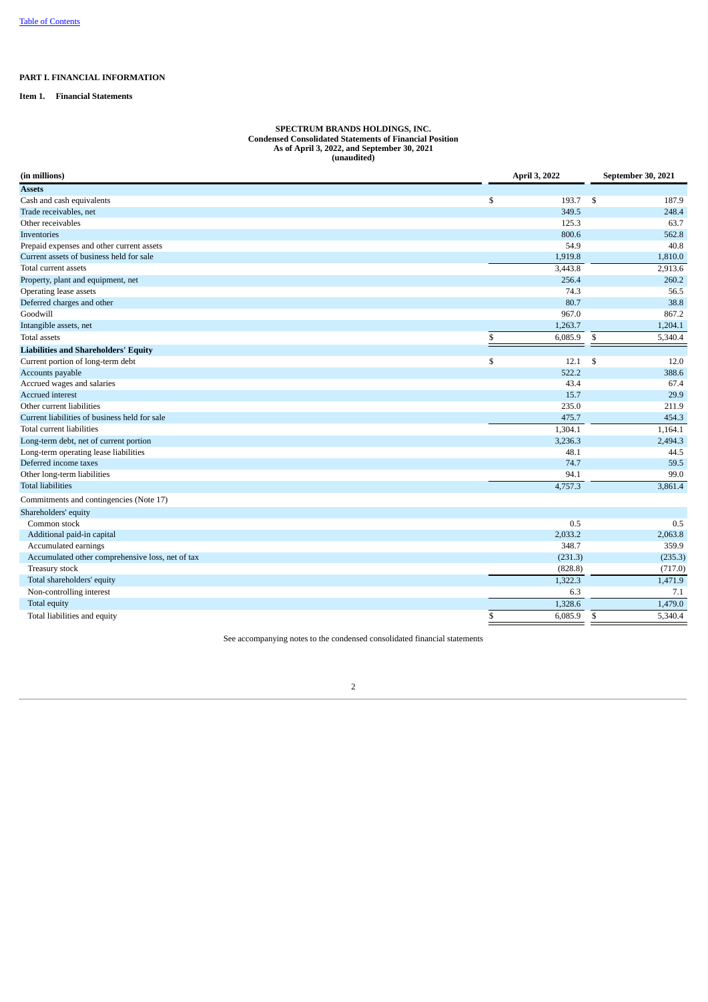# **PART I. FINANCIAL INFORMATION**

<span id="page-4-2"></span><span id="page-4-1"></span><span id="page-4-0"></span>**Item 1. Financial Statements**

#### **SPECTRUM BRANDS HOLDINGS, INC. Condensed Consolidated Statements of Financial Position As of April 3, 2022, and September 30, 2021 (unaudited)**

| (in millions)                                    |              | April 3, 2022 |    |         |  |  |
|--------------------------------------------------|--------------|---------------|----|---------|--|--|
| <b>Assets</b>                                    |              |               |    |         |  |  |
| Cash and cash equivalents                        | \$           | 193.7         | \$ | 187.9   |  |  |
| Trade receivables, net                           |              | 349.5         |    | 248.4   |  |  |
| Other receivables                                |              | 125.3         |    | 63.7    |  |  |
| <b>Inventories</b>                               |              | 800.6         |    | 562.8   |  |  |
| Prepaid expenses and other current assets        |              | 54.9          |    | 40.8    |  |  |
| Current assets of business held for sale         |              | 1,919.8       |    | 1,810.0 |  |  |
| Total current assets                             |              | 3,443.8       |    | 2,913.6 |  |  |
| Property, plant and equipment, net               |              | 256.4         |    | 260.2   |  |  |
| Operating lease assets                           |              | 74.3          |    | 56.5    |  |  |
| Deferred charges and other                       |              | 80.7          |    | 38.8    |  |  |
| Goodwill                                         |              | 967.0         |    | 867.2   |  |  |
| Intangible assets, net                           |              | 1,263.7       |    | 1,204.1 |  |  |
| Total assets                                     | \$           | 6,085.9       | \$ | 5,340.4 |  |  |
| <b>Liabilities and Shareholders' Equity</b>      |              |               |    |         |  |  |
| Current portion of long-term debt                | \$           | 12.1          | -S | 12.0    |  |  |
| Accounts payable                                 |              | 522.2         |    | 388.6   |  |  |
| Accrued wages and salaries                       |              | 43.4          |    | 67.4    |  |  |
| <b>Accrued</b> interest                          |              | 15.7          |    | 29.9    |  |  |
| Other current liabilities                        |              | 235.0         |    | 211.9   |  |  |
| Current liabilities of business held for sale    |              | 475.7         |    | 454.3   |  |  |
| Total current liabilities                        |              | 1,304.1       |    | 1,164.1 |  |  |
| Long-term debt, net of current portion           |              | 3,236.3       |    | 2,494.3 |  |  |
| Long-term operating lease liabilities            |              | 48.1          |    | 44.5    |  |  |
| Deferred income taxes                            |              | 74.7          |    | 59.5    |  |  |
| Other long-term liabilities                      |              | 94.1          |    | 99.0    |  |  |
| <b>Total liabilities</b>                         |              | 4,757.3       |    | 3,861.4 |  |  |
| Commitments and contingencies (Note 17)          |              |               |    |         |  |  |
| Shareholders' equity                             |              |               |    |         |  |  |
| Common stock                                     |              | 0.5           |    | 0.5     |  |  |
| Additional paid-in capital                       |              | 2,033.2       |    | 2,063.8 |  |  |
| Accumulated earnings                             |              | 348.7         |    | 359.9   |  |  |
| Accumulated other comprehensive loss, net of tax |              | (231.3)       |    | (235.3) |  |  |
| Treasury stock                                   |              | (828.8)       |    | (717.0) |  |  |
| Total shareholders' equity                       |              | 1,322.3       |    | 1,471.9 |  |  |
| Non-controlling interest                         |              | 6.3           |    | 7.1     |  |  |
| Total equity                                     |              | 1,328.6       |    | 1,479.0 |  |  |
| Total liabilities and equity                     | $\mathbb{S}$ | 6,085.9       | \$ | 5,340.4 |  |  |

<span id="page-4-3"></span>See accompanying notes to the condensed consolidated financial statements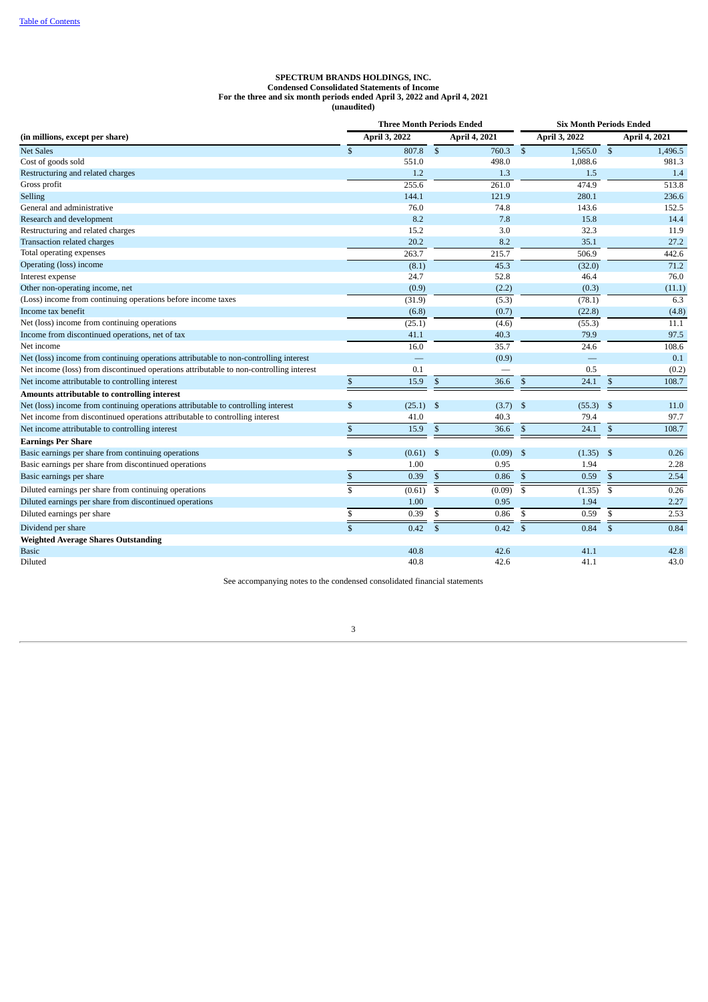## **SPECTRUM BRANDS HOLDINGS, INC. Condensed Consolidated Statements of Income For the three and six month periods ended April 3, 2022 and April 4, 2021 (unaudited)**

|                                                                                         |               | <b>Three Month Periods Ended</b> |                |               | <b>Six Month Periods Ended</b> |               |              |               |  |  |
|-----------------------------------------------------------------------------------------|---------------|----------------------------------|----------------|---------------|--------------------------------|---------------|--------------|---------------|--|--|
| (in millions, except per share)                                                         |               | April 3, 2022                    |                | April 4, 2021 |                                | April 3, 2022 |              | April 4, 2021 |  |  |
| <b>Net Sales</b>                                                                        | $\mathbb{S}$  | 807.8                            | $\mathbf{s}$   | 760.3         | $\mathbb{S}$                   | 1.565.0       | $\mathbf{s}$ | 1.496.5       |  |  |
| Cost of goods sold                                                                      |               | 551.0                            |                | 498.0         |                                | 1,088.6       |              | 981.3         |  |  |
| Restructuring and related charges                                                       |               | 1.2                              |                | 1.3           |                                | 1.5           |              | 1.4           |  |  |
| Gross profit                                                                            |               | 255.6                            |                | 261.0         |                                | 474.9         |              | 513.8         |  |  |
| Selling                                                                                 |               | 144.1                            |                | 121.9         |                                | 280.1         |              | 236.6         |  |  |
| General and administrative                                                              |               | 76.0                             |                | 74.8          |                                | 143.6         |              | 152.5         |  |  |
| Research and development                                                                |               | 8.2                              |                | 7.8           |                                | 15.8          |              | 14.4          |  |  |
| Restructuring and related charges                                                       |               | 15.2                             |                | 3.0           |                                | 32.3          |              | 11.9          |  |  |
| <b>Transaction related charges</b>                                                      |               | 20.2                             |                | 8.2           |                                | 35.1          |              | 27.2          |  |  |
| Total operating expenses                                                                |               | 263.7                            |                | 215.7         |                                | 506.9         |              | 442.6         |  |  |
| Operating (loss) income                                                                 |               | (8.1)                            |                | 45.3          |                                | (32.0)        |              | 71.2          |  |  |
| Interest expense                                                                        |               | 24.7                             |                | 52.8          |                                | 46.4          |              | 76.0          |  |  |
| Other non-operating income, net                                                         |               | (0.9)                            |                | (2.2)         |                                | (0.3)         |              | (11.1)        |  |  |
| (Loss) income from continuing operations before income taxes                            |               | (31.9)                           |                | (5.3)         |                                | (78.1)        |              | 6.3           |  |  |
| Income tax benefit                                                                      |               | (6.8)                            |                | (0.7)         |                                | (22.8)        |              | (4.8)         |  |  |
| Net (loss) income from continuing operations                                            |               | (25.1)                           |                | (4.6)         |                                | (55.3)        |              | 11.1          |  |  |
| Income from discontinued operations, net of tax                                         |               | 41.1                             |                | 40.3          |                                | 79.9          |              | 97.5          |  |  |
| Net income                                                                              |               | 16.0                             |                | 35.7          |                                | 24.6          |              | 108.6         |  |  |
| Net (loss) income from continuing operations attributable to non-controlling interest   |               | $\equiv$                         |                | (0.9)         |                                |               |              | 0.1           |  |  |
| Net income (loss) from discontinued operations attributable to non-controlling interest |               | 0.1                              |                |               |                                | 0.5           |              | (0.2)         |  |  |
| Net income attributable to controlling interest                                         | \$            | 15.9                             | $\mathfrak{s}$ | 36.6          | $\mathbb{S}$                   | 24.1          | $\mathbb{S}$ | 108.7         |  |  |
| Amounts attributable to controlling interest                                            |               |                                  |                |               |                                |               |              |               |  |  |
| Net (loss) income from continuing operations attributable to controlling interest       | $\mathbb{S}$  | (25.1)                           | - \$           | (3.7)         | \$                             | $(55.3)$ \$   |              | 11.0          |  |  |
| Net income from discontinued operations attributable to controlling interest            |               | 41.0                             |                | 40.3          |                                | 79.4          |              | 97.7          |  |  |
| Net income attributable to controlling interest                                         | \$            | 15.9                             | $\mathfrak{s}$ | 36.6          | $\mathbb{S}$                   | 24.1          | $\mathbb{S}$ | 108.7         |  |  |
| <b>Earnings Per Share</b>                                                               |               |                                  |                |               |                                |               |              |               |  |  |
| Basic earnings per share from continuing operations                                     | \$            | (0.61)                           | - \$           | (0.09)        | \$                             | $(1.35)$ \$   |              | 0.26          |  |  |
| Basic earnings per share from discontinued operations                                   |               | 1.00                             |                | 0.95          |                                | 1.94          |              | 2.28          |  |  |
| Basic earnings per share                                                                | $\mathbb{S}$  | 0.39                             | $\mathbb{S}$   | 0.86          | $\mathbb{S}$                   | 0.59          | $\mathbb{S}$ | 2.54          |  |  |
| Diluted earnings per share from continuing operations                                   | \$            | (0.61)                           | \$             | (0.09)        | \$                             | (1.35)        | \$           | 0.26          |  |  |
| Diluted earnings per share from discontinued operations                                 |               | 1.00                             |                | 0.95          |                                | 1.94          |              | 2.27          |  |  |
| Diluted earnings per share                                                              | \$            | 0.39                             | \$             | 0.86          | $\mathbb{S}$                   | 0.59          | \$           | 2.53          |  |  |
| Dividend per share                                                                      | $\mathbf{\$}$ | 0.42                             | \$             | 0.42          | $\mathbf{s}$                   | 0.84          | $\mathbb{S}$ | 0.84          |  |  |
| <b>Weighted Average Shares Outstanding</b>                                              |               |                                  |                |               |                                |               |              |               |  |  |
| <b>Basic</b>                                                                            |               | 40.8                             |                | 42.6          |                                | 41.1          |              | 42.8          |  |  |
| Diluted                                                                                 |               | 40.8                             |                | 42.6          |                                | 41.1          |              | 43.0          |  |  |

<span id="page-5-0"></span>See accompanying notes to the condensed consolidated financial statements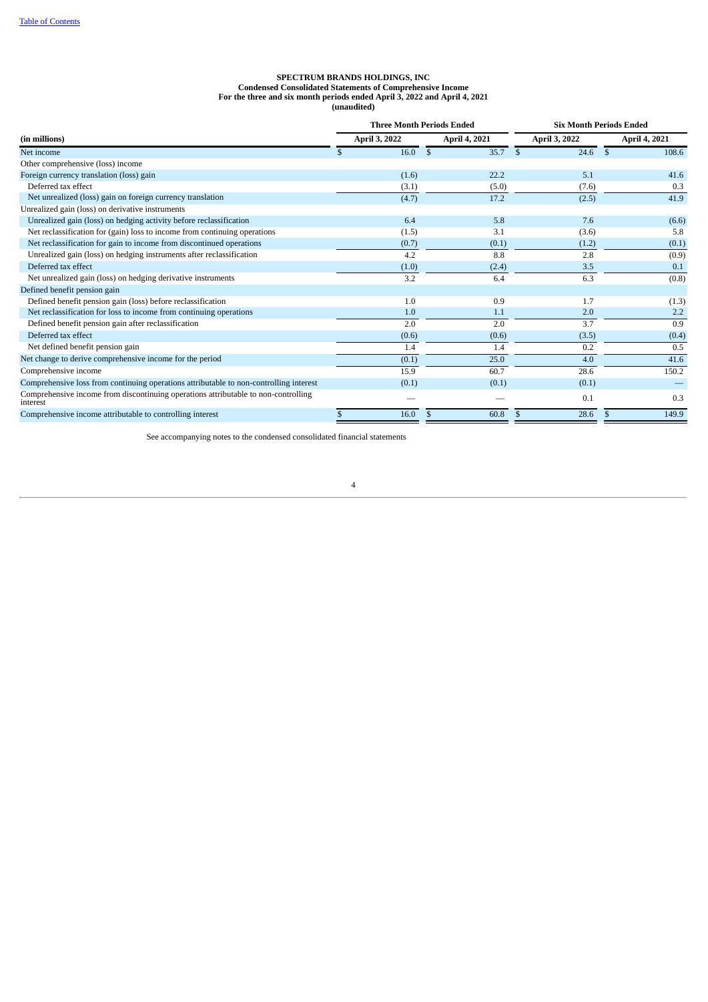#### **SPECTRUM BRANDS HOLDINGS, INC Condensed Consolidated Statements of Comprehensive Income For the three and six month periods ended April 3, 2022 and April 4, 2021 (unaudited)**

|                                                                                                | <b>Three Month Periods Ended</b> |              |               | <b>Six Month Periods Ended</b> |               |               |               |  |
|------------------------------------------------------------------------------------------------|----------------------------------|--------------|---------------|--------------------------------|---------------|---------------|---------------|--|
| (in millions)                                                                                  | April 3, 2022                    |              | April 4, 2021 |                                | April 3, 2022 |               | April 4, 2021 |  |
| Net income                                                                                     | \$<br>16.0                       | $\mathbf{s}$ | 35.7          | $\mathcal{S}$                  | 24.6          | $\mathcal{S}$ | 108.6         |  |
| Other comprehensive (loss) income                                                              |                                  |              |               |                                |               |               |               |  |
| Foreign currency translation (loss) gain                                                       | (1.6)                            |              | 22.2          |                                | 5.1           |               | 41.6          |  |
| Deferred tax effect                                                                            | (3.1)                            |              | (5.0)         |                                | (7.6)         |               | 0.3           |  |
| Net unrealized (loss) gain on foreign currency translation                                     | (4.7)                            |              | 17.2          |                                | (2.5)         |               | 41.9          |  |
| Unrealized gain (loss) on derivative instruments                                               |                                  |              |               |                                |               |               |               |  |
| Unrealized gain (loss) on hedging activity before reclassification                             | 6.4                              |              | 5.8           |                                | 7.6           |               | (6.6)         |  |
| Net reclassification for (gain) loss to income from continuing operations                      | (1.5)                            |              | 3.1           |                                | (3.6)         |               | 5.8           |  |
| Net reclassification for gain to income from discontinued operations                           | (0.7)                            |              | (0.1)         |                                | (1.2)         |               | (0.1)         |  |
| Unrealized gain (loss) on hedging instruments after reclassification                           | 4.2                              |              | 8.8           |                                | 2.8           |               | (0.9)         |  |
| Deferred tax effect                                                                            | (1.0)                            |              | (2.4)         |                                | 3.5           |               | 0.1           |  |
| Net unrealized gain (loss) on hedging derivative instruments                                   | 3.2                              |              | 6.4           |                                | 6.3           |               | (0.8)         |  |
| Defined benefit pension gain                                                                   |                                  |              |               |                                |               |               |               |  |
| Defined benefit pension gain (loss) before reclassification                                    | 1.0                              |              | 0.9           |                                | 1.7           |               | (1.3)         |  |
| Net reclassification for loss to income from continuing operations                             | 1.0                              |              | 1.1           |                                | 2.0           |               | 2.2           |  |
| Defined benefit pension gain after reclassification                                            | 2.0                              |              | 2.0           |                                | 3.7           |               | 0.9           |  |
| Deferred tax effect                                                                            | (0.6)                            |              | (0.6)         |                                | (3.5)         |               | (0.4)         |  |
| Net defined benefit pension gain                                                               | 1.4                              |              | 1.4           |                                | 0.2           |               | 0.5           |  |
| Net change to derive comprehensive income for the period                                       | (0.1)                            |              | 25.0          |                                | 4.0           |               | 41.6          |  |
| Comprehensive income                                                                           | 15.9                             |              | 60.7          |                                | 28.6          |               | 150.2         |  |
| Comprehensive loss from continuing operations attributable to non-controlling interest         | (0.1)                            |              | (0.1)         |                                | (0.1)         |               |               |  |
| Comprehensive income from discontinuing operations attributable to non-controlling<br>interest |                                  |              |               |                                | 0.1           |               | 0.3           |  |
| Comprehensive income attributable to controlling interest                                      | 16.0                             | S            | 60.8          | \$                             | 28.6          | $\mathbb{S}$  | 149.9         |  |

<span id="page-6-0"></span>See accompanying notes to the condensed consolidated financial statements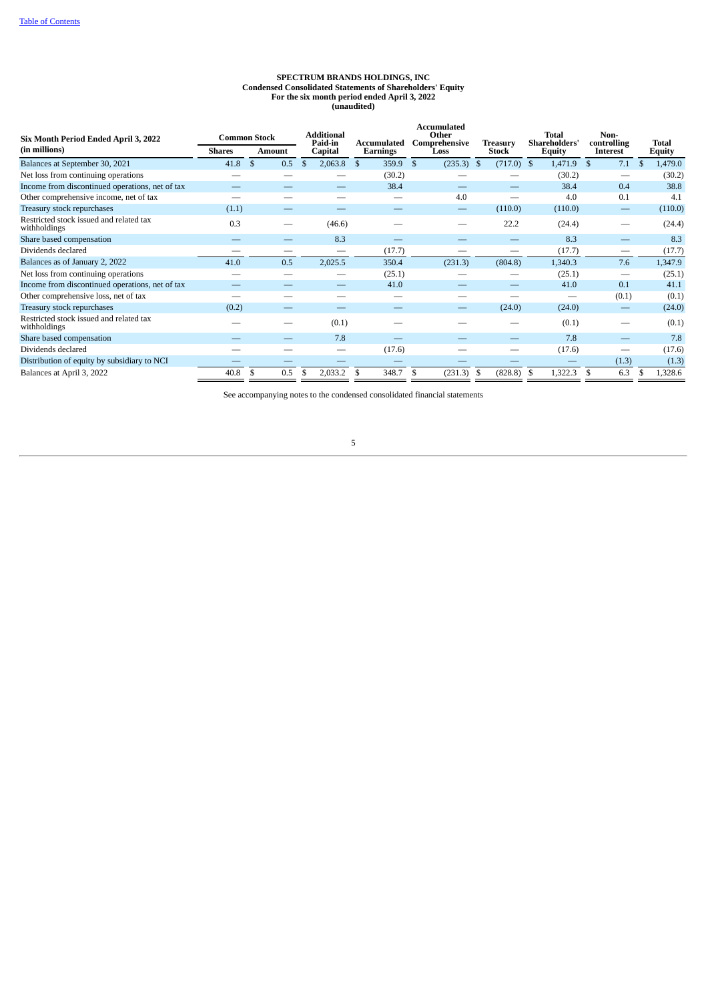#### **SPECTRUM BRANDS HOLDINGS, INC Condensed Consolidated Statements of Shareholders' Equity For the six month period ended April 3, 2022 (unaudited)**

| Six Month Period Ended April 3, 2022                    | <b>Common Stock</b> |           | <b>Additional</b><br>Paid-in | Accumulated            | <b>Accumulated</b><br>Other<br>Comprehensive | Treasurv             | Total<br><b>Shareholders'</b> | Non-<br>controlling | <b>Total</b> |
|---------------------------------------------------------|---------------------|-----------|------------------------------|------------------------|----------------------------------------------|----------------------|-------------------------------|---------------------|--------------|
| (in millions)                                           | Shares              | Amount    | Capital                      | Earnings               | Loss                                         | Stock                | Equity                        | Interest            | Equity       |
| Balances at September 30, 2021                          | 41.8                | 0.5<br>£. | 2,063.8                      | 359.9<br><sup>\$</sup> | $\mathfrak{s}$<br>(235.3)                    | $(717.0)$ \$<br>- \$ | 1,471.9                       | 7.1<br>S            | 1,479.0      |
| Net loss from continuing operations                     |                     |           |                              | (30.2)                 |                                              |                      | (30.2)                        |                     | (30.2)       |
| Income from discontinued operations, net of tax         | __                  |           | __                           | 38.4                   |                                              |                      | 38.4                          | 0.4                 | 38.8         |
| Other comprehensive income, net of tax                  |                     |           |                              |                        | 4.0                                          |                      | 4.0                           | 0.1                 | 4.1          |
| Treasury stock repurchases                              | (1.1)               |           |                              |                        |                                              | (110.0)              | (110.0)                       |                     | (110.0)      |
| Restricted stock issued and related tax<br>withholdings | 0.3                 |           | (46.6)                       |                        |                                              | 22.2                 | (24.4)                        |                     | (24.4)       |
| Share based compensation                                |                     |           | 8.3                          |                        |                                              |                      | 8.3                           |                     | 8.3          |
| Dividends declared                                      |                     |           |                              | (17.7)                 |                                              |                      | (17.7)                        | —                   | (17.7)       |
| Balances as of January 2, 2022                          | 41.0                | 0.5       | 2,025.5                      | 350.4                  | (231.3)                                      | (804.8)              | 1,340.3                       | 7.6                 | 1,347.9      |
| Net loss from continuing operations                     |                     |           |                              | (25.1)                 |                                              |                      | (25.1)                        |                     | (25.1)       |
| Income from discontinued operations, net of tax         |                     |           |                              | 41.0                   |                                              |                      | 41.0                          | 0.1                 | 41.1         |
| Other comprehensive loss, net of tax                    |                     |           |                              |                        |                                              |                      |                               | (0.1)               | (0.1)        |
| Treasury stock repurchases                              | (0.2)               |           |                              |                        |                                              | (24.0)               | (24.0)                        |                     | (24.0)       |
| Restricted stock issued and related tax<br>withholdings |                     |           | (0.1)                        |                        |                                              |                      | (0.1)                         |                     | (0.1)        |
| Share based compensation                                |                     |           | 7.8                          |                        |                                              |                      | 7.8                           |                     | 7.8          |
| Dividends declared                                      |                     |           | —                            | (17.6)                 |                                              |                      | (17.6)                        | —                   | (17.6)       |
| Distribution of equity by subsidiary to NCI             |                     |           |                              |                        |                                              |                      |                               | (1.3)               | (1.3)        |
| Balances at April 3, 2022                               | 40.8                | 0.5       | 2,033.2                      | 348.7                  | (231.3)                                      | (828.8)              | 1,322.3                       | 6.3                 | 1,328.6      |

See accompanying notes to the condensed consolidated financial statements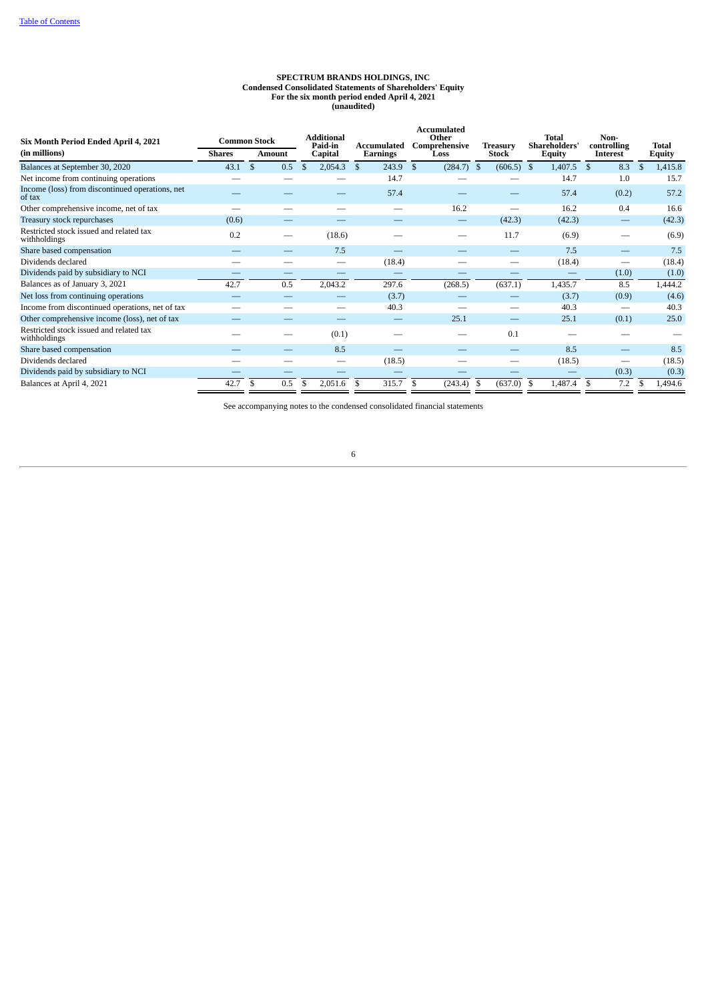#### **SPECTRUM BRANDS HOLDINGS, INC Condensed Consolidated Statements of Shareholders' Equity For the six month period ended April 4, 2021 (unaudited)**

| Six Month Period Ended April 4, 2021                      | <b>Common Stock</b> |               |    | Additional<br>Paid-in | Accumulated            |              | <b>Accumulated</b><br>Other<br>Comprehensive | <b>Treasury</b>      | <b>Total</b><br>Shareholders' | Non-<br>controlling | <b>Total</b>  |
|-----------------------------------------------------------|---------------------|---------------|----|-----------------------|------------------------|--------------|----------------------------------------------|----------------------|-------------------------------|---------------------|---------------|
| (in millions)                                             | <b>Shares</b>       | <b>Amount</b> |    | <b>Capital</b>        | Earnings               |              | Loss                                         | <b>Stock</b>         | Equity                        | <b>Interest</b>     | Equity        |
| Balances at September 30, 2020                            | 43.1                | 0.5<br>\$     | \$ | 2,054.3               | 243.9<br><sup>\$</sup> | $\mathbb{S}$ | (284.7)                                      | - \$<br>$(606.5)$ \$ | 1,407.5                       | 8.3<br>$\mathbf{s}$ | \$<br>1,415.8 |
| Net income from continuing operations                     |                     |               |    |                       | 14.7                   |              |                                              |                      | 14.7                          | 1.0                 | 15.7          |
| Income (loss) from discontinued operations, net<br>of tax |                     |               |    |                       | 57.4                   |              |                                              |                      | 57.4                          | (0.2)               | 57.2          |
| Other comprehensive income, net of tax                    |                     |               |    |                       |                        |              | 16.2                                         |                      | 16.2                          | 0.4                 | 16.6          |
| Treasury stock repurchases                                | (0.6)               |               |    |                       |                        |              |                                              | (42.3)               | (42.3)                        |                     | (42.3)        |
| Restricted stock issued and related tax<br>withholdings   | 0.2                 | --            |    | (18.6)                |                        |              |                                              | 11.7                 | (6.9)                         |                     | (6.9)         |
| Share based compensation                                  |                     |               |    | 7.5                   |                        |              |                                              |                      | 7.5                           |                     | 7.5           |
| Dividends declared                                        |                     |               |    |                       | (18.4)                 |              |                                              | __                   | (18.4)                        |                     | (18.4)        |
| Dividends paid by subsidiary to NCI                       |                     | --            |    |                       | —                      |              |                                              |                      |                               | (1.0)               | (1.0)         |
| Balances as of January 3, 2021                            | 42.7                | 0.5           |    | 2,043.2               | 297.6                  |              | (268.5)                                      | (637.1)              | 1,435.7                       | 8.5                 | 1,444.2       |
| Net loss from continuing operations                       |                     |               |    |                       | (3.7)                  |              |                                              |                      | (3.7)                         | (0.9)               | (4.6)         |
| Income from discontinued operations, net of tax           |                     |               |    |                       | 40.3                   |              |                                              |                      | 40.3                          |                     | 40.3          |
| Other comprehensive income (loss), net of tax             |                     |               |    |                       | —                      |              | 25.1                                         | —                    | 25.1                          | (0.1)               | 25.0          |
| Restricted stock issued and related tax<br>withholdings   |                     |               |    | (0.1)                 |                        |              |                                              | 0.1                  |                               |                     |               |
| Share based compensation                                  |                     |               |    | 8.5                   |                        |              |                                              |                      | 8.5                           |                     | 8.5           |
| Dividends declared                                        |                     |               |    |                       | (18.5)                 |              |                                              |                      | (18.5)                        |                     | (18.5)        |
| Dividends paid by subsidiary to NCI                       |                     |               |    |                       |                        |              |                                              |                      |                               | (0.3)               | (0.3)         |
| Balances at April 4, 2021                                 | 42.7                | 0.5<br>S      | \$ | 2,051.6               | 315.7<br><sup>\$</sup> | \$           | (243.4)                                      | $(637.0)$ \$<br>- \$ | 1,487.4                       | 7.2                 | 1,494.6       |

<span id="page-8-0"></span>See accompanying notes to the condensed consolidated financial statements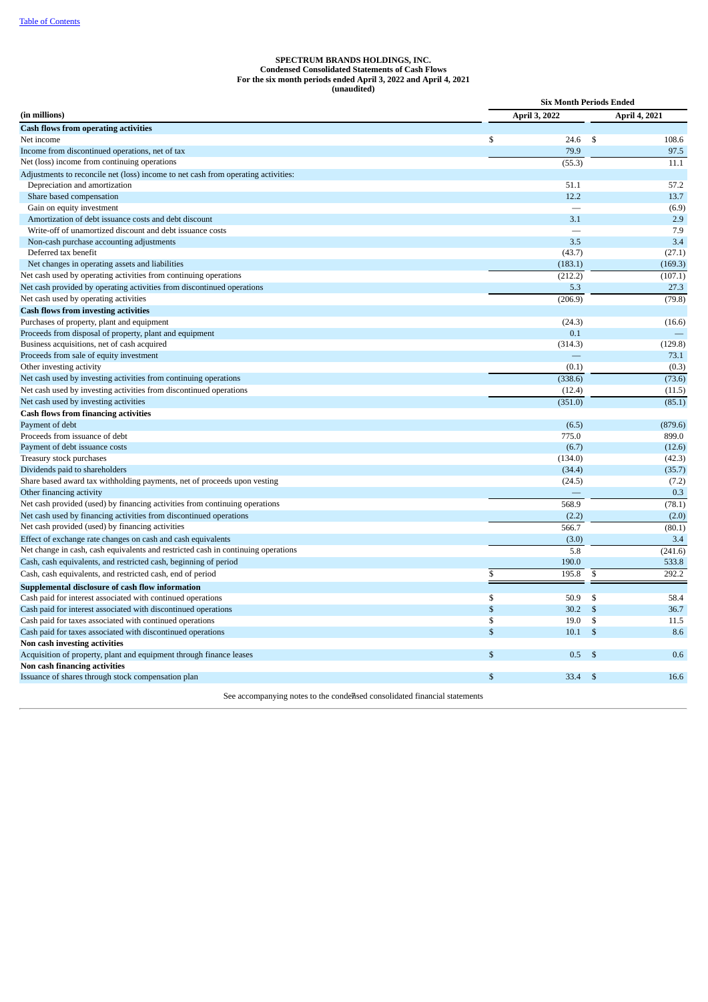## **SPECTRUM BRANDS HOLDINGS, INC. Condensed Consolidated Statements of Cash Flows For the six month periods ended April 3, 2022 and April 4, 2021 (unaudited)**

<span id="page-9-0"></span>

|                                                                                                      |                | <b>Six Month Periods Ended</b> |                |               |  |  |  |  |  |
|------------------------------------------------------------------------------------------------------|----------------|--------------------------------|----------------|---------------|--|--|--|--|--|
| (in millions)                                                                                        |                | April 3, 2022                  |                | April 4, 2021 |  |  |  |  |  |
| <b>Cash flows from operating activities</b>                                                          |                |                                |                |               |  |  |  |  |  |
| Net income                                                                                           | \$             | 24.6                           | \$             | 108.6         |  |  |  |  |  |
| Income from discontinued operations, net of tax                                                      |                | 79.9                           |                | 97.5          |  |  |  |  |  |
| Net (loss) income from continuing operations                                                         |                | (55.3)                         |                | 11.1          |  |  |  |  |  |
| Adjustments to reconcile net (loss) income to net cash from operating activities:                    |                |                                |                |               |  |  |  |  |  |
| Depreciation and amortization                                                                        |                | 51.1                           |                | 57.2          |  |  |  |  |  |
| Share based compensation                                                                             |                | 12.2                           |                | 13.7          |  |  |  |  |  |
| Gain on equity investment                                                                            |                | $\sim$                         |                | (6.9)         |  |  |  |  |  |
| Amortization of debt issuance costs and debt discount                                                |                | 3.1                            |                | 2.9           |  |  |  |  |  |
| Write-off of unamortized discount and debt issuance costs                                            |                | $\overline{\phantom{a}}$       |                | 7.9           |  |  |  |  |  |
| Non-cash purchase accounting adjustments                                                             |                | 3.5                            |                | 3.4           |  |  |  |  |  |
| Deferred tax benefit                                                                                 |                | (43.7)                         |                | (27.1)        |  |  |  |  |  |
| Net changes in operating assets and liabilities                                                      |                | (183.1)                        |                | (169.3)       |  |  |  |  |  |
| Net cash used by operating activities from continuing operations                                     |                | (212.2)                        |                | (107.1)       |  |  |  |  |  |
| Net cash provided by operating activities from discontinued operations                               |                | 5.3                            |                | 27.3          |  |  |  |  |  |
| Net cash used by operating activities                                                                |                | (206.9)                        |                | (79.8)        |  |  |  |  |  |
| <b>Cash flows from investing activities</b>                                                          |                |                                |                |               |  |  |  |  |  |
| Purchases of property, plant and equipment                                                           |                | (24.3)                         |                | (16.6)        |  |  |  |  |  |
| Proceeds from disposal of property, plant and equipment                                              |                | 0.1                            |                |               |  |  |  |  |  |
| Business acquisitions, net of cash acquired                                                          |                | (314.3)                        |                | (129.8)       |  |  |  |  |  |
| Proceeds from sale of equity investment                                                              |                |                                |                | 73.1          |  |  |  |  |  |
| Other investing activity                                                                             |                | (0.1)                          |                | (0.3)         |  |  |  |  |  |
| Net cash used by investing activities from continuing operations                                     |                | (338.6)                        |                | (73.6)        |  |  |  |  |  |
| Net cash used by investing activities from discontinued operations                                   |                | (12.4)                         |                | (11.5)        |  |  |  |  |  |
| Net cash used by investing activities                                                                |                | (351.0)                        |                | (85.1)        |  |  |  |  |  |
| <b>Cash flows from financing activities</b>                                                          |                |                                |                |               |  |  |  |  |  |
| Payment of debt                                                                                      |                | (6.5)                          |                | (879.6)       |  |  |  |  |  |
| Proceeds from issuance of debt                                                                       |                | 775.0                          |                | 899.0         |  |  |  |  |  |
| Payment of debt issuance costs                                                                       |                | (6.7)                          |                | (12.6)        |  |  |  |  |  |
| Treasury stock purchases                                                                             |                | (134.0)                        |                | (42.3)        |  |  |  |  |  |
| Dividends paid to shareholders                                                                       |                | (34.4)                         |                | (35.7)        |  |  |  |  |  |
| Share based award tax withholding payments, net of proceeds upon vesting                             |                | (24.5)                         |                | (7.2)         |  |  |  |  |  |
| Other financing activity                                                                             |                |                                |                | 0.3           |  |  |  |  |  |
| Net cash provided (used) by financing activities from continuing operations                          |                | 568.9                          |                | (78.1)        |  |  |  |  |  |
| Net cash used by financing activities from discontinued operations                                   |                | (2.2)                          |                | (2.0)         |  |  |  |  |  |
| Net cash provided (used) by financing activities                                                     |                | 566.7                          |                | (80.1)        |  |  |  |  |  |
| Effect of exchange rate changes on cash and cash equivalents                                         |                | (3.0)                          |                | 3.4           |  |  |  |  |  |
| Net change in cash, cash equivalents and restricted cash in continuing operations                    |                | 5.8                            |                | (241.6)       |  |  |  |  |  |
| Cash, cash equivalents, and restricted cash, beginning of period                                     |                | 190.0                          |                | 533.8         |  |  |  |  |  |
| Cash, cash equivalents, and restricted cash, end of period                                           | \$             | 195.8                          | \$             | 292.2         |  |  |  |  |  |
| Supplemental disclosure of cash flow information                                                     |                |                                |                |               |  |  |  |  |  |
|                                                                                                      | \$             | 50.9                           | \$             | 58.4          |  |  |  |  |  |
| Cash paid for interest associated with continued operations                                          | $\mathfrak{s}$ | 30.2                           | $\mathfrak{s}$ | 36.7          |  |  |  |  |  |
| Cash paid for interest associated with discontinued operations                                       | \$             | 19.0                           | \$             | 11.5          |  |  |  |  |  |
| Cash paid for taxes associated with continued operations                                             | $\mathbb{S}$   |                                | \$             | 8.6           |  |  |  |  |  |
| Cash paid for taxes associated with discontinued operations                                          |                | 10.1                           |                |               |  |  |  |  |  |
| Non cash investing activities                                                                        | \$             | 0.5                            | <sup>\$</sup>  | 0.6           |  |  |  |  |  |
| Acquisition of property, plant and equipment through finance leases<br>Non cash financing activities |                |                                |                |               |  |  |  |  |  |
| Issuance of shares through stock compensation plan                                                   | $\mathbb{S}$   | 33.4                           | \$             | 16.6          |  |  |  |  |  |
|                                                                                                      |                |                                |                |               |  |  |  |  |  |
| See accompanying notes to the condensed consolidated financial statements                            |                |                                |                |               |  |  |  |  |  |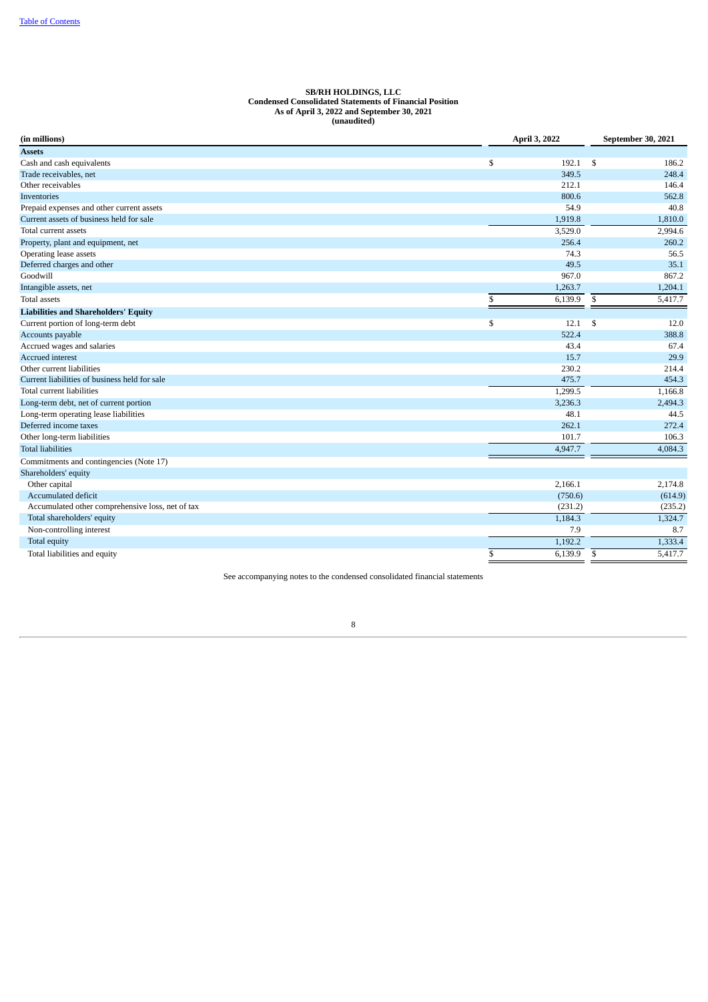#### **SB/RH HOLDINGS, LLC Condensed Consolidated Statements of Financial Position As of April 3, 2022 and September 30, 2021 (unaudited)**

<span id="page-10-0"></span>

| (in millions)                                    | April 3, 2022 | September 30, 2021 |
|--------------------------------------------------|---------------|--------------------|
| <b>Assets</b>                                    |               |                    |
| Cash and cash equivalents                        | \$<br>192.1   | <b>S</b><br>186.2  |
| Trade receivables, net                           | 349.5         | 248.4              |
| Other receivables                                | 212.1         | 146.4              |
| Inventories                                      | 800.6         | 562.8              |
| Prepaid expenses and other current assets        | 54.9          | 40.8               |
| Current assets of business held for sale         | 1,919.8       | 1,810.0            |
| Total current assets                             | 3,529.0       | 2,994.6            |
| Property, plant and equipment, net               | 256.4         | 260.2              |
| Operating lease assets                           | 74.3          | 56.5               |
| Deferred charges and other                       | 49.5          | 35.1               |
| Goodwill                                         | 967.0         | 867.2              |
| Intangible assets, net                           | 1,263.7       | 1,204.1            |
| <b>Total assets</b>                              | \$<br>6,139.9 | \$<br>5,417.7      |
| <b>Liabilities and Shareholders' Equity</b>      |               |                    |
| Current portion of long-term debt                | \$<br>12.1    | - \$<br>12.0       |
| Accounts payable                                 | 522.4         | 388.8              |
| Accrued wages and salaries                       | 43.4          | 67.4               |
| <b>Accrued</b> interest                          | 15.7          | 29.9               |
| Other current liabilities                        | 230.2         | 214.4              |
| Current liabilities of business held for sale    | 475.7         | 454.3              |
| Total current liabilities                        | 1,299.5       | 1,166.8            |
| Long-term debt, net of current portion           | 3,236.3       | 2,494.3            |
| Long-term operating lease liabilities            | 48.1          | 44.5               |
| Deferred income taxes                            | 262.1         | 272.4              |
| Other long-term liabilities                      | 101.7         | 106.3              |
| <b>Total liabilities</b>                         | 4,947.7       | 4,084.3            |
| Commitments and contingencies (Note 17)          |               |                    |
| Shareholders' equity                             |               |                    |
| Other capital                                    | 2,166.1       | 2,174.8            |
| Accumulated deficit                              | (750.6)       | (614.9)            |
| Accumulated other comprehensive loss, net of tax | (231.2)       | (235.2)            |
| Total shareholders' equity                       | 1,184.3       | 1,324.7            |
| Non-controlling interest                         | 7.9           | 8.7                |
| Total equity                                     | 1,192.2       | 1,333.4            |
| Total liabilities and equity                     | \$<br>6,139.9 | \$<br>5,417.7      |

<span id="page-10-1"></span>See accompanying notes to the condensed consolidated financial statements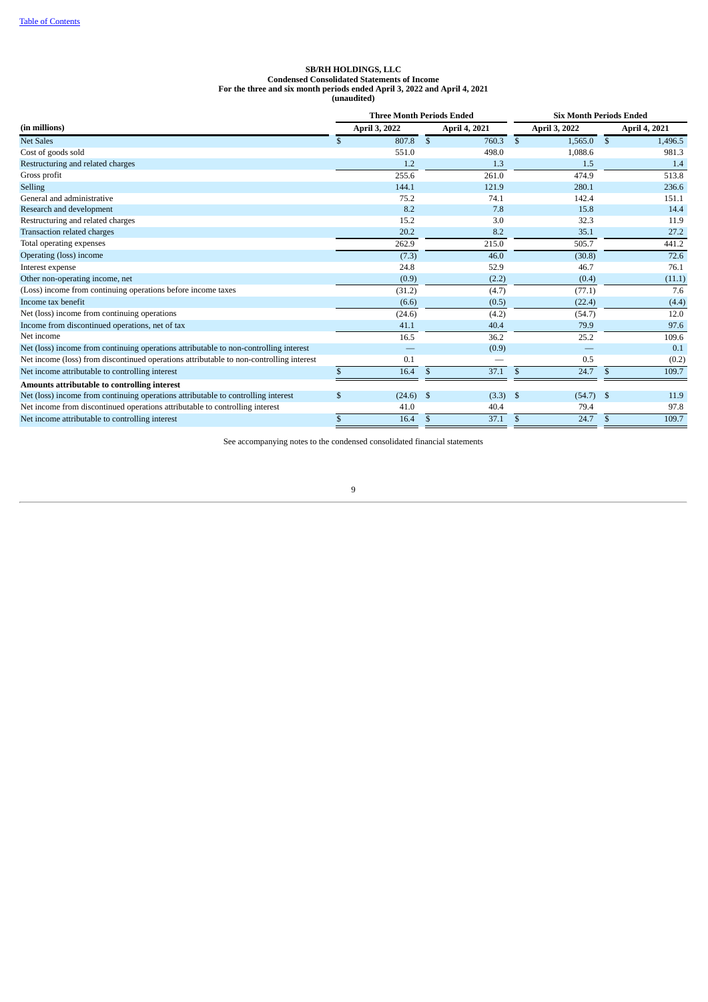#### **SB/RH HOLDINGS, LLC Condensed Consolidated Statements of Income For the three and six month periods ended April 3, 2022 and April 4, 2021 (unaudited)**

|                                                                                         |               | <b>Three Month Periods Ended</b> |                |                       | <b>Six Month Periods Ended</b> |               |                |               |  |  |
|-----------------------------------------------------------------------------------------|---------------|----------------------------------|----------------|-----------------------|--------------------------------|---------------|----------------|---------------|--|--|
| (in millions)                                                                           |               | April 3, 2022                    |                | April 4, 2021         |                                | April 3, 2022 |                | April 4, 2021 |  |  |
| <b>Net Sales</b>                                                                        | $\mathbb{S}$  | 807.8                            | $\mathcal{S}$  | 760.3<br>$\mathbf{s}$ |                                | 1,565.0       | $\mathbf{s}$   | 1,496.5       |  |  |
| Cost of goods sold                                                                      |               | 551.0                            |                | 498.0                 |                                | 1,088.6       |                | 981.3         |  |  |
| Restructuring and related charges                                                       |               | 1.2                              |                | 1.3                   |                                | 1.5           |                | 1.4           |  |  |
| Gross profit                                                                            |               | 255.6                            |                | 261.0                 |                                | 474.9         |                | 513.8         |  |  |
| Selling                                                                                 |               | 144.1                            |                | 121.9                 |                                | 280.1         |                | 236.6         |  |  |
| General and administrative                                                              |               | 75.2                             |                | 74.1                  |                                | 142.4         |                | 151.1         |  |  |
| Research and development                                                                |               | 8.2                              |                | 7.8                   |                                | 15.8          |                | 14.4          |  |  |
| Restructuring and related charges                                                       |               | 15.2                             |                | 3.0                   |                                | 32.3          |                | 11.9          |  |  |
| Transaction related charges                                                             |               | 20.2                             |                | 8.2                   |                                | 35.1          |                | 27.2          |  |  |
| Total operating expenses                                                                |               | 262.9                            |                | 215.0                 |                                | 505.7         |                | 441.2         |  |  |
| Operating (loss) income                                                                 |               | (7.3)                            |                | 46.0                  |                                | (30.8)        |                | 72.6          |  |  |
| Interest expense                                                                        |               | 24.8                             |                | 52.9                  |                                | 46.7          |                | 76.1          |  |  |
| Other non-operating income, net                                                         |               | (0.9)                            |                | (2.2)                 |                                | (0.4)         |                | (11.1)        |  |  |
| (Loss) income from continuing operations before income taxes                            |               | (31.2)                           |                | (4.7)                 |                                | (77.1)        |                | 7.6           |  |  |
| Income tax benefit                                                                      |               | (6.6)                            |                | (0.5)                 |                                | (22.4)        |                | (4.4)         |  |  |
| Net (loss) income from continuing operations                                            |               | (24.6)                           |                | (4.2)                 |                                | (54.7)        |                | 12.0          |  |  |
| Income from discontinued operations, net of tax                                         |               | 41.1                             |                | 40.4                  |                                | 79.9          |                | 97.6          |  |  |
| Net income                                                                              |               | 16.5                             |                | 36.2                  |                                | 25.2          |                | 109.6         |  |  |
| Net (loss) income from continuing operations attributable to non-controlling interest   |               |                                  |                | (0.9)                 |                                |               |                | 0.1           |  |  |
| Net income (loss) from discontinued operations attributable to non-controlling interest |               | 0.1                              |                |                       |                                | 0.5           |                | (0.2)         |  |  |
| Net income attributable to controlling interest                                         |               | 16.4                             | <b>S</b>       | 37.1                  | $\mathcal{S}$                  | 24.7          | <sup>\$</sup>  | 109.7         |  |  |
| Amounts attributable to controlling interest                                            |               |                                  |                |                       |                                |               |                |               |  |  |
| Net (loss) income from continuing operations attributable to controlling interest       | <sup>\$</sup> | $(24.6)$ \$                      |                | (3.3)                 | $^{\circ}$                     | $(54.7)$ \$   |                | 11.9          |  |  |
| Net income from discontinued operations attributable to controlling interest            |               | 41.0                             |                | 40.4                  |                                | 79.4          |                | 97.8          |  |  |
| Net income attributable to controlling interest                                         | \$            | 16.4                             | $\mathfrak{S}$ | 37.1                  | \$                             | 24.7          | $\mathfrak{S}$ | 109.7         |  |  |

<span id="page-11-0"></span>See accompanying notes to the condensed consolidated financial statements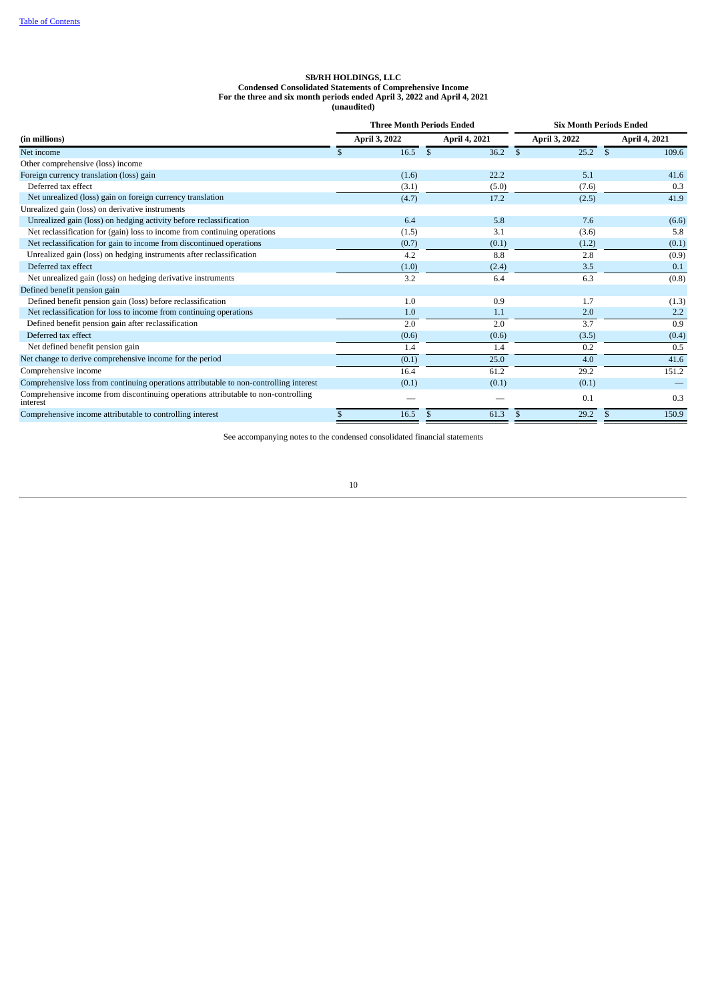#### **SB/RH HOLDINGS, LLC Condensed Consolidated Statements of Comprehensive Income For the three and six month periods ended April 3, 2022 and April 4, 2021 (unaudited)**

|                                                                                                |               |       |                | <b>Three Month Periods Ended</b> |               | <b>Six Month Periods Ended</b> |               |               |  |
|------------------------------------------------------------------------------------------------|---------------|-------|----------------|----------------------------------|---------------|--------------------------------|---------------|---------------|--|
| (in millions)                                                                                  | April 3, 2022 |       |                | April 4, 2021                    |               | April 3, 2022                  |               | April 4, 2021 |  |
| Net income                                                                                     |               | 16.5  | $\mathcal{S}$  | 36.2                             | $\mathcal{S}$ | 25.2                           | $\mathcal{S}$ | 109.6         |  |
| Other comprehensive (loss) income                                                              |               |       |                |                                  |               |                                |               |               |  |
| Foreign currency translation (loss) gain                                                       |               | (1.6) |                | 22.2                             |               | 5.1                            |               | 41.6          |  |
| Deferred tax effect                                                                            |               | (3.1) |                | (5.0)                            |               | (7.6)                          |               | 0.3           |  |
| Net unrealized (loss) gain on foreign currency translation                                     |               | (4.7) |                | 17.2                             |               | (2.5)                          |               | 41.9          |  |
| Unrealized gain (loss) on derivative instruments                                               |               |       |                |                                  |               |                                |               |               |  |
| Unrealized gain (loss) on hedging activity before reclassification                             |               | 6.4   |                | 5.8                              |               | 7.6                            |               | (6.6)         |  |
| Net reclassification for (gain) loss to income from continuing operations                      |               | (1.5) |                | 3.1                              |               | (3.6)                          |               | 5.8           |  |
| Net reclassification for gain to income from discontinued operations                           |               | (0.7) |                | (0.1)                            |               | (1.2)                          |               | (0.1)         |  |
| Unrealized gain (loss) on hedging instruments after reclassification                           |               | 4.2   |                | 8.8                              |               | 2.8                            |               | (0.9)         |  |
| Deferred tax effect                                                                            |               | (1.0) |                | (2.4)                            |               | 3.5                            |               | 0.1           |  |
| Net unrealized gain (loss) on hedging derivative instruments                                   |               | 3.2   |                | 6.4                              |               | 6.3                            |               | (0.8)         |  |
| Defined benefit pension gain                                                                   |               |       |                |                                  |               |                                |               |               |  |
| Defined benefit pension gain (loss) before reclassification                                    |               | 1.0   |                | 0.9                              |               | 1.7                            |               | (1.3)         |  |
| Net reclassification for loss to income from continuing operations                             |               | 1.0   |                | 1.1                              |               | 2.0                            |               | 2.2           |  |
| Defined benefit pension gain after reclassification                                            |               | 2.0   |                | 2.0                              |               | 3.7                            |               | 0.9           |  |
| Deferred tax effect                                                                            |               | (0.6) |                | (0.6)                            |               | (3.5)                          |               | (0.4)         |  |
| Net defined benefit pension gain                                                               |               | 1.4   |                | 1.4                              |               | 0.2                            |               | 0.5           |  |
| Net change to derive comprehensive income for the period                                       |               | (0.1) |                | 25.0                             |               | 4.0                            |               | 41.6          |  |
| Comprehensive income                                                                           |               | 16.4  |                | 61.2                             |               | 29.2                           |               | 151.2         |  |
| Comprehensive loss from continuing operations attributable to non-controlling interest         |               | (0.1) |                | (0.1)                            |               | (0.1)                          |               |               |  |
| Comprehensive income from discontinuing operations attributable to non-controlling<br>interest |               |       |                |                                  |               | 0.1                            |               | 0.3           |  |
| Comprehensive income attributable to controlling interest                                      |               | 16.5  | $\mathfrak{F}$ | 61.3                             | \$            | 29.2                           | \$            | 150.9         |  |

<span id="page-12-0"></span>See accompanying notes to the condensed consolidated financial statements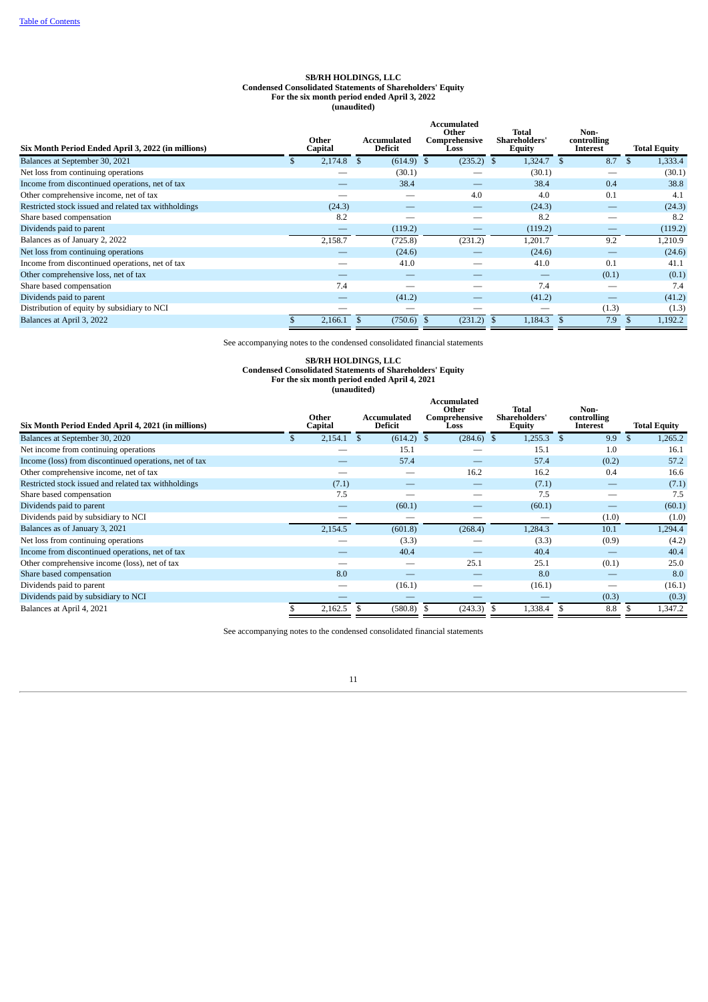#### **SB/RH HOLDINGS, LLC Condensed Consolidated Statements of Shareholders' Equity For the six month period ended April 3, 2022 (unaudited)**

| Six Month Period Ended April 3, 2022 (in millions)   |   | Other<br>Capital | Accumulated<br>Deficit |      | <b>Accumulated</b><br>Other<br>Comprehensive<br>Loss |          | Total<br>Shareholders'<br><b>Equity</b> |    | Non-<br>controlling<br>Interest |          | <b>Total Equity</b> |
|------------------------------------------------------|---|------------------|------------------------|------|------------------------------------------------------|----------|-----------------------------------------|----|---------------------------------|----------|---------------------|
| Balances at September 30, 2021                       | S | $2,174.8$ \$     | $(614.9)$ \$           |      | (235.2)                                              | <b>S</b> | 1,324.7                                 |    | 8.7                             | <b>S</b> | 1,333.4             |
| Net loss from continuing operations                  |   |                  | (30.1)                 |      |                                                      |          | (30.1)                                  |    |                                 |          | (30.1)              |
| Income from discontinued operations, net of tax      |   |                  | 38.4                   |      |                                                      |          | 38.4                                    |    | 0.4                             |          | 38.8                |
| Other comprehensive income, net of tax               |   |                  |                        |      | 4.0                                                  |          | 4.0                                     |    | 0.1                             |          | 4.1                 |
| Restricted stock issued and related tax withholdings |   | (24.3)           |                        |      |                                                      |          | (24.3)                                  |    |                                 |          | (24.3)              |
| Share based compensation                             |   | 8.2              |                        |      |                                                      |          | 8.2                                     |    |                                 |          | 8.2                 |
| Dividends paid to parent                             |   |                  | (119.2)                |      |                                                      |          | (119.2)                                 |    |                                 |          | (119.2)             |
| Balances as of January 2, 2022                       |   | 2,158.7          | (725.8)                |      | (231.2)                                              |          | 1,201.7                                 |    | 9.2                             |          | 1,210.9             |
| Net loss from continuing operations                  |   |                  | (24.6)                 |      |                                                      |          | (24.6)                                  |    |                                 |          | (24.6)              |
| Income from discontinued operations, net of tax      |   |                  | 41.0                   |      | __                                                   |          | 41.0                                    |    | 0.1                             |          | 41.1                |
| Other comprehensive loss, net of tax                 |   |                  |                        |      |                                                      |          |                                         |    | (0.1)                           |          | (0.1)               |
| Share based compensation                             |   | 7.4              |                        |      |                                                      |          | 7.4                                     |    | __                              |          | 7.4                 |
| Dividends paid to parent                             |   |                  | (41.2)                 |      |                                                      |          | (41.2)                                  |    |                                 |          | (41.2)              |
| Distribution of equity by subsidiary to NCI          |   |                  |                        |      |                                                      |          |                                         |    | (1.3)                           |          | (1.3)               |
| Balances at April 3, 2022                            |   | 2,166.1          | (750.6)                | - \$ | (231.2)                                              | S        | 1,184.3                                 | -S | 7.9                             |          | 1,192.2             |

See accompanying notes to the condensed consolidated financial statements

#### **SB/RH HOLDINGS, LLC Condensed Consolidated Statements of Shareholders' Equity For the six month period ended April 4, 2021 (unaudited)**

| Six Month Period Ended April 4, 2021 (in millions)     | Other<br>Capital | Accumulated<br>Deficit | Accumulated<br>Other<br>Comprehensive<br>Loss | Total<br>Shareholders'<br>Equity | Non-<br>controlling<br>Interest | <b>Total Equity</b> |
|--------------------------------------------------------|------------------|------------------------|-----------------------------------------------|----------------------------------|---------------------------------|---------------------|
| Balances at September 30, 2020                         | 2,154.1          | $(614.2)$ \$<br>.S     | $(284.6)$ \$                                  | 1,255.3                          | 9.9                             | 1,265.2             |
| Net income from continuing operations                  |                  | 15.1                   |                                               | 15.1                             | 1.0                             | 16.1                |
| Income (loss) from discontinued operations, net of tax |                  | 57.4                   |                                               | 57.4                             | (0.2)                           | 57.2                |
| Other comprehensive income, net of tax                 |                  |                        | 16.2                                          | 16.2                             | 0.4                             | 16.6                |
| Restricted stock issued and related tax withholdings   | (7.1)            |                        |                                               | (7.1)                            |                                 | (7.1)               |
| Share based compensation                               | 7.5              |                        |                                               | 7.5                              |                                 | 7.5                 |
| Dividends paid to parent                               |                  | (60.1)                 |                                               | (60.1)                           |                                 | (60.1)              |
| Dividends paid by subsidiary to NCI                    |                  |                        |                                               |                                  | (1.0)                           | (1.0)               |
| Balances as of January 3, 2021                         | 2,154.5          | (601.8)                | (268.4)                                       | 1,284.3                          | 10.1                            | 1,294.4             |
| Net loss from continuing operations                    |                  | (3.3)                  |                                               | (3.3)                            | (0.9)                           | (4.2)               |
| Income from discontinued operations, net of tax        |                  | 40.4                   |                                               | 40.4                             |                                 | 40.4                |
| Other comprehensive income (loss), net of tax          |                  |                        | 25.1                                          | 25.1                             | (0.1)                           | 25.0                |
| Share based compensation                               | 8.0              |                        |                                               | 8.0                              |                                 | 8.0                 |
| Dividends paid to parent                               |                  | (16.1)                 |                                               | (16.1)                           |                                 | (16.1)              |
| Dividends paid by subsidiary to NCI                    |                  |                        |                                               |                                  | (0.3)                           | (0.3)               |
| Balances at April 4, 2021                              | 2,162.5          | $(580.8)$ \$           | (243.3)                                       | 1,338.4<br>S                     | 8.8                             | 1,347.2             |

<span id="page-13-0"></span>See accompanying notes to the condensed consolidated financial statements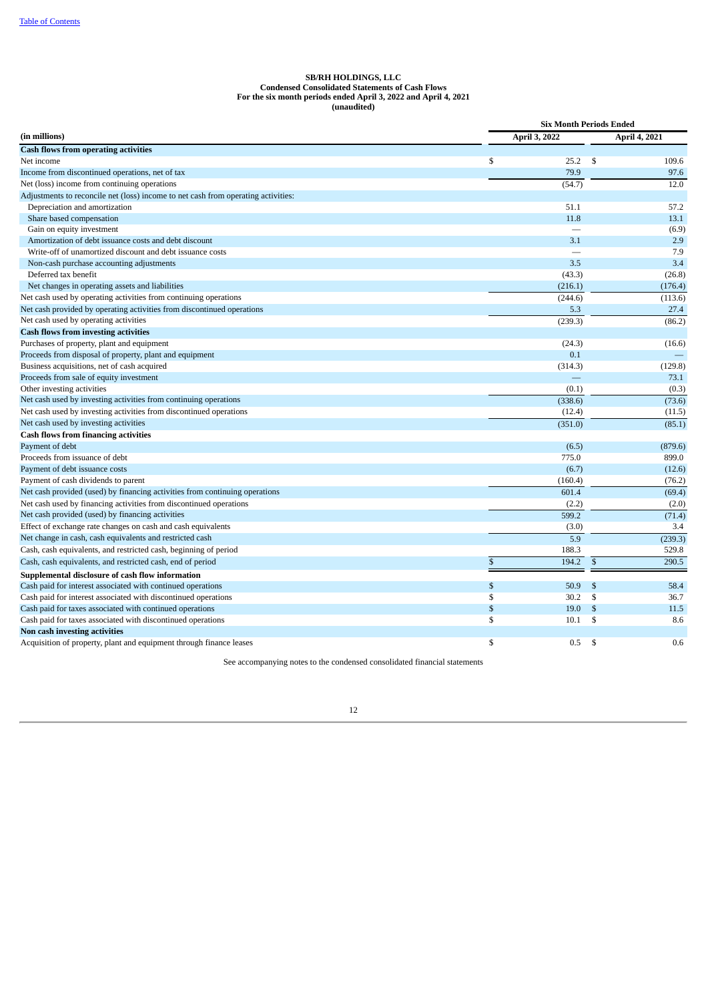## **SB/RH HOLDINGS, LLC Condensed Consolidated Statements of Cash Flows For the six month periods ended April 3, 2022 and April 4, 2021 (unaudited)**

| (in millions)<br>April 3, 2022<br>April 4, 2021<br><b>Cash flows from operating activities</b><br>\$<br>25.2<br>-S<br>109.6<br>Net income<br>79.9<br>97.6<br>Income from discontinued operations, net of tax<br>(54.7)<br>Net (loss) income from continuing operations<br>12.0<br>Adjustments to reconcile net (loss) income to net cash from operating activities:<br>51.1<br>57.2<br>Depreciation and amortization<br>11.8<br>13.1<br>Share based compensation |
|------------------------------------------------------------------------------------------------------------------------------------------------------------------------------------------------------------------------------------------------------------------------------------------------------------------------------------------------------------------------------------------------------------------------------------------------------------------|
|                                                                                                                                                                                                                                                                                                                                                                                                                                                                  |
|                                                                                                                                                                                                                                                                                                                                                                                                                                                                  |
|                                                                                                                                                                                                                                                                                                                                                                                                                                                                  |
|                                                                                                                                                                                                                                                                                                                                                                                                                                                                  |
|                                                                                                                                                                                                                                                                                                                                                                                                                                                                  |
|                                                                                                                                                                                                                                                                                                                                                                                                                                                                  |
|                                                                                                                                                                                                                                                                                                                                                                                                                                                                  |
|                                                                                                                                                                                                                                                                                                                                                                                                                                                                  |
| (6.9)<br>Gain on equity investment                                                                                                                                                                                                                                                                                                                                                                                                                               |
| Amortization of debt issuance costs and debt discount<br>2.9<br>3.1                                                                                                                                                                                                                                                                                                                                                                                              |
| Write-off of unamortized discount and debt issuance costs<br>7.9                                                                                                                                                                                                                                                                                                                                                                                                 |
| 3.5<br>3.4<br>Non-cash purchase accounting adjustments                                                                                                                                                                                                                                                                                                                                                                                                           |
| Deferred tax benefit<br>(43.3)<br>(26.8)                                                                                                                                                                                                                                                                                                                                                                                                                         |
| Net changes in operating assets and liabilities<br>(216.1)<br>(176.4)                                                                                                                                                                                                                                                                                                                                                                                            |
| Net cash used by operating activities from continuing operations<br>(244.6)<br>(113.6)                                                                                                                                                                                                                                                                                                                                                                           |
| Net cash provided by operating activities from discontinued operations<br>5.3<br>27.4                                                                                                                                                                                                                                                                                                                                                                            |
| (239.3)<br>Net cash used by operating activities<br>(86.2)                                                                                                                                                                                                                                                                                                                                                                                                       |
| <b>Cash flows from investing activities</b>                                                                                                                                                                                                                                                                                                                                                                                                                      |
| Purchases of property, plant and equipment<br>(24.3)<br>(16.6)                                                                                                                                                                                                                                                                                                                                                                                                   |
| Proceeds from disposal of property, plant and equipment<br>0.1                                                                                                                                                                                                                                                                                                                                                                                                   |
| Business acquisitions, net of cash acquired<br>(314.3)<br>(129.8)                                                                                                                                                                                                                                                                                                                                                                                                |
| Proceeds from sale of equity investment<br>73.1                                                                                                                                                                                                                                                                                                                                                                                                                  |
| Other investing activities<br>(0.1)<br>(0.3)                                                                                                                                                                                                                                                                                                                                                                                                                     |
| Net cash used by investing activities from continuing operations<br>(338.6)<br>(73.6)                                                                                                                                                                                                                                                                                                                                                                            |
| Net cash used by investing activities from discontinued operations<br>(12.4)<br>(11.5)                                                                                                                                                                                                                                                                                                                                                                           |
| Net cash used by investing activities<br>(351.0)<br>(85.1)                                                                                                                                                                                                                                                                                                                                                                                                       |
| <b>Cash flows from financing activities</b>                                                                                                                                                                                                                                                                                                                                                                                                                      |
| (6.5)<br>(879.6)<br>Payment of debt                                                                                                                                                                                                                                                                                                                                                                                                                              |
| 899.0<br>Proceeds from issuance of debt<br>775.0                                                                                                                                                                                                                                                                                                                                                                                                                 |
| Payment of debt issuance costs<br>(6.7)<br>(12.6)                                                                                                                                                                                                                                                                                                                                                                                                                |
| Payment of cash dividends to parent<br>(160.4)<br>(76.2)                                                                                                                                                                                                                                                                                                                                                                                                         |
| Net cash provided (used) by financing activities from continuing operations<br>601.4<br>(69.4)                                                                                                                                                                                                                                                                                                                                                                   |
| Net cash used by financing activities from discontinued operations<br>(2.2)<br>(2.0)                                                                                                                                                                                                                                                                                                                                                                             |
| Net cash provided (used) by financing activities<br>599.2<br>(71.4)                                                                                                                                                                                                                                                                                                                                                                                              |
| Effect of exchange rate changes on cash and cash equivalents<br>3.4<br>(3.0)                                                                                                                                                                                                                                                                                                                                                                                     |
| Net change in cash, cash equivalents and restricted cash<br>5.9<br>(239.3)                                                                                                                                                                                                                                                                                                                                                                                       |
| Cash, cash equivalents, and restricted cash, beginning of period<br>188.3<br>529.8                                                                                                                                                                                                                                                                                                                                                                               |
| 194.2<br>\$<br>$\mathfrak{s}$<br>290.5<br>Cash, cash equivalents, and restricted cash, end of period                                                                                                                                                                                                                                                                                                                                                             |
| Supplemental disclosure of cash flow information                                                                                                                                                                                                                                                                                                                                                                                                                 |
| 50.9<br>Cash paid for interest associated with continued operations<br>\$<br>-\$<br>58.4                                                                                                                                                                                                                                                                                                                                                                         |
| 30.2<br>Cash paid for interest associated with discontinued operations<br>\$<br>-\$<br>36.7                                                                                                                                                                                                                                                                                                                                                                      |
| Cash paid for taxes associated with continued operations<br>\$<br>19.0<br>-\$<br>11.5                                                                                                                                                                                                                                                                                                                                                                            |
| Cash paid for taxes associated with discontinued operations<br>\$<br>10.1<br>\$<br>8.6                                                                                                                                                                                                                                                                                                                                                                           |
| Non cash investing activities                                                                                                                                                                                                                                                                                                                                                                                                                                    |
| Acquisition of property, plant and equipment through finance leases<br>\$<br>0.5<br>-\$<br>0.6                                                                                                                                                                                                                                                                                                                                                                   |

<span id="page-14-0"></span>See accompanying notes to the condensed consolidated financial statements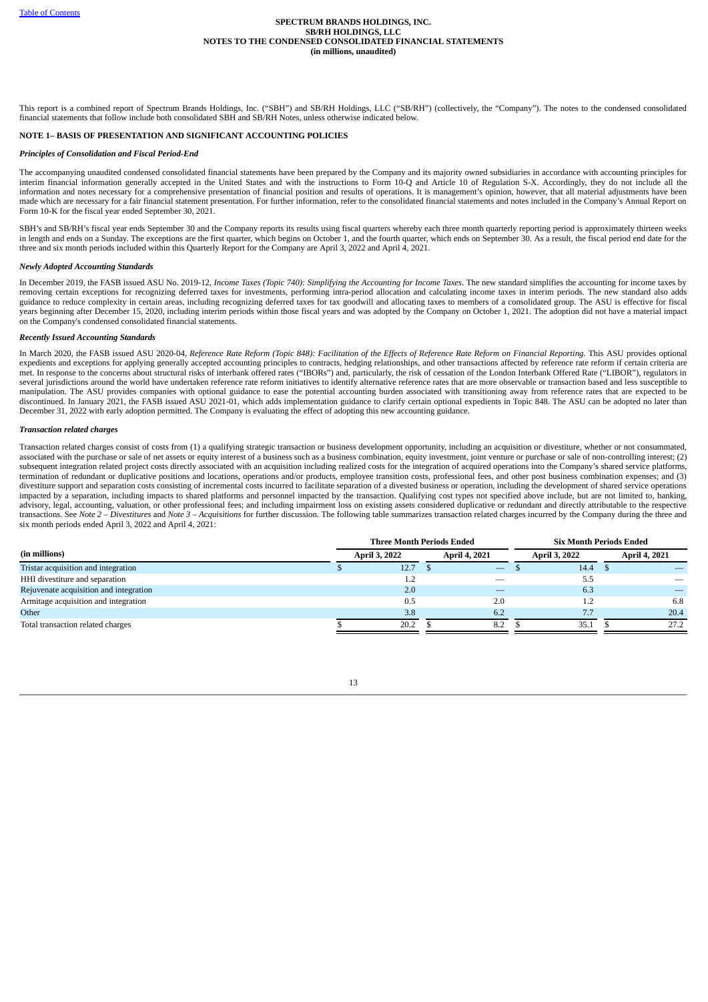<span id="page-15-0"></span>This report is a combined report of Spectrum Brands Holdings, Inc. ("SBH") and SB/RH Holdings, LLC ("SB/RH") (collectively, the "Company"). The notes to the condensed consolidated financial statements that follow include both consolidated SBH and SB/RH Notes, unless otherwise indicated below.

# **NOTE 1– BASIS OF PRESENTATION AND SIGNIFICANT ACCOUNTING POLICIES**

#### *Principles of Consolidation and Fiscal Period-End*

The accompanying unaudited condensed consolidated financial statements have been prepared by the Company and its majority owned subsidiaries in accordance with accounting principles for interim financial information generally accepted in the United States and with the instructions to Form 10-Q and Article 10 of Regulation S-X. Accordingly, they do not include all the information and notes necessary for a comprehensive presentation of financial position and results of operations. It is management's opinion, however, that all material adjustments have been made which are necessary for a fair financial statement presentation. For further information, refer to the consolidated financial statements and notes included in the Company's Annual Report on Form 10-K for the fiscal year ended September 30, 2021.

SBH's and SB/RH's fiscal year ends September 30 and the Company reports its results using fiscal quarters whereby each three month quarterly reporting period is approximately thirteen weeks in length and ends on a Sunday. The exceptions are the first quarter, which begins on October 1, and the fourth quarter, which ends on September 30. As a result, the fiscal period end date for the three and six month periods included within this Quarterly Report for the Company are April 3, 2022 and April 4, 2021.

#### *Newly Adopted Accounting Standards*

In December 2019, the FASB issued ASU No. 2019-12, Income Taxes (Topic 740): Simplifying the Accounting for Income Taxes. The new standard simplifies the accounting for income taxes by removing certain exceptions for recognizing deferred taxes for investments, performing intra-period allocation and calculating income taxes in interim periods. The new standard also adds guidance to reduce complexity in certain areas, including recognizing deferred taxes for tax goodwill and allocating taxes to members of a consolidated group. The ASU is effective for fiscal years beginning after December 15, 2020, including interim periods within those fiscal years and was adopted by the Company on October 1, 2021. The adoption did not have a material impact on the Company's condensed consolidated financial statements.

#### *Recently Issued Accounting Standards*

In March 2020, the FASB issued ASU 2020-04, Reference Rate Reform (Topic 848): Facilitation of the Effects of Reference Rate Reform on Financial Reporting. This ASU provides optional expedients and exceptions for applying generally accepted accounting principles to contracts, hedging relationships, and other transactions affected by reference rate reform if certain criteria are met. In response to the concerns about structural risks of interbank offered rates ("IBORs") and, particularly, the risk of cessation of the London Interbank Offered Rate ("LIBOR"), regulators in several jurisdictions around the world have undertaken reference rate reform initiatives to identify alternative reference rates that are more observable or transaction based and less susceptible to manipulation. The ASU provides companies with optional guidance to ease the potential accounting burden associated with transitioning away from reference rates that are expected to be discontinued. In January 2021, the FASB issued ASU 2021-01, which adds implementation guidance to clarify certain optional expedients in Topic 848. The ASU can be adopted no later than December 31, 2022 with early adoption permitted. The Company is evaluating the effect of adopting this new accounting guidance.

#### *Transaction related charges*

Transaction related charges consist of costs from (1) a qualifying strategic transaction or business development opportunity, including an acquisition or divestiture, whether or not consummated, associated with the purchase or sale of net assets or equity interest of a business such as a business combination, equity investment, joint venture or purchase or sale of non-controlling interest; (2) subsequent integration related project costs directly associated with an acquisition including realized costs for the integration of acquired operations into the Company's shared service platforms, termination of redundant or duplicative positions and locations, operations and/or products, employee transition costs, professional fees, and other post business combination expenses; and (3) divestiture support and separation costs consisting of incremental costs incurred to facilitate separation of a divested business or operation, including the development of shared service operations impacted by a separation, including impacts to shared platforms and personnel impacted by the transaction. Qualifying cost types not specified above include, but are not limited to, banking, advisory, legal, accounting, valuation, or other professional fees; and including impairment loss on existing assets considered duplicative or redundant and directly attributable to the respective accumum-system and Note 3 - Acquisitions for further discussion. The following table summarizes transaction related charges incurred by the Company during the three and transactions. See Note 2 - Divestitures and Note 3 six month periods ended April 3, 2022 and April 4, 2021:

|                                        | <b>Three Month Periods Ended</b> |                      |  |                                 | <b>Six Month Periods Ended</b> |  |                      |  |
|----------------------------------------|----------------------------------|----------------------|--|---------------------------------|--------------------------------|--|----------------------|--|
| (in millions)                          |                                  | <b>April 3, 2022</b> |  | <b>April 4, 2021</b>            | <b>April 3, 2022</b>           |  | <b>April 4, 2021</b> |  |
| Tristar acquisition and integration    |                                  | 12.7                 |  | $\hspace{0.1mm}-\hspace{0.1mm}$ | 14.4                           |  |                      |  |
| HHI divestiture and separation         |                                  | 1.2                  |  |                                 | 5.5                            |  |                      |  |
| Rejuvenate acquisition and integration |                                  | 2.0                  |  |                                 | 6.3                            |  |                      |  |
| Armitage acquisition and integration   |                                  | 0.5                  |  | 2.0                             | 1.2                            |  | 6.8                  |  |
| Other                                  |                                  | 3.8                  |  | 6.2                             | 7.7                            |  | 20.4                 |  |
| Total transaction related charges      |                                  | 20.2                 |  | 8.2                             | 35.1                           |  | 27.2                 |  |

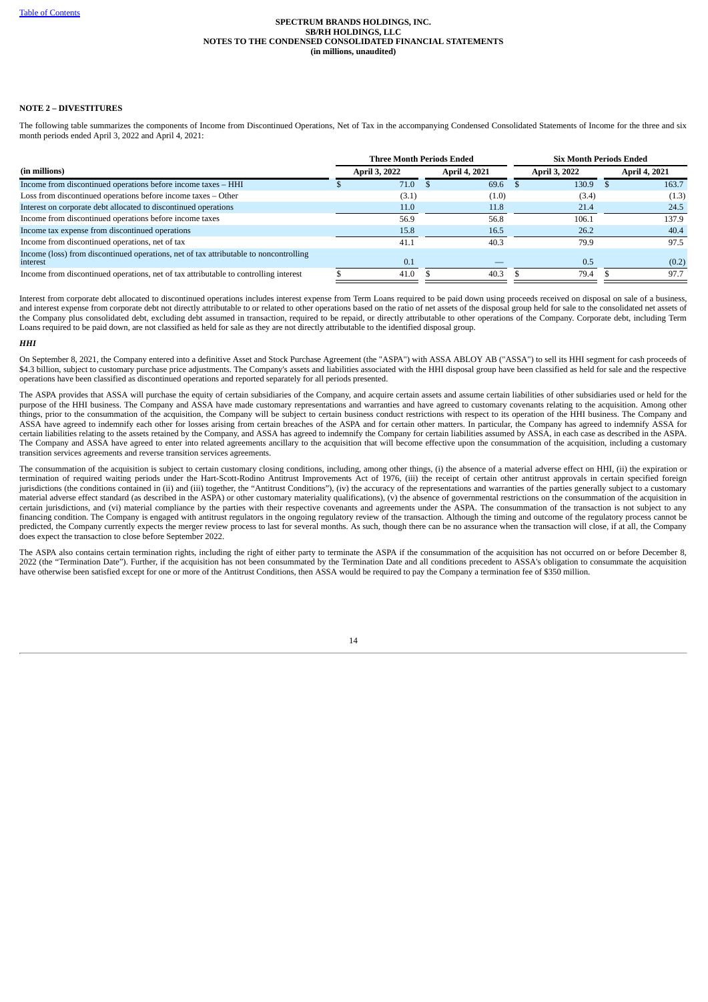# **NOTE 2 – DIVESTITURES**

The following table summarizes the components of Income from Discontinued Operations, Net of Tax in the accompanying Condensed Consolidated Statements of Income for the three and six month periods ended April 3, 2022 and April 4, 2021:

|                                                                                                   | <b>Three Month Periods Ended</b> |                      |  |                      | <b>Six Month Periods Ended</b> |               |  |
|---------------------------------------------------------------------------------------------------|----------------------------------|----------------------|--|----------------------|--------------------------------|---------------|--|
| (in millions)                                                                                     |                                  | <b>April 3, 2022</b> |  | <b>April 4, 2021</b> | <b>April 3, 2022</b>           | April 4, 2021 |  |
| Income from discontinued operations before income taxes - HHI                                     |                                  | 71.0                 |  | 69.6                 | 130.9                          | 163.7         |  |
| Loss from discontinued operations before income taxes - Other                                     |                                  | (3.1)                |  | (1.0)                | (3.4)                          | (1.3)         |  |
| Interest on corporate debt allocated to discontinued operations                                   |                                  | 11.0                 |  | 11.8                 | 21.4                           | 24.5          |  |
| Income from discontinued operations before income taxes                                           |                                  | 56.9                 |  | 56.8                 | 106.1                          | 137.9         |  |
| Income tax expense from discontinued operations                                                   |                                  | 15.8                 |  | 16.5                 | 26.2                           | 40.4          |  |
| Income from discontinued operations, net of tax                                                   |                                  | 41.1                 |  | 40.3                 | 79.9                           | 97.5          |  |
| Income (loss) from discontinued operations, net of tax attributable to noncontrolling<br>interest |                                  | 0.1                  |  |                      | 0.5                            | (0.2)         |  |
| Income from discontinued operations, net of tax attributable to controlling interest              |                                  | 41.0                 |  | 40.3                 | 79.4                           | 97.7          |  |

Interest from corporate debt allocated to discontinued operations includes interest expense from Term Loans required to be paid down using proceeds received on disposal on sale of a business, and interest expense from corporate debt not directly attributable to or related to other operations based on the ratio of net assets of the disposal group held for sale to the consolidated net assets of the Company plus consolidated debt, excluding debt assumed in transaction, required to be repaid, or directly attributable to other operations of the Company. Corporate debt, including Term Loans required to be paid down, are not classified as held for sale as they are not directly attributable to the identified disposal group.

#### *HHI*

On September 8, 2021, the Company entered into a definitive Asset and Stock Purchase Agreement (the "ASPA") with ASSA ABLOY AB ("ASSA") to sell its HHI segment for cash proceeds of \$4.3 billion, subject to customary purchase price adjustments. The Company's assets and liabilities associated with the HHI disposal group have been classified as held for sale and the respective operations have been classified as discontinued operations and reported separately for all periods presented.

The ASPA provides that ASSA will purchase the equity of certain subsidiaries of the Company, and acquire certain assets and assume certain liabilities of other subsidiaries used or held for the purpose of the HHI business. The Company and ASSA have made customary representations and warranties and have agreed to customary covenants relating to the acquisition. Among other things, prior to the consummation of the acquisition, the Company will be subject to certain business conduct restrictions with respect to its operation of the HHI business. The Company and ASSA have agreed to indemnify each other for losses arising from certain breaches of the ASPA and for certain other matters. In particular, the Company has agreed to indemnify ASSA for certain liabilities relating to the assets retained by the Company, and ASSA has agreed to indemnify the Company for certain liabilities assumed by ASSA, in each case as described in the ASPA. The Company and ASSA have agreed to enter into related agreements ancillary to the acquisition that will become effective upon the consummation of the acquisition, including a customary transition services agreements and reverse transition services agreements.

The consummation of the acquisition is subject to certain customary closing conditions, including, among other things, (i) the absence of a material adverse effect on HHI, (ii) the expiration or termination of required waiting periods under the Hart-Scott-Rodino Antitrust Improvements Act of 1976, (iii) the receipt of certain other antitrust approvals in certain specified foreign  $\mu$  is dictions (the conditions contained in (ii) and (iii) together, the "Antitrust Conditions"), (iv) the accuracy of the representations and warranties of the parties generally subject to a customary in submaterial adverse effect standard (as described in the ASPA) or other customary materiality qualifications), (v) the absence of governmental restrictions on the consummation of the acquisition in certain jurisdictions, and (vi) material compliance by the parties with their respective covenants and agreements under the ASPA. The consummation of the transaction is not subject to any financing condition. The Company is engaged with antitrust regulators in the ongoing regulatory review of the transaction. Although the timing and outcome of the regulatory process cannot be predicted, the Company currently expects the merger review process to last for several months. As such, though there can be no assurance when the transaction will close, if at all, the Company does expect the transaction to close before September 2022.

The ASPA also contains certain termination rights, including the right of either party to terminate the ASPA if the consummation of the acquisition has not occurred on or before December 8, 2022 (the "Termination Date"). Further, if the acquisition has not been consummated by the Termination Date and all conditions precedent to ASSA's obligation to consummate the acquisition have otherwise been satisfied except for one or more of the Antitrust Conditions, then ASSA would be required to pay the Company a termination fee of \$350 million.

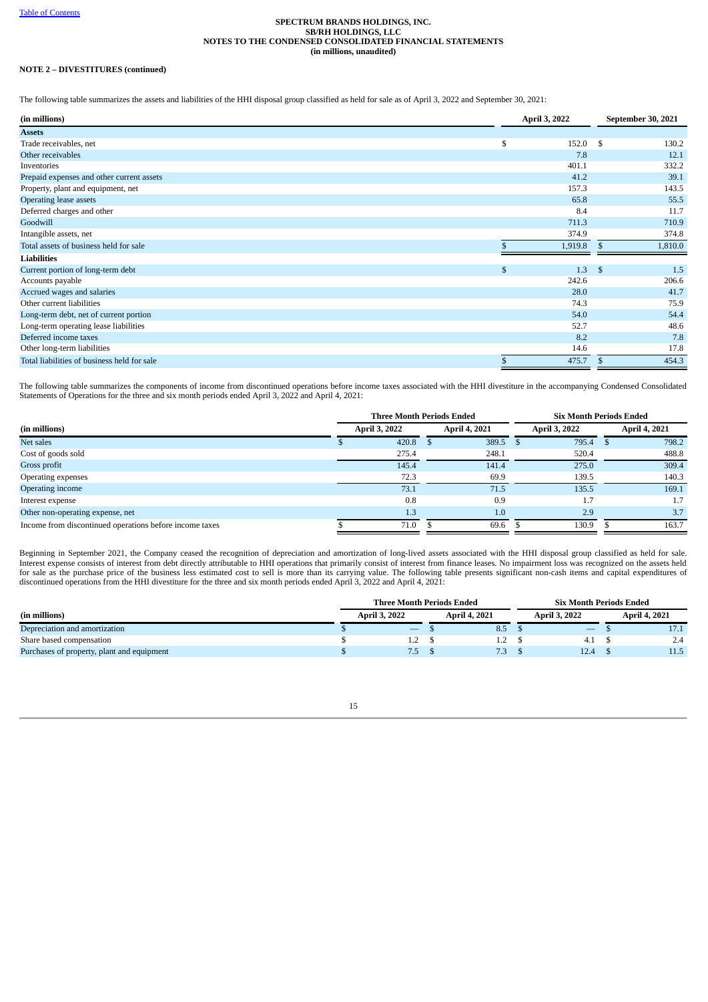# **NOTE 2 – DIVESTITURES (continued)**

The following table summarizes the assets and liabilities of the HHI disposal group classified as held for sale as of April 3, 2022 and September 30, 2021:

| (in millions)                               | April 3, 2022       | September 30, 2021      |
|---------------------------------------------|---------------------|-------------------------|
| <b>Assets</b>                               |                     |                         |
| Trade receivables, net                      | \$<br>152.0         | .S<br>130.2             |
| Other receivables                           | 7.8                 | 12.1                    |
| Inventories                                 | 401.1               | 332.2                   |
| Prepaid expenses and other current assets   | 41.2                | 39.1                    |
| Property, plant and equipment, net          | 157.3               | 143.5                   |
| <b>Operating lease assets</b>               | 65.8                | 55.5                    |
| Deferred charges and other                  | 8.4                 | 11.7                    |
| Goodwill                                    | 711.3               | 710.9                   |
| Intangible assets, net                      | 374.9               | 374.8                   |
| Total assets of business held for sale      | 1,919.8             | $\mathbb{S}$<br>1,810.0 |
| <b>Liabilities</b>                          |                     |                         |
| Current portion of long-term debt           | $\mathbb{S}$<br>1.3 | $\mathbb{S}$<br>1.5     |
| Accounts payable                            | 242.6               | 206.6                   |
| Accrued wages and salaries                  | 28.0                | 41.7                    |
| Other current liabilities                   | 74.3                | 75.9                    |
| Long-term debt, net of current portion      | 54.0                | 54.4                    |
| Long-term operating lease liabilities       | 52.7                | 48.6                    |
| Deferred income taxes                       | 8.2                 | 7.8                     |
| Other long-term liabilities                 | 14.6                | 17.8                    |
| Total liabilities of business held for sale | \$<br>475.7         | 454.3<br>$\mathcal{S}$  |

The following table summarizes the components of income from discontinued operations before income taxes associated with the HHI divestiture in the accompanying Condensed Consolidated Statements of Operations for the three and six month periods ended April 3, 2022 and April 4, 2021:

|                                                         | <b>Three Month Periods Ended</b> |       |  |                      | <b>Six Month Periods Ended</b> |                      |  |                      |  |  |
|---------------------------------------------------------|----------------------------------|-------|--|----------------------|--------------------------------|----------------------|--|----------------------|--|--|
| (in millions)                                           | <b>April 3, 2022</b>             |       |  | <b>April 4, 2021</b> |                                | <b>April 3, 2022</b> |  | <b>April 4, 2021</b> |  |  |
| Net sales                                               |                                  | 420.8 |  | 389.5 \$             |                                | 795.4 \$             |  | 798.2                |  |  |
| Cost of goods sold                                      |                                  | 275.4 |  | 248.1                |                                | 520.4                |  | 488.8                |  |  |
| Gross profit                                            |                                  | 145.4 |  | 141.4                |                                | 275.0                |  | 309.4                |  |  |
| Operating expenses                                      |                                  | 72.3  |  | 69.9                 |                                | 139.5                |  | 140.3                |  |  |
| Operating income                                        |                                  | 73.1  |  | 71.5                 |                                | 135.5                |  | 169.1                |  |  |
| Interest expense                                        |                                  | 0.8   |  | 0.9                  |                                | 1.7                  |  | 1.7                  |  |  |
| Other non-operating expense, net                        |                                  | 1.3   |  | 1.0                  |                                | 2.9                  |  | 3.7                  |  |  |
| Income from discontinued operations before income taxes |                                  | 71.0  |  | 69.6                 |                                | 130.9                |  | 163.7                |  |  |

Beginning in September 2021, the Company ceased the recognition of depreciation and amortization of long-lived assets associated with the HHI disposal group classified as held for sale. Interest expense consists of interest from debt directly attributable to HHI operations that primarily consist of interest from finance leases. No impairment loss was recognized on the assets held for sale as the purchase price of the business less estimated cost to sell is more than its carrying value. The following table presents significant non-cash items and capital expenditures of discontinued operations from the HHI divestiture for the three and six month periods ended April 3, 2022 and April 4, 2021:

|                                            | Three Month Periods Ended |                      |  |               | Six Month Periods Ended |  |               |
|--------------------------------------------|---------------------------|----------------------|--|---------------|-------------------------|--|---------------|
| (in millions)                              |                           | <b>April 3, 2022</b> |  | April 4, 2021 | <b>April 3, 2022</b>    |  | April 4, 2021 |
| Depreciation and amortization              |                           |                      |  | 8.5           |                         |  | 17.1          |
| Share based compensation                   |                           | 1.2                  |  | 1.2           | 4.1                     |  | 2.4           |
| Purchases of property, plant and equipment |                           | $7.5^{\circ}$        |  | 7.3           | 12.4                    |  | 11.5          |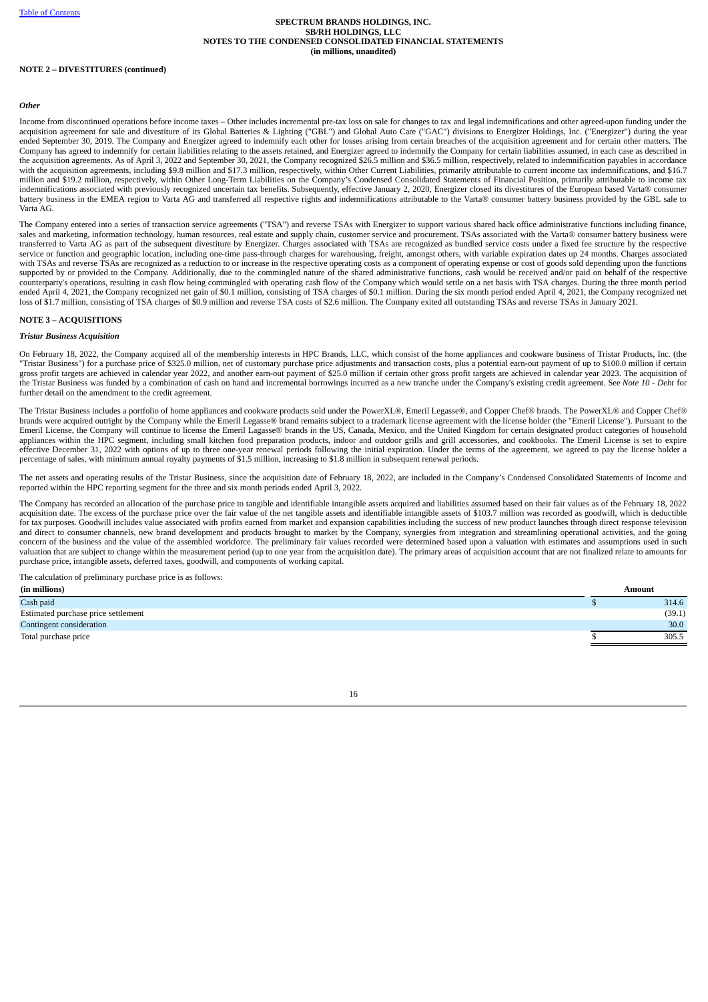# **NOTE 2 – DIVESTITURES (continued)**

#### *Other*

Income from discontinued operations before income taxes – Other includes incremental pre-tax loss on sale for changes to tax and legal indemnifications and other agreed-upon funding under the acquisition agreement for sale and divestiture of its Global Batteries & Lighting ("GBL") and Global Auto Care ("GAC") divisions to Energizer Holdings, Inc. ("Energizer") during the year ended September 30, 2019. The Company and Energizer agreed to indemnify each other for losses arising from certain breaches of the acquisition agreement and for certain other matters. The Company has agreed to indemnify for certain liabilities relating to the assets retained, and Energizer agreed to indemnify the Company for certain liabilities assumed, in each case as described in the acquisition agreements. As of April 3, 2022 and September 30, 2021, the Company recognized \$26.5 million and \$36.5 million, respectively, related to indemnification payables in accordance with the acquisition agreements, including \$9.8 million and \$17.3 million, respectively, within Other Current Liabilities, primarily attributable to current income tax indemnifications, and \$16.7 million and \$19.2 million, respectively, within Other Long-Term Liabilities on the Company's Condensed Consolidated Statements of Financial Position, primarily attributable to income tax indemnifications associated with previously recognized uncertain tax benefits. Subsequently, effective January 2, 2020, Energizer closed its divestitures of the European based Varta® consumer battery business in the EMEA region to Varta AG and transferred all respective rights and indemnifications attributable to the Varta® consumer battery business provided by the GBL sale to Varta AG.

The Company entered into a series of transaction service agreements ("TSA") and reverse TSAs with Energizer to support various shared back office administrative functions including finance, sales and marketing, information technology, human resources, real estate and supply chain, customer service and procurement. TSAs associated with the Varta® consumer battery business were transferred to Varta AG as part of the subsequent divestiture by Energizer. Charges associated with TSAs are recognized as bundled service costs under a fixed fee structure by the respective service or function and geographic location, including one-time pass-through charges for warehousing, freight, amongst others, with variable expiration dates up 24 months. Charges associated with TSAs and reverse TSAs are recognized as a reduction to or increase in the respective operating costs as a component of operating expense or cost of goods sold depending upon the functions supported by or provided to the Company. Additionally, due to the commingled nature of the shared administrative functions, cash would be received and/or paid on behalf of the respective counterparty's operations, resulting in cash flow being commingled with operating cash flow of the Company which would settle on a net basis with TSA charges. During the three month period ended April 4, 2021, the Company recognized net gain of \$0.1 million, consisting of TSA charges of \$0.1 million. During the six month period ended April 4, 2021, the Company recognized net loss of \$1.7 million, consisting of TSA charges of \$0.9 million and reverse TSA costs of \$2.6 million. The Company exited all outstanding TSAs and reverse TSAs in January 2021.

# **NOTE 3 – ACQUISITIONS**

#### *Tristar Business Acquisition*

On February 18, 2022, the Company acquired all of the membership interests in HPC Brands, LLC, which consist of the home appliances and cookware business of Tristar Products, Inc. (the "Tristar Business") for a purchase price of \$325.0 million, net of customary purchase price adjustments and transaction costs, plus a potential earn-out payment of up to \$100.0 million if certain gross profit targets are achieved in calendar year 2022, and another earn-out payment of \$25.0 million if certain other gross profit targets are achieved in calendar year 2023. The acquisition of the Tristar Business was funded by a combination of cash on hand and incremental borrowings incurred as a new tranche under the Company's existing credit agreement. See *Note 10 - Debt* for further detail on the amendment to the credit agreement.

The Tristar Business includes a portfolio of home appliances and cookware products sold under the PowerXL®, Emeril Legasse®, and Copper Chef® brands. The PowerXL® and Copper Chef® brands were acquired outright by the Company while the Emeril Legasse® brand remains subject to a trademark license agreement with the license holder (the "Emeril License"). Pursuant to the Emeril License, the Company will continue to license the Emeril Lagasse® brands in the US, Canada, Mexico, and the United Kingdom for certain designated product categories of household appliances within the HPC segment, including small kitchen food preparation products, indoor and outdoor grills and grill accessories, and cookbooks. The Emeril License is set to expire effective December 31, 2022 with options of up to three one-year renewal periods following the initial expiration. Under the terms of the agreement, we agreed to pay the license holder a percentage of sales, with minimum annual royalty payments of \$1.5 million, increasing to \$1.8 million in subsequent renewal periods.

The net assets and operating results of the Tristar Business, since the acquisition date of February 18, 2022, are included in the Company's Condensed Consolidated Statements of Income and reported within the HPC reporting segment for the three and six month periods ended April 3, 2022.

The Company has recorded an allocation of the purchase price to tangible and identifiable intangible assets acquired and liabilities assumed based on their fair values as of the February 18, 2022 acquisition date. The excess of the purchase price over the fair value of the net tangible assets and identifiable intangible assets of \$103.7 million was recorded as goodwill, which is deductible for tax purposes. Goodwill includes value associated with profits earned from market and expansion capabilities including the success of new product launches through direct response television and direct to consumer channels, new brand development and products brought to market by the Company, synergies from integration and streamlining operational activities, and the going concern of the business and the value of the assembled workforce. The preliminary fair values recorded were determined based upon a valuation with estimates and assumptions used in such valuation that are subject to change within the measurement period (up to one year from the acquisition date). The primary areas of acquisition account that are not finalized relate to amounts for valuation that are not fi purchase price, intangible assets, deferred taxes, goodwill, and components of working capital.

The calculation of preliminary purchase price is as follows:

| (in millions)                       | Amount |
|-------------------------------------|--------|
| Cash paid                           | 314.6  |
| Estimated purchase price settlement | (39.1) |
| Contingent consideration            | 30.0   |
| Total purchase price                | 305.5  |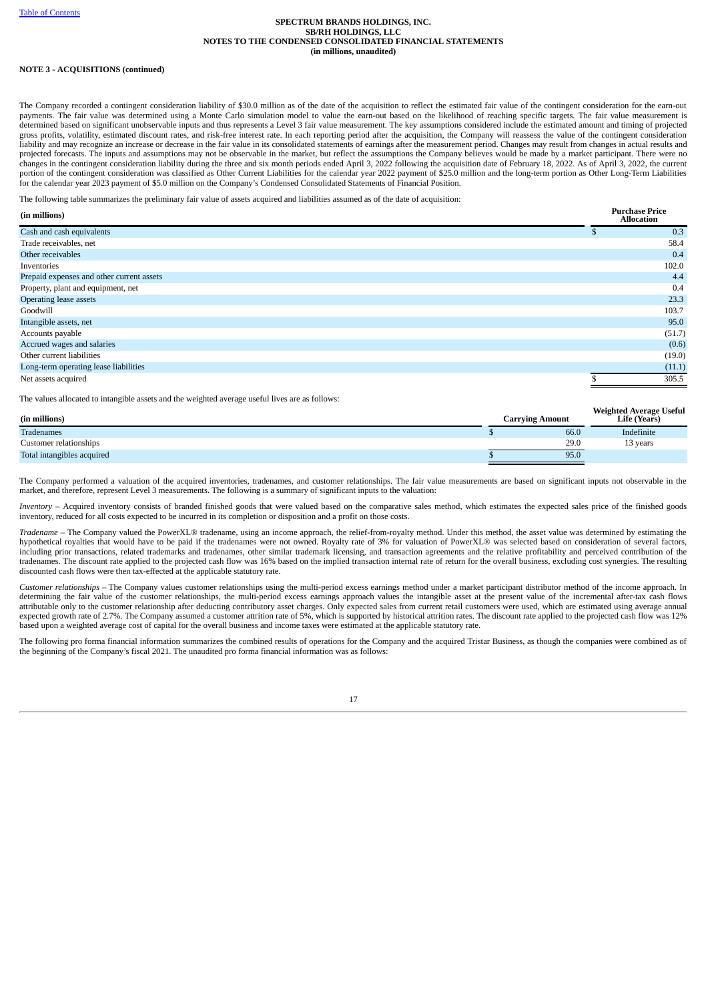# **NOTE 3 - ACQUISITIONS (continued)**

The Company recorded a contingent consideration liability of \$30.0 million as of the date of the acquisition to reflect the estimated fair value of the contingent consideration for the earn-out payments. The fair value was determined using a Monte Carlo simulation model to value the earn-out based on the likelihood of reaching specific targets. The fair value measurement is determined based on significant unobservable inputs and thus represents a Level 3 fair value measurement. The key assumptions considered include the estimated amount and timing of projected gross profits, volatility, estimated discount rates, and risk-free interest rate. In each reporting period after the acquisition, the Company will reassess the value of the contingent consideration liability and may recognize an increase or decrease in the fair value in its consolidated statements of earnings after the measurement period. Changes may result from changes in actual results and projected forecasts. The inputs and assumptions may not be observable in the market, but reflect the assumptions the Company believes would be made by a market participant. There were no changes in the contingent consideration liability during the three and six month periods ended April 3, 2022 following the acquisition date of February 18, 2022. As of April 3, 2022, the current portion of the contingent consideration was classified as Other Current Liabilities for the calendar year 2022 payment of \$25.0 million and the long-term portion as Other Long-Term Liabilities for the calendar year 2023 payment of \$5.0 million on the Company's Condensed Consolidated Statements of Financial Position.

The following table summarizes the preliminary fair value of assets acquired and liabilities assumed as of the date of acquisition:

| (in millions)                             | <b>Purchase Price</b><br><b>Allocation</b> |
|-------------------------------------------|--------------------------------------------|
| Cash and cash equivalents                 | 0.3<br>ъ                                   |
| Trade receivables, net                    | 58.4                                       |
| Other receivables                         | 0.4                                        |
| Inventories                               | 102.0                                      |
| Prepaid expenses and other current assets | 4.4                                        |
| Property, plant and equipment, net        | 0.4                                        |
| <b>Operating lease assets</b>             | 23.3                                       |
| Goodwill                                  | 103.7                                      |
| Intangible assets, net                    | 95.0                                       |
| Accounts payable                          | (51.7)                                     |
| Accrued wages and salaries                | (0.6)                                      |
| Other current liabilities                 | (19.0)                                     |
| Long-term operating lease liabilities     | (11.1)                                     |
| Net assets acquired                       | 305.5                                      |

The values allocated to intangible assets and the weighted average useful lives are as follows:

| (in millions)              | <b>Carrying Amount</b> | <b>Weighted Average Useful</b><br>Life (Years) |
|----------------------------|------------------------|------------------------------------------------|
| Tradenames                 | 66.0                   | Indefinite                                     |
| Customer relationships     | 29.0                   | 13 vears                                       |
| Total intangibles acquired | 95.0                   |                                                |

The Company performed a valuation of the acquired inventories, tradenames, and customer relationships. The fair value measurements are based on significant inputs not observable in the market, and therefore, represent Level 3 measurements. The following is a summary of significant inputs to the valuation:

*Inventory* – Acquired inventory consists of branded finished goods that were valued based on the comparative sales method, which estimates the expected sales price of the finished goods inventory, reduced for all costs expected to be incurred in its completion or disposition and a profit on those costs.

*Tradename* – The Company valued the PowerXL® tradename, using an income approach, the relief-from-royalty method. Under this method, the asset value was determined by estimating the hypothetical royalties that would have to be paid if the tradenames were not owned. Royalty rate of 3% for valuation of PowerXL® was selected based on consideration of several factors, including prior transactions, related trademarks and tradenames, other similar trademark licensing, and transaction agreements and the relative profitability and perceived contribution of the tradenames. The discount rate applied to the projected cash flow was 16% based on the implied transaction internal rate of return for the overall business, excluding cost synergies. The resulting discounted cash flows were then tax-effected at the applicable statutory rate.

*Customer relationships* – The Company values customer relationships using the multi-period excess earnings method under a market participant distributor method of the income approach. In determining the fair value of the customer relationships, the multi-period excess earnings approach values the intangible asset at the present value of the incremental after-tax cash flows attributable only to the customer relationship after deducting contributory asset charges. Only expected sales from current retail customers were used, which are estimated using average annual expected growth rate of 2.7%. The Company assumed a customer attrition rate of 5%, which is supported by historical attrition rates. The discount rate applied to the projected cash flow was 12% based upon a weighted average cost of capital for the overall business and income taxes were estimated at the applicable statutory rate.

The following pro forma financial information summarizes the combined results of operations for the Company and the acquired Tristar Business, as though the companies were combined as of the beginning of the Company's fiscal 2021. The unaudited pro forma financial information was as follows: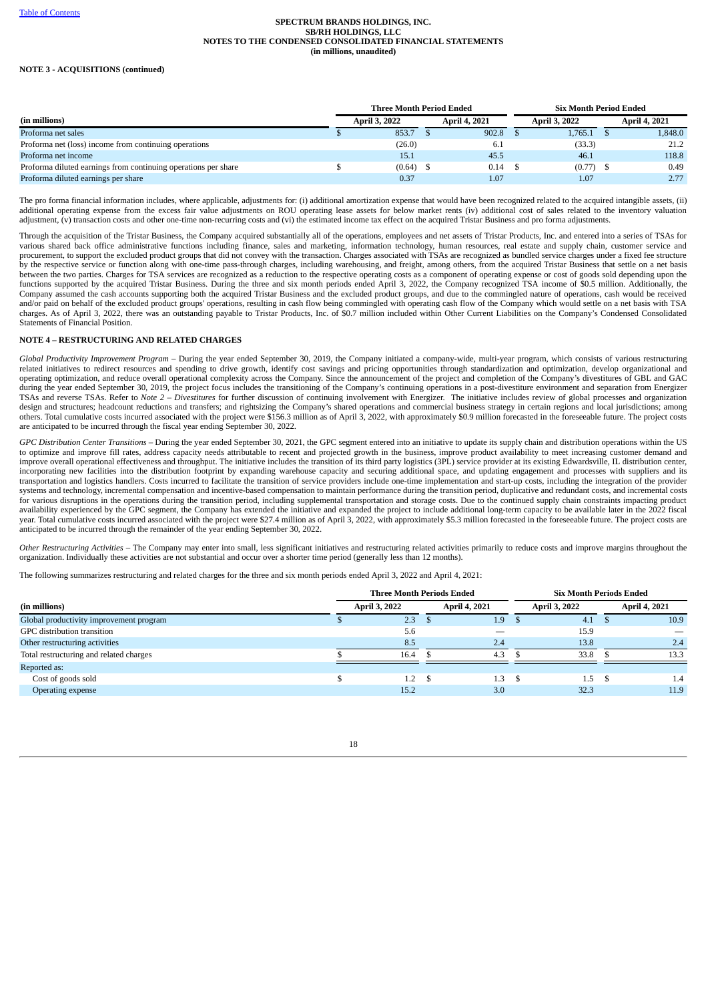# **NOTE 3 - ACQUISITIONS (continued)**

|                                                                | <b>Three Month Period Ended</b> |  |                      |     | <b>Six Month Period Ended</b> |  |                      |  |  |
|----------------------------------------------------------------|---------------------------------|--|----------------------|-----|-------------------------------|--|----------------------|--|--|
| (in millions)                                                  | <b>April 3, 2022</b>            |  | <b>April 4, 2021</b> |     | <b>April 3, 2022</b>          |  | <b>April 4, 2021</b> |  |  |
| Proforma net sales                                             | 853.7                           |  | 902.8                |     | 1.765.1                       |  | 1.848.0              |  |  |
| Proforma net (loss) income from continuing operations          | (26.0)                          |  | 6.1                  |     | (33.3)                        |  | 21.2                 |  |  |
| Proforma net income                                            | 15.1                            |  | 45.5                 |     | 46.1                          |  | 118.8                |  |  |
| Proforma diluted earnings from continuing operations per share | $(0.64)$ \$                     |  | 0.14                 | - 5 | $(0.77)$ \$                   |  | 0.49                 |  |  |
| Proforma diluted earnings per share                            | 0.37                            |  | 1.07                 |     | 1.07                          |  | 2.77                 |  |  |

The pro forma financial information includes, where applicable, adjustments for: (i) additional amortization expense that would have been recognized related to the acquired intangible assets, (ii) additional operating expense from the excess fair value adjustments on ROU operating lease assets for below market rents (iv) additional cost of sales related to the inventory valuation adjustment, (v) transaction costs and other one-time non-recurring costs and (vi) the estimated income tax effect on the acquired Tristar Business and pro forma adjustments.

Through the acquisition of the Tristar Business, the Company acquired substantially all of the operations, employees and net assets of Tristar Products, Inc. and entered into a series of TSAs for various shared back office administrative functions including finance, sales and marketing, information technology, human resources, real estate and supply chain, customer service and procurement, to support the excluded product groups that did not convey with the transaction. Charges associated with TSAs are recognized as bundled service charges under a fixed fee structure by the respective service or function along with one-time pass-through charges, including warehousing, and freight, among others, from the acquired Tristar Business that settle on a net basis between the two parties. Charges for TSA services are recognized as a reduction to the respective operating costs as a component of operating expense or cost of goods sold depending upon the functions supported by the acquired Tristar Business. During the three and six month periods ended April 3, 2022, the Company recognized TSA income of \$0.5 million. Additionally, the Company assumed the cash accounts supporting both the acquired Tristar Business and the excluded product groups, and due to the commingled nature of operations, cash would be received and/or paid on behalf of the excluded product groups' operations, resulting in cash flow being commingled with operating cash flow of the Company which would settle on a net basis with TSA charges. As of April 3, 2022, there was an outstanding payable to Tristar Products, Inc. of \$0.7 million included within Other Current Liabilities on the Company's Condensed Consolidated Statements of Financial Position.

# **NOTE 4 – RESTRUCTURING AND RELATED CHARGES**

*Global Productivity Improvement Program –* During the year ended September 30, 2019, the Company initiated a company-wide, multi-year program, which consists of various restructuring related initiatives to redirect resources and spending to drive growth, identify cost savings and pricing opportunities through standardization and optimization, develop organizational and operating optimization, and reduce overall operational complexity across the Company. Since the announcement of the project and completion of the Company's divestitures of GBL and GAC during the year ended September 30, 2019, the project focus includes the transitioning of the Company's continuing operations in a post-divestiture environment and separation from Energizer TSAs and reverse TSAs. Refer to *Note*  $2$  – *Divestitures* for further discussion of continuing involvement with Energizer. The initiative includes review of global processes and organization design and structures; headcount reductions and transfers; and rightsizing the Company's shared operations and commercial business strategy in certain regions and local jurisdictions; among others. Total cumulative costs incurred associated with the project were \$156.3 million as of April 3, 2022, with approximately \$0.9 million forecasted in the foreseeable future. The project costs are anticipated to be incurred through the fiscal year ending September 30, 2022.

GPC Distribution Center Transitions - During the year ended September 30, 2021, the GPC segment entered into an initiative to update its supply chain and distribution operations within the US to optimize and improve fill rates, address capacity needs attributable to recent and projected growth in the business, improve product availability to meet increasing customer demand and improve overall operational effectiveness and throughput. The initiative includes the transition of its third party logistics (3PL) service provider at its existing Edwardsville, IL distribution center, incorporating new facilities into the distribution footprint by expanding warehouse capacity and securing additional space, and updating engagement and processes with suppliers and its transportation and logistics handlers. Costs incurred to facilitate the transition of service providers include one-time implementation and start-up costs, including the integration of the provider systems and technology, incremental compensation and incentive-based compensation to maintain performance during the transition period, duplicative and redundant costs, and incremental costs for various disruptions in the operations during the transition period, including supplemental transportation and storage costs. Due to the continued supply chain constraints impacting product availability experienced by the GPC segment, the Company has extended the initiative and expanded the project to include additional long-term capacity to be available later in the 2022 fiscal year. Total cumulative costs incurred associated with the project were \$27.4 million as of April 3, 2022, with approximately \$5.3 million forecasted in the foreseeable future. The project costs are anticipated to be incurred through the remainder of the year ending September 30, 2022.

*Other Restructuring Activities* – The Company may enter into small, less significant initiatives and restructuring related activities primarily to reduce costs and improve margins throughout the organization. Individually these activities are not substantial and occur over a shorter time period (generally less than 12 months).

The following summarizes restructuring and related charges for the three and six month periods ended April 3, 2022 and April 4, 2021:

|                                         | <b>Three Month Periods Ended</b> |                  |  |                      | <b>Six Month Periods Ended</b> |                      |  |                      |  |
|-----------------------------------------|----------------------------------|------------------|--|----------------------|--------------------------------|----------------------|--|----------------------|--|
| (in millions)                           | <b>April 3, 2022</b>             |                  |  | <b>April 4, 2021</b> |                                | <b>April 3, 2022</b> |  | <b>April 4, 2021</b> |  |
| Global productivity improvement program |                                  | 2.3              |  | 1.9                  |                                | 4.1                  |  | 10.9                 |  |
| GPC distribution transition             |                                  | 5.6              |  |                      |                                | 15.9                 |  |                      |  |
| Other restructuring activities          |                                  | 8.5              |  | 2.4                  |                                | 13.8                 |  | 2.4                  |  |
| Total restructuring and related charges |                                  | 16.4             |  | 4.3                  |                                | 33.8                 |  | 13.3                 |  |
| Reported as:                            |                                  |                  |  |                      |                                |                      |  |                      |  |
| Cost of goods sold                      |                                  | 1.2 <sub>5</sub> |  | 1.3                  |                                | 1.5                  |  | 1.4                  |  |
| Operating expense                       |                                  | 15.2             |  | 3.0                  |                                | 32.3                 |  | 11.9                 |  |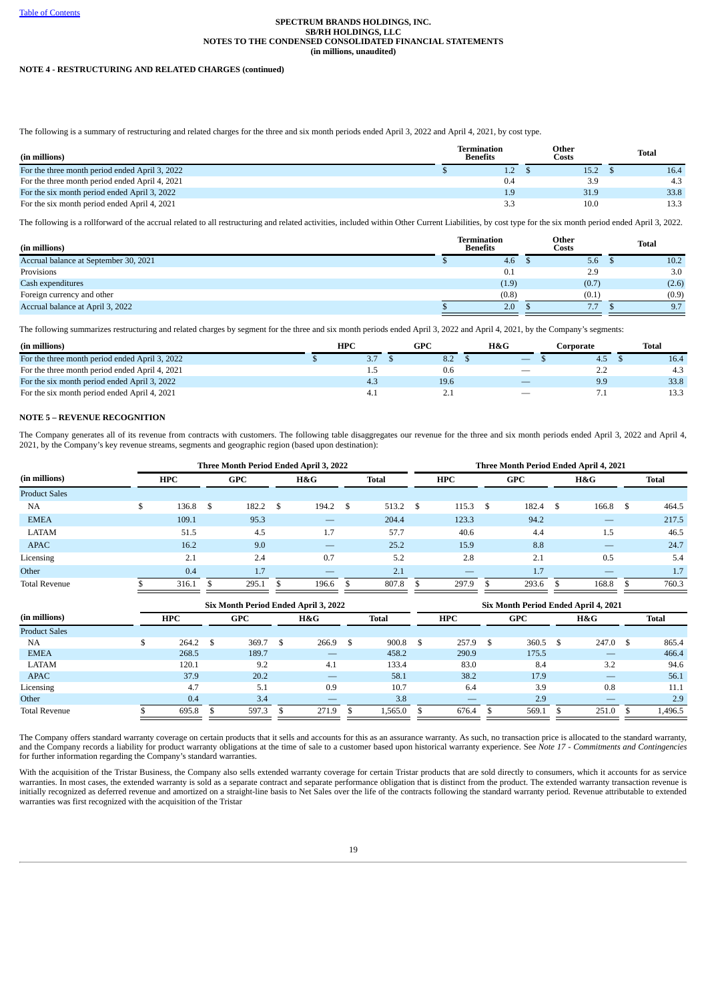# **NOTE 4 - RESTRUCTURING AND RELATED CHARGES (continued)**

The following is a summary of restructuring and related charges for the three and six month periods ended April 3, 2022 and April 4, 2021, by cost type.

| (in millions)                                  | Termination<br>Benefits |     | Other<br>Costs | <b>Total</b> |
|------------------------------------------------|-------------------------|-----|----------------|--------------|
| For the three month period ended April 3, 2022 |                         | 1.2 | 15.2           | 16.4         |
| For the three month period ended April 4, 2021 |                         | 0.4 | 3.9            | 4.3          |
| For the six month period ended April 3, 2022   |                         | 1.9 | 31.9           | 33.8         |
| For the six month period ended April 4, 2021   |                         | 3.3 | 10.0           | 13.3         |

The following is a rollforward of the accrual related to all restructuring and related activities, included within Other Current Liabilities, by cost type for the six month period ended April 3, 2022.

| (in millions)                         | Termination<br><b>Benefits</b> | Other<br>Costs | <b>Total</b> |
|---------------------------------------|--------------------------------|----------------|--------------|
| Accrual balance at September 30, 2021 | 4.6                            | 5.6            | 10.2         |
| Provisions                            | 0.1                            | 2.9            | 3.0          |
| Cash expenditures                     | (1.9)                          | (0.7)          | (2.6)        |
| Foreign currency and other            | (0.8)                          | (0.1)          | (0.9)        |
| Accrual balance at April 3, 2022      | 2.0                            | 7.7            | 9.7          |

The following summarizes restructuring and related charges by segment for the three and six month periods ended April 3, 2022 and April 4, 2021, by the Company's segments:

| (in millions)                                  | <b>HPC</b> | GPC  | H&G | ∃orporate | Total |
|------------------------------------------------|------------|------|-----|-----------|-------|
| For the three month period ended April 3, 2022 | ر ر        | 8.2  |     |           | 16.4  |
| For the three month period ended April 4, 2021 |            | 0.6  |     | <u>.</u>  | 4.3   |
| For the six month period ended April 3, 2022   |            | 19.6 |     | 9.9       | 33.8  |
| For the six month period ended April 4, 2021   |            | 2.1  |     |           | 13.3  |

# **NOTE 5 – REVENUE RECOGNITION**

The Company generates all of its revenue from contracts with customers. The following table disaggregates our revenue for the three and six month periods ended April 3, 2022 and April 4, 2021, by the Company's key revenue streams, segments and geographic region (based upon destination):

| Three Month Period Ended April 3, 2022<br>(in millions)<br><b>GPC</b><br>H&G<br><b>HPC</b> |  |       |   |       |   |       |      |              | Three Month Period Ended April 4, 2021 |            |  |            |  |       |    |       |  |  |
|--------------------------------------------------------------------------------------------|--|-------|---|-------|---|-------|------|--------------|----------------------------------------|------------|--|------------|--|-------|----|-------|--|--|
|                                                                                            |  |       |   |       |   |       |      | <b>Total</b> |                                        | <b>HPC</b> |  | <b>GPC</b> |  | H&G   |    | Total |  |  |
| <b>Product Sales</b>                                                                       |  |       |   |       |   |       |      |              |                                        |            |  |            |  |       |    |       |  |  |
| <b>NA</b>                                                                                  |  | 136.8 | S | 182.2 | S | 194.2 | - \$ | 513.2 \$     |                                        | 115.3      |  | 182.4      |  | 166.8 | \$ | 464.5 |  |  |
| <b>EMEA</b>                                                                                |  | 109.1 |   | 95.3  |   |       |      | 204.4        |                                        | 123.3      |  | 94.2       |  |       |    | 217.5 |  |  |
| <b>LATAM</b>                                                                               |  | 51.5  |   | 4.5   |   | 1.7   |      | 57.7         |                                        | 40.6       |  | 4.4        |  | 1.5   |    | 46.5  |  |  |
| APAC                                                                                       |  | 16.2  |   | 9.0   |   | __    |      | 25.2         |                                        | 15.9       |  | 8.8        |  | –     |    | 24.7  |  |  |
| Licensing                                                                                  |  | 2.1   |   | 2.4   |   | 0.7   |      | 5.2          |                                        | 2.8        |  | 2.1        |  | 0.5   |    | 5.4   |  |  |
| Other                                                                                      |  | 0.4   |   | 1.7   |   |       |      | 2.1          |                                        |            |  | 1.7        |  |       |    | 1.7   |  |  |
| <b>Total Revenue</b>                                                                       |  | 316.1 |   | 295.1 |   | 196.6 |      | 807.8        |                                        | 297.9      |  | 293.6      |  | 168.8 |    | 760.3 |  |  |

| Six Month Period Ended April 3, 2022 |  |            |  |            |  |       |  |              | Six Month Period Ended April 4, 2021 |            |  |            |  |       |  |              |  |  |
|--------------------------------------|--|------------|--|------------|--|-------|--|--------------|--------------------------------------|------------|--|------------|--|-------|--|--------------|--|--|
| (in millions)                        |  | <b>HPC</b> |  | <b>GPC</b> |  | H&G   |  | <b>Total</b> |                                      | <b>HPC</b> |  | <b>GPC</b> |  | H&G   |  | <b>Total</b> |  |  |
| <b>Product Sales</b>                 |  |            |  |            |  |       |  |              |                                      |            |  |            |  |       |  |              |  |  |
| <b>NA</b>                            |  | 264.2      |  | 369.7      |  | 266.9 |  | 900.8        |                                      | 257.9      |  | 360.5      |  | 247.0 |  | 865.4        |  |  |
| <b>EMEA</b>                          |  | 268.5      |  | 189.7      |  |       |  | 458.2        |                                      | 290.9      |  | 175.5      |  |       |  | 466.4        |  |  |
| LATAM                                |  | 120.1      |  | 9.2        |  | 4.1   |  | 133.4        |                                      | 83.0       |  | 8.4        |  | 3.2   |  | 94.6         |  |  |
| APAC                                 |  | 37.9       |  | 20.2       |  |       |  | 58.1         |                                      | 38.2       |  | 17.9       |  | __    |  | 56.1         |  |  |
| Licensing                            |  | 4.7        |  | 5.1        |  | 0.9   |  | 10.7         |                                      | 6.4        |  | 3.9        |  | 0.8   |  | 11.1         |  |  |
| Other                                |  | 0.4        |  | 3.4        |  |       |  | 3.8          |                                      |            |  | 2.9        |  |       |  | 2.9          |  |  |
| <b>Total Revenue</b>                 |  | 695.8      |  | 597.3      |  | 271.9 |  | 1,565.0      |                                      | 676.4      |  | 569.1      |  | 251.0 |  | 1,496.5      |  |  |

The Company offers standard warranty coverage on certain products that it sells and accounts for this as an assurance warranty. As such, no transaction price is allocated to the standard warranty, and the Company records a liability for product warranty obligations at the time of sale to a customer based upon historical warranty experience. See Note 17 - Commitments and Contingencies for further information regarding the Company's standard warranties.

With the acquisition of the Tristar Business, the Company also sells extended warranty coverage for certain Tristar products that are sold directly to consumers, which it accounts for as service warranties. In most cases, the extended warranty is sold as a separate contract and separate performance obligation that is distinct from the product. The extended warranty transaction revenue is initially recognized as deferred revenue and amortized on a straight-line basis to Net Sales over the life of the contracts following the standard warranty period. Revenue attributable to extended warranties was first recognized with the acquisition of the Tristar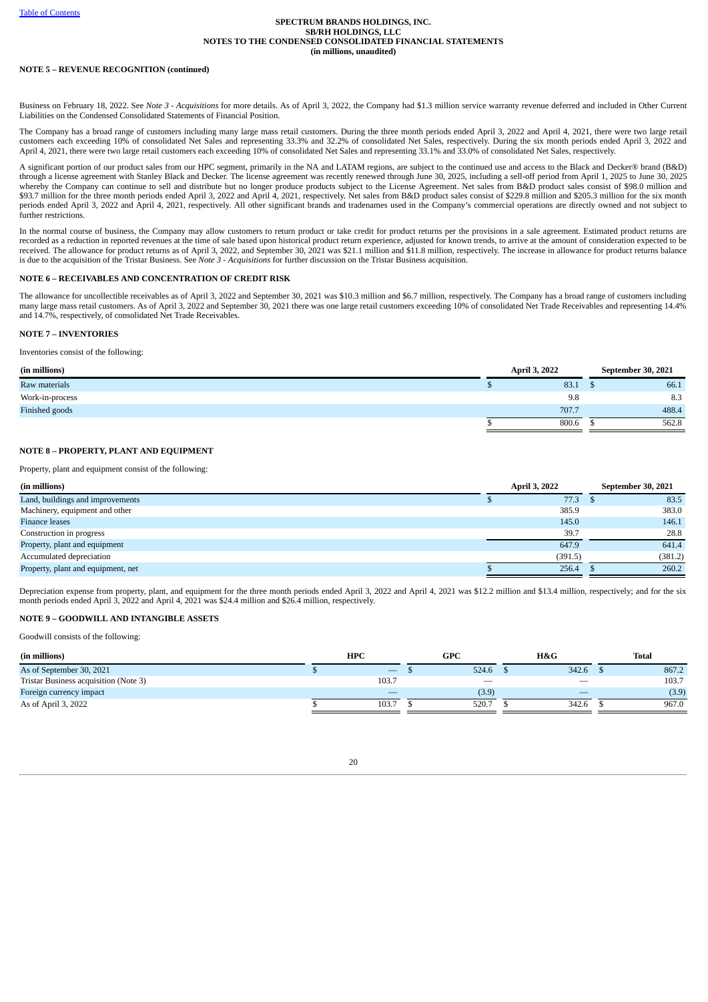# **NOTE 5 – REVENUE RECOGNITION (continued)**

Business on February 18, 2022. See *Note 3 - Acquisitions* for more details. As of April 3, 2022, the Company had \$1.3 million service warranty revenue deferred and included in Other Current Liabilities on the Condensed Consolidated Statements of Financial Position.

The Company has a broad range of customers including many large mass retail customers. During the three month periods ended April 3, 2022 and April 4, 2021, there were two large retail customers each exceeding 10% of consolidated Net Sales and representing 33.3% and 32.2% of consolidated Net Sales, respectively. During the six month periods ended April 3, 2022 and April 4, 2021, there were two large retail customers each exceeding 10% of consolidated Net Sales and representing 33.1% and 33.0% of consolidated Net Sales, respectively.

A significant portion of our product sales from our HPC segment, primarily in the NA and LATAM regions, are subject to the continued use and access to the Black and Decker® brand (B&D) through a license agreement with Stanley Black and Decker. The license agreement was recently renewed through June 30, 2025, including a sell-off period from April 1, 2025 to June 30, 2025 whereby the Company can continue to sell and distribute but no longer produce products subject to the License Agreement. Net sales from B&D product sales consist of \$98.0 million and \$93.7 million for the three month periods ended April 3, 2022 and April 4, 2021, respectively. Net sales from B&D product sales consist of \$229.8 million and \$205.3 million for the six month periods ended April 3, 2022 and April 4, 2021, respectively. All other significant brands and tradenames used in the Company's commercial operations are directly owned and not subject to further restrictions.

In the normal course of business, the Company may allow customers to return product or take credit for product returns per the provisions in a sale agreement. Estimated product returns are recorded as a reduction in reported revenues at the time of sale based upon historical product return experience, adjusted for known trends, to arrive at the amount of consideration expected to be received. The allowance for product returns as of April 3, 2022, and September 30, 2021 was \$21.1 million and \$11.8 million, respectively. The increase in allowance for product returns balance is due to the acquisition of the Tristar Business. See *Note 3 - Acquisitions* for further discussion on the Tristar Business acquisition.

# **NOTE 6 – RECEIVABLES AND CONCENTRATION OF CREDIT RISK**

The allowance for uncollectible receivables as of April 3, 2022 and September 30, 2021 was \$10.3 million and \$6.7 million, respectively. The Company has a broad range of customers including many large mass retail customers. As of April 3, 2022 and September 30, 2021 there was one large retail customers exceeding 10% of consolidated Net Trade Receivables and representing 14.4% and 14.7%, respectively, of consolidated Net Trade Receivables.

# **NOTE 7 – INVENTORIES**

#### Inventories consist of the following:

| (in millions)   | <b>April 3, 2022</b> | <b>September 30, 2021</b> |  |
|-----------------|----------------------|---------------------------|--|
| Raw materials   | 83.1                 | 66.1                      |  |
| Work-in-process | 9.8                  | 8.3                       |  |
| Finished goods  | 707.7                | 488.4                     |  |
|                 | 800.6                | 562.8                     |  |

# **NOTE 8 – PROPERTY, PLANT AND EQUIPMENT**

Property, plant and equipment consist of the following:

| (in millions)                      | <b>April 3, 2022</b> | September 30, 2021 |
|------------------------------------|----------------------|--------------------|
| Land, buildings and improvements   | 77.3                 | 83.5               |
| Machinery, equipment and other     | 385.9                | 383.0              |
| Finance leases                     | 145.0                | 146.1              |
| Construction in progress           | 39.7                 | 28.8               |
| Property, plant and equipment      | 647.9                | 641.4              |
| Accumulated depreciation           | (391.5)              | (381.2)            |
| Property, plant and equipment, net | 256.4                | 260.2              |

Depreciation expense from property, plant, and equipment for the three month periods ended April 3, 2022 and April 4, 2021 was \$12.2 million and \$13.4 million, respectively; and for the six month periods ended April 3, 2022 and April 4, 2021 was \$24.4 million and \$26.4 million, respectively.

# **NOTE 9 – GOODWILL AND INTANGIBLE ASSETS**

Goodwill consists of the following:

| (in millions)                         | <b>HPC</b>                     | GPC                             | H&G |       |  | <b>Total</b> |
|---------------------------------------|--------------------------------|---------------------------------|-----|-------|--|--------------|
| As of September 30, 2021              | $\qquad \qquad \longleftarrow$ | 524.6                           |     | 342.6 |  | 867.2        |
| Tristar Business acquisition (Note 3) | 103.7                          | $\hspace{0.1mm}-\hspace{0.1mm}$ |     | –     |  | 103.7        |
| Foreign currency impact               |                                | (3.9)                           |     | –     |  | (3.9)        |
| As of April 3, 2022                   | 103.7                          | 520.7                           |     | 342.6 |  | 967.0        |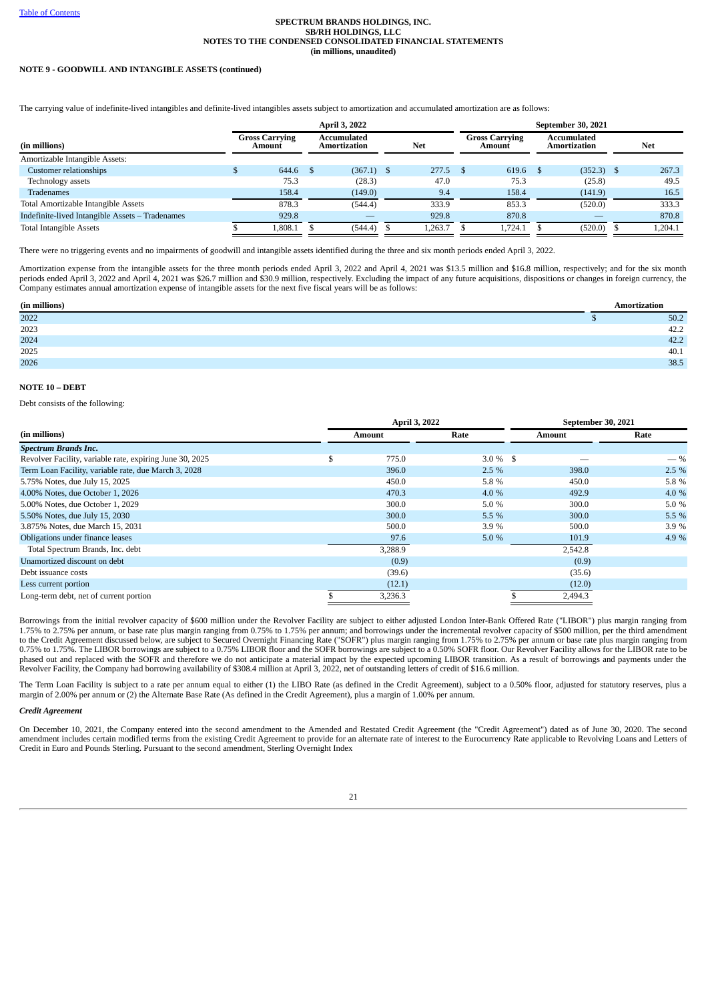# **NOTE 9 - GOODWILL AND INTANGIBLE ASSETS (continued)**

The carrying value of indefinite-lived intangibles and definite-lived intangibles assets subject to amortization and accumulated amortization are as follows:

|                                                 |                                 |   | <b>April 3, 2022</b>        |            |                                 |     | September 30, 2021          |         |
|-------------------------------------------------|---------------------------------|---|-----------------------------|------------|---------------------------------|-----|-----------------------------|---------|
| (in millions)                                   | <b>Gross Carrying</b><br>Amount |   | Accumulated<br>Amortization | <b>Net</b> | <b>Gross Carrying</b><br>Amount |     | Accumulated<br>Amortization | Net     |
| Amortizable Intangible Assets:                  |                                 |   |                             |            |                                 |     |                             |         |
| Customer relationships                          | 644.6                           | S | $(367.1)$ \$                | $277.5$ \$ | 619.6                           | - S | $(352.3)$ \$                | 267.3   |
| Technology assets                               | 75.3                            |   | (28.3)                      | 47.0       | 75.3                            |     | (25.8)                      | 49.5    |
| Tradenames                                      | 158.4                           |   | (149.0)                     | 9.4        | 158.4                           |     | (141.9)                     | 16.5    |
| Total Amortizable Intangible Assets             | 878.3                           |   | (544.4)                     | 333.9      | 853.3                           |     | (520.0)                     | 333.3   |
| Indefinite-lived Intangible Assets - Tradenames | 929.8                           |   | __                          | 929.8      | 870.8                           |     | __                          | 870.8   |
| <b>Total Intangible Assets</b>                  | 1,808.1                         |   | (544.4)                     | 1,263.7    | 1,724.1                         |     | (520.0)                     | 1.204.1 |

There were no triggering events and no impairments of goodwill and intangible assets identified during the three and six month periods ended April 3, 2022.

Amortization expense from the intangible assets for the three month periods ended April 3, 2022 and April 4, 2021 was \$13.5 million and \$16.8 million, respectively; and for the six month periods ended April 3, 2022 and April 4, 2021 was \$26.7 million and \$30.9 million, respectively. Excluding the impact of any future acquisitions, dispositions or changes in foreign currency, the Company estimates annual amortization expense of intangible assets for the next five fiscal years will be as follows:

| (in millions) | Amortization |  |  |
|---------------|--------------|--|--|
| 2022          | 50.2         |  |  |
| 2023          | 42.2         |  |  |
| 2024          | 42.2         |  |  |
| 2025<br>2026  | 40.1         |  |  |
|               | 38.5         |  |  |

# **NOTE 10 – DEBT**

Debt consists of the following:

|                                                          |     | April 3, 2022 | <b>September 30, 2021</b> |         |       |  |  |
|----------------------------------------------------------|-----|---------------|---------------------------|---------|-------|--|--|
| (in millions)                                            |     | Amount        | Rate                      | Amount  | Rate  |  |  |
| <b>Spectrum Brands Inc.</b>                              |     |               |                           |         |       |  |  |
| Revolver Facility, variable rate, expiring June 30, 2025 | \$. | 775.0         | $3.0\%$ \$                |         | $-$ % |  |  |
| Term Loan Facility, variable rate, due March 3, 2028     |     | 396.0         | 2.5%                      | 398.0   | 2.5 % |  |  |
| 5.75% Notes, due July 15, 2025                           |     | 450.0         | 5.8%                      | 450.0   | 5.8%  |  |  |
| 4.00% Notes, due October 1, 2026                         |     | 470.3         | 4.0 %                     | 492.9   | 4.0 % |  |  |
| 5.00% Notes, due October 1, 2029                         |     | 300.0         | 5.0%                      | 300.0   | 5.0 % |  |  |
| 5.50% Notes, due July 15, 2030                           |     | 300.0         | 5.5 %                     | 300.0   | 5.5 % |  |  |
| 3.875% Notes, due March 15, 2031                         |     | 500.0         | 3.9%                      | 500.0   | 3.9%  |  |  |
| Obligations under finance leases                         |     | 97.6          | 5.0 %                     | 101.9   | 4.9 % |  |  |
| Total Spectrum Brands, Inc. debt                         |     | 3,288.9       |                           | 2,542.8 |       |  |  |
| Unamortized discount on debt                             |     | (0.9)         |                           | (0.9)   |       |  |  |
| Debt issuance costs                                      |     | (39.6)        |                           | (35.6)  |       |  |  |
| Less current portion                                     |     | (12.1)        |                           | (12.0)  |       |  |  |
| Long-term debt, net of current portion                   |     | 3,236.3       |                           | 2,494.3 |       |  |  |

Borrowings from the initial revolver capacity of \$600 million under the Revolver Facility are subject to either adjusted London Inter-Bank Offered Rate ("LIBOR") plus margin ranging from 1.75% to 2.75% per annum, or base rate plus margin ranging from 0.75% to 1.75% per annum; and borrowings under the incremental revolver capacity of \$500 million, per the third amendment to the Credit Agreement discussed below, are subject to Secured Overnight Financing Rate ("SOFR") plus margin ranging from 1.75% to 2.75% per annum or base rate plus margin ranging from 0.75% to 1.75%. The LIBOR borrowings are subject to a 0.75% LIBOR floor and the SOFR borrowings are subject to a 0.50% SOFR floor. Our Revolver Facility allows for the LIBOR rate to be phased out and replaced with the SOFR and therefore we do not anticipate a material impact by the expected upcoming LIBOR transition. As a result of borrowings and payments under the Revolver Facility, the Company had borrowing availability of \$308.4 million at April 3, 2022, net of outstanding letters of credit of \$16.6 million.

The Term Loan Facility is subject to a rate per annum equal to either (1) the LIBO Rate (as defined in the Credit Agreement), subject to a 0.50% floor, adjusted for statutory reserves, plus a margin of 2.00% per annum or (2) the Alternate Base Rate (As defined in the Credit Agreement), plus a margin of 1.00% per annum.

#### *Credit Agreement*

On December 10, 2021, the Company entered into the second amendment to the Amended and Restated Credit Agreement (the "Credit Agreement") dated as of June 30, 2020. The second amendment includes certain modified terms from the existing Credit Agreement to provide for an alternate rate of interest to the Eurocurrency Rate applicable to Revolving Loans and Letters of Credit in Euro and Pounds Sterling. Pursuant to the second amendment, Sterling Overnight Index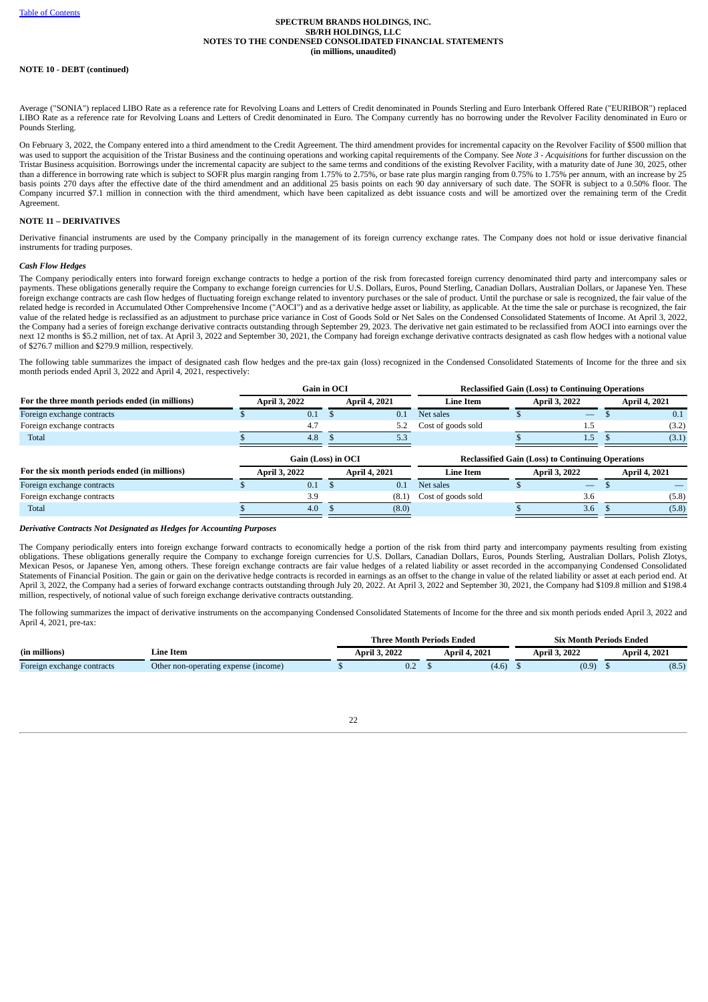# **NOTE 10 - DEBT (continued)**

Average ("SONIA") replaced LIBO Rate as a reference rate for Revolving Loans and Letters of Credit denominated in Pounds Sterling and Euro Interbank Offered Rate ("EURIBOR") replaced LIBO Rate as a reference rate for Revolving Loans and Letters of Credit denominated in Euro. The Company currently has no borrowing under the Revolver Facility denominated in Euro or Pounds Sterling.

On February 3, 2022, the Company entered into a third amendment to the Credit Agreement. The third amendment provides for incremental capacity on the Revolver Facility of \$500 million that was used to support the acquisition of the Tristar Business and the continuing operations and working capital requirements of the Company. See *Note 3 - Acquisitions* for further discussion on the Tristar Business acquisition. Borrowings under the incremental capacity are subject to the same terms and conditions of the existing Revolver Facility, with a maturity date of June 30, 2025, other than a difference in borrowing rate which is subject to SOFR plus margin ranging from 1.75% to 2.75%, or base rate plus margin ranging from 0.75% to 1.75% per annum, with an increase by 25 basis points 270 days after the effective date of the third amendment and an additional 25 basis points on each 90 day anniversary of such date. The SOFR is subject to a 0.50% floor. The Company incurred \$7.1 million in connection with the third amendment, which have been capitalized as debt issuance costs and will be amortized over the remaining term of the Credit Agreement.

## **NOTE 11 – DERIVATIVES**

Derivative financial instruments are used by the Company principally in the management of its foreign currency exchange rates. The Company does not hold or issue derivative financial instruments for trading purposes.

## *Cash Flow Hedges*

The Company periodically enters into forward foreign exchange contracts to hedge a portion of the risk from forecasted foreign currency denominated third party and intercompany sales or payments. These obligations generally require the Company to exchange foreign currencies for U.S. Dollars, Euros, Pound Sterling, Canadian Dollars, Australian Dollars, or Japanese Yen. These foreign exchange contracts are cash flow hedges of fluctuating foreign exchange related to inventory purchases or the sale of product. Until the purchase or sale is recognized, the fair value of the related hedge is recorded in Accumulated Other Comprehensive Income ("AOCI") and as a derivative hedge asset or liability, as applicable. At the time the sale or purchase is recognized, the fair value of the related hedge is reclassified as an adjustment to purchase price variance in Cost of Goods Sold or Net Sales on the Condensed Consolidated Statements of Income. At April 3, 2022, the Company had a series of foreign exchange derivative contracts outstanding through September 29, 2023. The derivative net gain estimated to be reclassified from AOCI into earnings over the next 12 months is \$5.2 million, net of tax. At April 3, 2022 and September 30, 2021, the Company had foreign exchange derivative contracts designated as cash flow hedges with a notional value of \$276.7 million and \$279.9 million, respectively.

The following table summarizes the impact of designated cash flow hedges and the pre-tax gain (loss) recognized in the Condensed Consolidated Statements of Income for the three and six month periods ended April 3, 2022 and April 4, 2021, respectively:

|                                                 | <b>Gain in OCI</b>   |                    |                      | <b>Reclassified Gain (Loss) to Continuing Operations</b> |  |                                                          |  |                      |  |  |
|-------------------------------------------------|----------------------|--------------------|----------------------|----------------------------------------------------------|--|----------------------------------------------------------|--|----------------------|--|--|
| For the three month periods ended (in millions) | <b>April 3, 2022</b> |                    | <b>April 4, 2021</b> | <b>Line Item</b>                                         |  | <b>April 3, 2022</b>                                     |  | <b>April 4, 2021</b> |  |  |
| Foreign exchange contracts                      | 0.1                  |                    | 0.1                  | Net sales                                                |  |                                                          |  | 0.1                  |  |  |
| Foreign exchange contracts                      | 4.7                  |                    | 5.2                  | Cost of goods sold                                       |  | $1.5\,$                                                  |  | (3.2)                |  |  |
| <b>Total</b>                                    | 4.8                  |                    | 5.3                  |                                                          |  | $1.5\phantom{0}$                                         |  | (3.1)                |  |  |
|                                                 |                      | Gain (Loss) in OCI |                      |                                                          |  | <b>Reclassified Gain (Loss) to Continuing Operations</b> |  |                      |  |  |
| For the six month periods ended (in millions)   | <b>April 3, 2022</b> |                    |                      |                                                          |  |                                                          |  |                      |  |  |
|                                                 |                      |                    | <b>April 4, 2021</b> | <b>Line Item</b>                                         |  | <b>April 3, 2022</b>                                     |  | <b>April 4, 2021</b> |  |  |
| Foreign exchange contracts                      | 0.1                  |                    | 0.1                  | Net sales                                                |  |                                                          |  |                      |  |  |
| Foreign exchange contracts                      | 3.9                  |                    | (8.1)                | Cost of goods sold                                       |  | 3.6                                                      |  | (5.8)                |  |  |
| Total                                           | 4.0                  |                    | (8.0)                |                                                          |  | 3.6                                                      |  | (5.8)                |  |  |

## *Derivative Contracts Not Designated as Hedges for Accounting Purposes*

The Company periodically enters into foreign exchange forward contracts to economically hedge a portion of the risk from third party and intercompany payments resulting from existing obligations. These obligations generally require the Company to exchange foreign currencies for U.S. Dollars, Canadian Dollars, Euros, Pounds Sterling, Australian Dollars, Polish Zlotys, Mexican Pesos, or Japanese Yen, among others. These foreign exchange contracts are fair value hedges of a related liability or asset recorded in the accompanying Condensed Consolidated Statements of Financial Position. The gain or gain on the derivative hedge contracts is recorded in earnings as an offset to the change in value of the related liability or asset at each period end. At April 3, 2022, the Company had a series of forward exchange contracts outstanding through July 20, 2022. At April 3, 2022 and September 30, 2021, the Company had \$109.8 million and \$198.4 million, respectively, of notional value of such foreign exchange derivative contracts outstanding.

The following summarizes the impact of derivative instruments on the accompanying Condensed Consolidated Statements of Income for the three and six month periods ended April 3, 2022 and April 4, 2021, pre-tax:

|                            |                                      | Three Month Periods Ended |                    | <b>Six Month Periods Ended</b> |               |  |               |  |  |
|----------------------------|--------------------------------------|---------------------------|--------------------|--------------------------------|---------------|--|---------------|--|--|
| (in millions)              | Line Item                            | April 3, 2022             | 4, 2021<br>April 4 |                                | April 3, 2022 |  | April 4, 2021 |  |  |
| Foreign exchange contracts | Other non-operating expense (income) | 0.2                       | (4.6)              |                                | (0.9)         |  | (8.5)         |  |  |

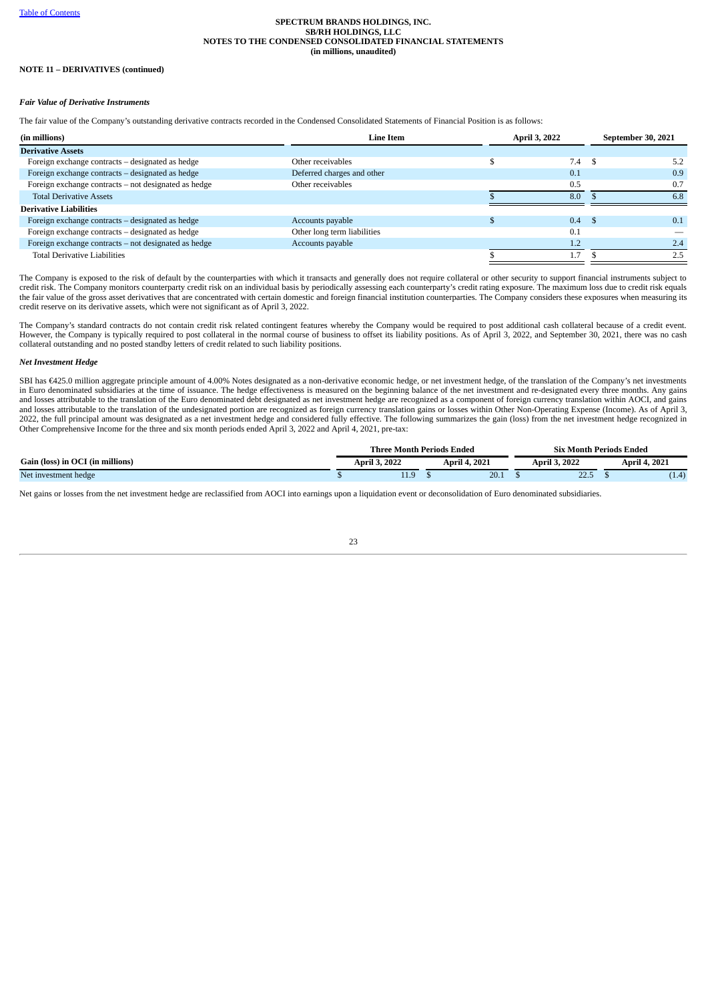# **NOTE 11 – DERIVATIVES (continued)**

# *Fair Value of Derivative Instruments*

The fair value of the Company's outstanding derivative contracts recorded in the Condensed Consolidated Statements of Financial Position is as follows:

| (in millions)                                        | <b>Line Item</b>            | <b>April 3, 2022</b> |     | September 30, 2021 |     |
|------------------------------------------------------|-----------------------------|----------------------|-----|--------------------|-----|
| <b>Derivative Assets</b>                             |                             |                      |     |                    |     |
| Foreign exchange contracts – designated as hedge     | Other receivables           |                      | 7.4 |                    | 5.2 |
| Foreign exchange contracts – designated as hedge     | Deferred charges and other  |                      | 0.1 |                    | 0.9 |
| Foreign exchange contracts - not designated as hedge | Other receivables           |                      | 0.5 |                    | 0.7 |
| <b>Total Derivative Assets</b>                       |                             |                      | 8.0 |                    | 6.8 |
| <b>Derivative Liabilities</b>                        |                             |                      |     |                    |     |
| Foreign exchange contracts – designated as hedge     | Accounts payable            |                      | 0.4 |                    | 0.1 |
| Foreign exchange contracts – designated as hedge     | Other long term liabilities |                      | 0.1 |                    |     |
| Foreign exchange contracts – not designated as hedge | Accounts payable            |                      | 1.2 |                    | 2.4 |
| <b>Total Derivative Liabilities</b>                  |                             |                      |     |                    | 2.5 |

The Company is exposed to the risk of default by the counterparties with which it transacts and generally does not require collateral or other security to support financial instruments subject to credit risk. The Company monitors counterparty credit risk on an individual basis by periodically assessing each counterparty's credit rating exposure. The maximum loss due to credit risk equals the fair value of the gross asset derivatives that are concentrated with certain domestic and foreign financial institution counterparties. The Company considers these exposures when measuring its credit reserve on its derivative assets, which were not significant as of April 3, 2022.

The Company's standard contracts do not contain credit risk related contingent features whereby the Company would be required to post additional cash collateral because of a credit event. However, the Company is typically required to post collateral in the normal course of business to offset its liability positions. As of April 3, 2022, and September 30, 2021, there was no cash collateral outstanding and no posted standby letters of credit related to such liability positions.

# *Net Investment Hedge*

SBI has €425.0 million aggregate principle amount of 4.00% Notes designated as a non-derivative economic hedge, or net investment hedge, of the translation of the Company's net investments in Euro denominated subsidiaries at the time of issuance. The hedge effectiveness is measured on the beginning balance of the net investment and re-designated every three months. Any gains and losses attributable to the translation of the Euro denominated debt designated as net investment hedge are recognized as a component of foreign currency translation within AOCI, and gains and losses attributable to the translation of the undesignated portion are recognized as foreign currency translation gains or losses within Other Non-Operating Expense (Income). As of April 3, 2022, the full principal amount was designated as a net investment hedge and considered fully effective. The following summarizes the gain (loss) from the net investment hedge recognized in Other Comprehensive Income for the three and six month periods ended April 3, 2022 and April 4, 2021, pre-tax:

|                                  |                      | <b>Three Month Periods Ended</b> | Six Month Periods Ended               |       |  |  |  |
|----------------------------------|----------------------|----------------------------------|---------------------------------------|-------|--|--|--|
| Gain (loss) in OCI (in millions) | <b>April 3, 2022</b> | <b>April 4, 2021</b>             | <b>April 4, 2021</b><br>April 3, 2022 |       |  |  |  |
| Net investment hedge             | 11 ∩<br>11.J         | $\Omega$<br>20.1                 | $\Omega$<br>----                      | (1.4) |  |  |  |

Net gains or losses from the net investment hedge are reclassified from AOCI into earnings upon a liquidation event or deconsolidation of Euro denominated subsidiaries.

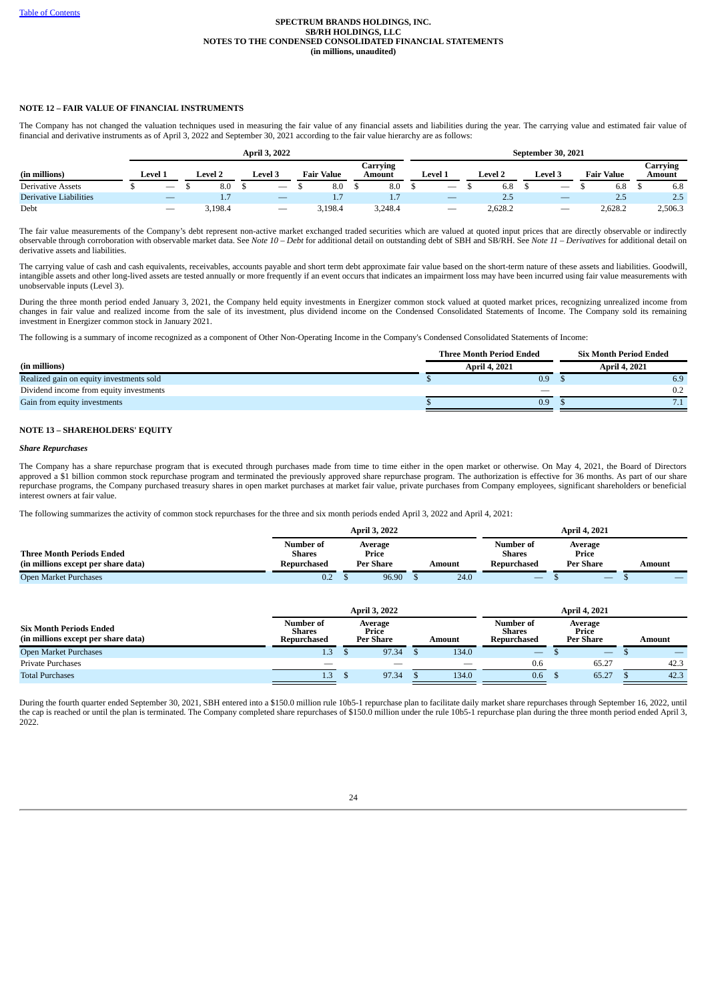# **NOTE 12 – FAIR VALUE OF FINANCIAL INSTRUMENTS**

The Company has not changed the valuation techniques used in measuring the fair value of any financial assets and liabilities during the year. The carrying value and estimated fair value of financial and derivative instruments as of April 3, 2022 and September 30, 2021 according to the fair value hierarchy are as follows:

| April 3, 2022            |  |         |  |         |  |                                 |                   |                    | September 30, 2021              |                | Carrving<br>Amount             |                   |  |         |  |  |
|--------------------------|--|---------|--|---------|--|---------------------------------|-------------------|--------------------|---------------------------------|----------------|--------------------------------|-------------------|--|---------|--|--|
| (in millions)            |  | Level 1 |  | Level 2 |  | Level 3                         | <b>Fair Value</b> | Carrying<br>Amount | ∟evel 1                         | <b>Level 2</b> | <b>Level 3</b>                 | <b>Fair Value</b> |  |         |  |  |
| <b>Derivative Assets</b> |  |         |  | 8.0     |  | $\hspace{0.1mm}-\hspace{0.1mm}$ | 8.0               | 8.0                | $\hspace{0.1mm}-\hspace{0.1mm}$ | 6.8            | $\qquad \qquad \longleftarrow$ | 6.8               |  | 6.8     |  |  |
| Derivative Liabilities   |  |         |  | $\pm$ . |  | $\hspace{0.1mm}-\hspace{0.1mm}$ | .                 | $\pm$ .            | $\hspace{0.1mm}-\hspace{0.1mm}$ | 2.5            |                                | 2.5               |  | 2.5     |  |  |
| Debt                     |  |         |  | 3,198.4 |  | $\hspace{0.1mm}-\hspace{0.1mm}$ | 3,198.4           | 3,248.4            | $\hspace{0.1mm}-\hspace{0.1mm}$ | 2,628.2        |                                | 2.628.2           |  | 2,506.3 |  |  |

The fair value measurements of the Company's debt represent non-active market exchanged traded securities which are valued at quoted input prices that are directly observable or indirectly observable through corroboration with observable market data. See Note 10 - Debt for additional detail on outstanding debt of SBH and SB/RH. See Note 11 - Derivatives for additional detail on derivative assets and liabilities.

The carrying value of cash and cash equivalents, receivables, accounts payable and short term debt approximate fair value based on the short-term nature of these assets and liabilities. Goodwill, intangible assets and other long-lived assets are tested annually or more frequently if an event occurs that indicates an impairment loss may have been incurred using fair value measurements with unobservable inputs (Level 3).

During the three month period ended January 3, 2021, the Company held equity investments in Energizer common stock valued at quoted market prices, recognizing unrealized income from changes in fair value and realized income from the sale of its investment, plus dividend income on the Condensed Consolidated Statements of Income. The Company sold its remaining investment in Energizer common stock in January 2021.

The following is a summary of income recognized as a component of Other Non-Operating Income in the Company's Condensed Consolidated Statements of Income:

|                                          | <b>Three Month Period Ended</b> |     |  | Six Month Period Ended |
|------------------------------------------|---------------------------------|-----|--|------------------------|
| (in millions)                            | <b>April 4, 2021</b>            |     |  | <b>April 4, 2021</b>   |
| Realized gain on equity investments sold |                                 | 0.9 |  | 6.9                    |
| Dividend income from equity investments  |                                 |     |  | 0.2                    |
| Gain from equity investments             |                                 | 0.9 |  |                        |

# **NOTE 13 – SHAREHOLDERS' EQUITY**

# *Share Repurchases*

The Company has a share repurchase program that is executed through purchases made from time to time either in the open market or otherwise. On May 4, 2021, the Board of Directors approved a \$1 billion common stock repurchase program and terminated the previously approved share repurchase program. The authorization is effective for 36 months. As part of our share repurchase programs, the Company purchased treasury shares in open market purchases at market fair value, private purchases from Company employees, significant shareholders or beneficial interest owners at fair value.

The following summarizes the activity of common stock repurchases for the three and six month periods ended April 3, 2022 and April 4, 2021:

|                                                                         |                                    | April 3, 2022                        |        | <b>April 4, 2021</b>                             |                                      |  |        |  |  |
|-------------------------------------------------------------------------|------------------------------------|--------------------------------------|--------|--------------------------------------------------|--------------------------------------|--|--------|--|--|
| <b>Three Month Periods Ended</b><br>(in millions except per share data) | Number of<br>Shares<br>Repurchased | Average<br>Price<br><b>Per Share</b> | Amount | Number of<br><b>Shares</b><br><b>Repurchased</b> | Average<br>Price<br><b>Per Share</b> |  | Amount |  |  |
| Open Market Purchases                                                   | 0.2                                | 96.90                                | 24.0   |                                                  |                                      |  |        |  |  |

|                                                                |                                    | <b>April 3, 2022</b>                 |        |                                           | <b>April 4, 2021</b>                 |  |        |  |
|----------------------------------------------------------------|------------------------------------|--------------------------------------|--------|-------------------------------------------|--------------------------------------|--|--------|--|
| Six Month Periods Ended<br>(in millions except per share data) | Number of<br>Shares<br>Repurchased | Average<br>Price<br><b>Per Share</b> | Amount | Number of<br><b>Shares</b><br>Repurchased | Average<br>Price<br><b>Per Share</b> |  | Amount |  |
| <b>Open Market Purchases</b>                                   | 1.3                                | 97.34                                | 134.0  | $\qquad \qquad \longleftarrow$            | $\qquad \qquad \longleftarrow$       |  |        |  |
| Private Purchases                                              |                                    |                                      |        | 0.6                                       | 65.27                                |  | 42.3   |  |
| <b>Total Purchases</b>                                         | 1.3                                | 97.34                                | 134.0  | 0.6                                       | 65.27                                |  | 42.3   |  |

During the fourth quarter ended September 30, 2021, SBH entered into a \$150.0 million rule 10b5-1 repurchase plan to facilitate daily market share repurchases through September 16, 2022, until the cap is reached or until the plan is terminated. The Company completed share repurchases of \$150.0 million under the rule 10b5-1 repurchase plan during the three month period ended April 3, 2022.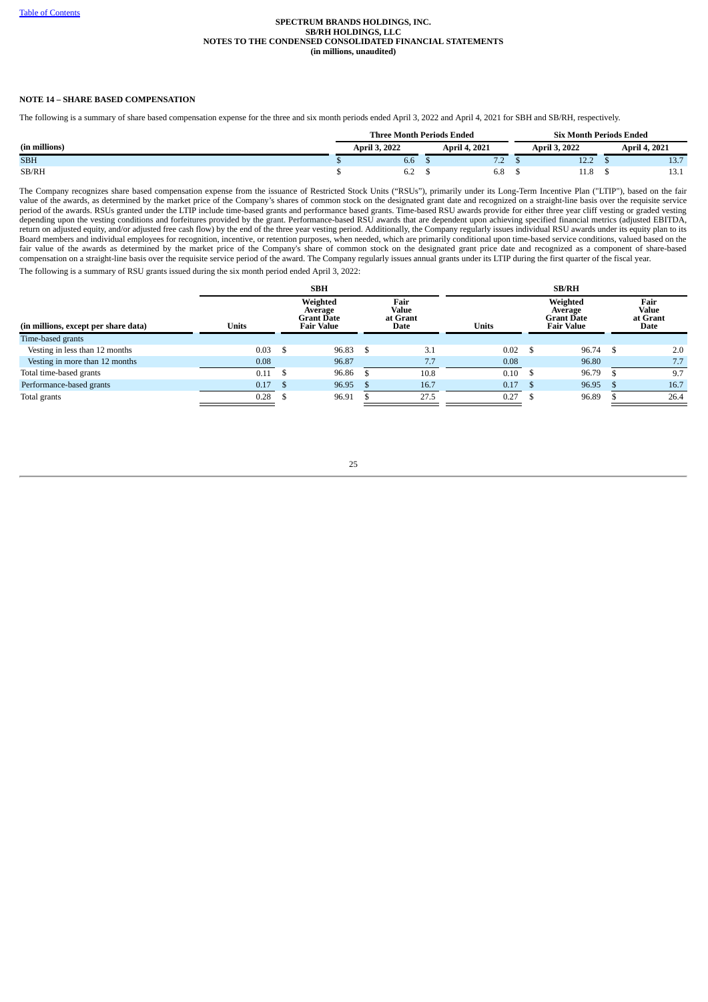# **NOTE 14 – SHARE BASED COMPENSATION**

The following is a summary of share based compensation expense for the three and six month periods ended April 3, 2022 and April 4, 2021 for SBH and SB/RH, respectively.

|               | <b>Three Month Periods Ended</b> |  |                      |  | <b>Six Month Periods Ended</b> |  |                                |  |               |  |
|---------------|----------------------------------|--|----------------------|--|--------------------------------|--|--------------------------------|--|---------------|--|
| (in millions) | <b>April 3, 2022</b>             |  | <b>April 4, 2021</b> |  |                                |  | 13, 2022<br>April <sup>2</sup> |  | April 4, 2021 |  |
| <b>SBH</b>    | $\sim$ $\sim$<br>6.6             |  | $\sim$ $\sim$<br>.   |  | 10n<br>12.2                    |  | 127<br><b>10.</b>              |  |               |  |
| SB/RH         | 6.2                              |  | 6.8                  |  | 11.8                           |  | 121<br>10. L                   |  |               |  |

The Company recognizes share based compensation expense from the issuance of Restricted Stock Units ("RSUs"), primarily under its Long-Term Incentive Plan ("LTIP"), based on the fair value of the awards, as determined by the market price of the Company's shares of common stock on the designated grant date and recognized on a straight-line basis over the requisite service period of the awards. RSUs granted under the LTIP include time-based grants and performance based grants. Time-based RSU awards provide for either three year cliff vesting or graded vesting depending upon the vesting conditions and forfeitures provided by the grant. Performance-based RSU awards that are dependent upon achieving specified financial metrics (adjusted EBITDA, return on adjusted equity, and/or adjusted free cash flow) by the end of the three year vesting period. Additionally, the Company regularly issues individual RSU awards under its equity plan to its Board members and individual employees for recognition, incentive, or retention purposes, when needed, which are primarily conditional upon time-based service conditions, valued based on the fair value of the awards as determined by the market price of the Company's share of common stock on the designated grant price date and recognized as a component of share-based compensation on a straight-line basis over the requisite service period of the award. The Company regularly issues annual grants under its LTIP during the first quarter of the fiscal year. The following is a summary of RSU grants issued during the six month period ended April 3, 2022:

|                                      |              |      | <b>SBH</b>                                                    |                                          |              |                                                               |       |      |                                   |
|--------------------------------------|--------------|------|---------------------------------------------------------------|------------------------------------------|--------------|---------------------------------------------------------------|-------|------|-----------------------------------|
| (in millions, except per share data) | <b>Units</b> |      | Weighted<br>Average<br><b>Grant Date</b><br><b>Fair Value</b> | Fair<br>Value<br>at Grant<br><b>Date</b> | <b>Units</b> | Weighted<br>Average<br><b>Grant Date</b><br><b>Fair Value</b> |       |      | Fair<br>Value<br>at Grant<br>Date |
| Time-based grants                    |              |      |                                                               |                                          |              |                                                               |       |      |                                   |
| Vesting in less than 12 months       | 0.03         | - \$ | 96.83                                                         | 3.1                                      | 0.02         | - \$                                                          | 96.74 | - \$ | 2.0                               |
| Vesting in more than 12 months       | 0.08         |      | 96.87                                                         | 7.7                                      | 0.08         |                                                               | 96.80 |      | 7.7                               |
| Total time-based grants              | 0.11         |      | 96.86                                                         | 10.8                                     | 0.10         |                                                               | 96.79 |      | 9.7                               |
| Performance-based grants             | 0.17         | - \$ | 96.95                                                         | 16.7                                     | 0.17         |                                                               | 96.95 |      | 16.7                              |
| Total grants                         | 0.28         |      | 96.91                                                         | 27.5                                     | 0.27         |                                                               | 96.89 |      | 26.4                              |
|                                      |              |      |                                                               |                                          |              |                                                               |       |      |                                   |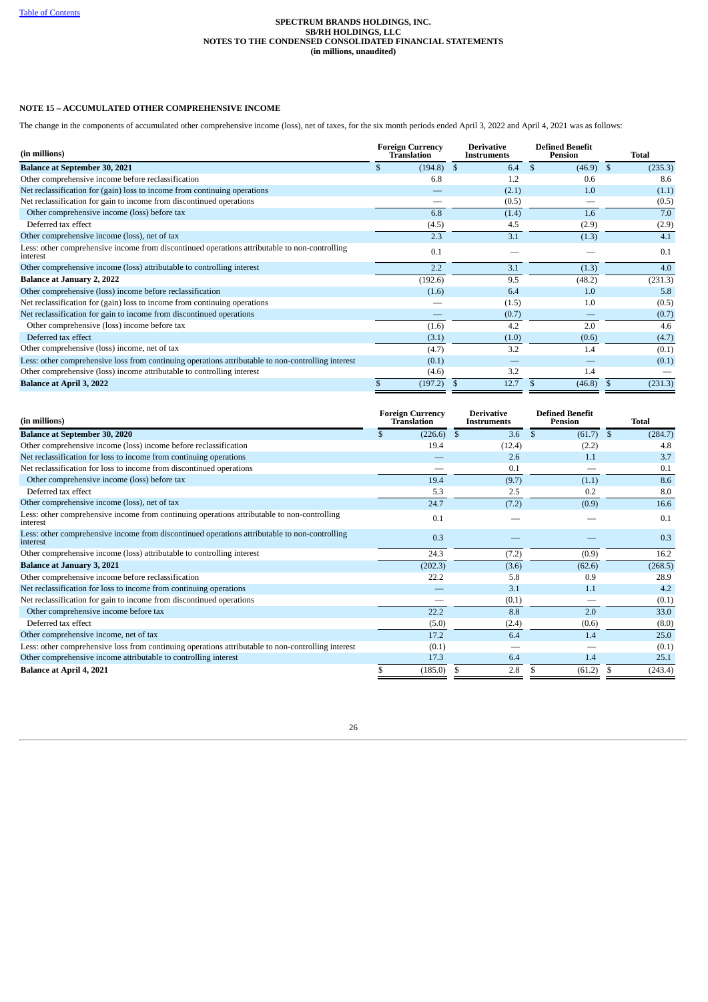# **NOTE 15 – ACCUMULATED OTHER COMPREHENSIVE INCOME**

The change in the components of accumulated other comprehensive income (loss), net of taxes, for the six month periods ended April 3, 2022 and April 4, 2021 was as follows:

| (in millions)                                                                                             |  | <b>Foreign Currency</b><br><b>Translation</b> |      | <b>Derivative</b><br><b>Instruments</b> |  | <b>Defined Benefit</b><br>Pension |    | Total   |
|-----------------------------------------------------------------------------------------------------------|--|-----------------------------------------------|------|-----------------------------------------|--|-----------------------------------|----|---------|
| <b>Balance at September 30, 2021</b>                                                                      |  | (194.8)                                       | - \$ | 6.4                                     |  | (46.9)                            | -S | (235.3) |
| Other comprehensive income before reclassification                                                        |  | 6.8                                           |      | 1.2                                     |  | 0.6                               |    | 8.6     |
| Net reclassification for (gain) loss to income from continuing operations                                 |  |                                               |      | (2.1)                                   |  | 1.0                               |    | (1.1)   |
| Net reclassification for gain to income from discontinued operations                                      |  |                                               |      | (0.5)                                   |  |                                   |    | (0.5)   |
| Other comprehensive income (loss) before tax                                                              |  | 6.8                                           |      | (1.4)                                   |  | 1.6                               |    | 7.0     |
| Deferred tax effect                                                                                       |  | (4.5)                                         |      | 4.5                                     |  | (2.9)                             |    | (2.9)   |
| Other comprehensive income (loss), net of tax                                                             |  | 2.3                                           |      | 3.1                                     |  | (1.3)                             |    | 4.1     |
| Less: other comprehensive income from discontinued operations attributable to non-controlling<br>interest |  | 0.1                                           |      |                                         |  |                                   |    | 0.1     |
| Other comprehensive income (loss) attributable to controlling interest                                    |  | 2.2                                           |      | 3.1                                     |  | (1.3)                             |    | 4.0     |
| <b>Balance at January 2, 2022</b>                                                                         |  | (192.6)                                       |      | 9.5                                     |  | (48.2)                            |    | (231.3) |
| Other comprehensive (loss) income before reclassification                                                 |  | (1.6)                                         |      | 6.4                                     |  | 1.0                               |    | 5.8     |
| Net reclassification for (gain) loss to income from continuing operations                                 |  |                                               |      | (1.5)                                   |  | 1.0                               |    | (0.5)   |
| Net reclassification for gain to income from discontinued operations                                      |  |                                               |      | (0.7)                                   |  |                                   |    | (0.7)   |
| Other comprehensive (loss) income before tax                                                              |  | (1.6)                                         |      | 4.2                                     |  | 2.0                               |    | 4.6     |
| Deferred tax effect                                                                                       |  | (3.1)                                         |      | (1.0)                                   |  | (0.6)                             |    | (4.7)   |
| Other comprehensive (loss) income, net of tax                                                             |  | (4.7)                                         |      | 3.2                                     |  | 1.4                               |    | (0.1)   |
| Less: other comprehensive loss from continuing operations attributable to non-controlling interest        |  | (0.1)                                         |      |                                         |  |                                   |    | (0.1)   |
| Other comprehensive (loss) income attributable to controlling interest                                    |  | (4.6)                                         |      | 3.2                                     |  | 1.4                               |    |         |
| <b>Balance at April 3, 2022</b>                                                                           |  | (197.2)                                       | - \$ | 12.7                                    |  | (46.8)                            | S  | (231.3) |

| (in millions)                                                                                             | <b>Foreign Currency</b><br>Translation | <b>Derivative</b><br>Instruments | <b>Defined Benefit</b><br>Pension | Total           |
|-----------------------------------------------------------------------------------------------------------|----------------------------------------|----------------------------------|-----------------------------------|-----------------|
| <b>Balance at September 30, 2020</b>                                                                      | $(226.6)$ \$                           | 3.6                              | (61.7)<br>\$                      | - \$<br>(284.7) |
| Other comprehensive income (loss) income before reclassification                                          | 19.4                                   | (12.4)                           | (2.2)                             | 4.8             |
| Net reclassification for loss to income from continuing operations                                        |                                        | 2.6                              | 1.1                               | 3.7             |
| Net reclassification for loss to income from discontinued operations                                      |                                        | 0.1                              |                                   | 0.1             |
| Other comprehensive income (loss) before tax                                                              | 19.4                                   | (9.7)                            | (1.1)                             | 8.6             |
| Deferred tax effect                                                                                       | 5.3                                    | 2.5                              | 0.2                               | 8.0             |
| Other comprehensive income (loss), net of tax                                                             | 24.7                                   | (7.2)                            | (0.9)                             | 16.6            |
| Less: other comprehensive income from continuing operations attributable to non-controlling<br>interest   | 0.1                                    |                                  |                                   | 0.1             |
| Less: other comprehensive income from discontinued operations attributable to non-controlling<br>interest | 0.3                                    |                                  |                                   | 0.3             |
| Other comprehensive income (loss) attributable to controlling interest                                    | 24.3                                   | (7.2)                            | (0.9)                             | 16.2            |
| <b>Balance at January 3, 2021</b>                                                                         | (202.3)                                | (3.6)                            | (62.6)                            | (268.5)         |
| Other comprehensive income before reclassification                                                        | 22.2                                   | 5.8                              | 0.9                               | 28.9            |
| Net reclassification for loss to income from continuing operations                                        |                                        | 3.1                              | 1.1                               | 4.2             |
| Net reclassification for gain to income from discontinued operations                                      |                                        | (0.1)                            |                                   | (0.1)           |
| Other comprehensive income before tax                                                                     | 22.2                                   | 8.8                              | 2.0                               | 33.0            |
| Deferred tax effect                                                                                       | (5.0)                                  | (2.4)                            | (0.6)                             | (8.0)           |
| Other comprehensive income, net of tax                                                                    | 17.2                                   | 6.4                              | 1.4                               | 25.0            |
| Less: other comprehensive loss from continuing operations attributable to non-controlling interest        | (0.1)                                  | $\overline{\phantom{a}}$         |                                   | (0.1)           |
| Other comprehensive income attributable to controlling interest                                           | 17.3                                   | 6.4                              | 1.4                               | 25.1            |
| <b>Balance at April 4, 2021</b>                                                                           | (185.0)                                | 2.8                              | (61.2)<br>S                       | (243.4)<br>S    |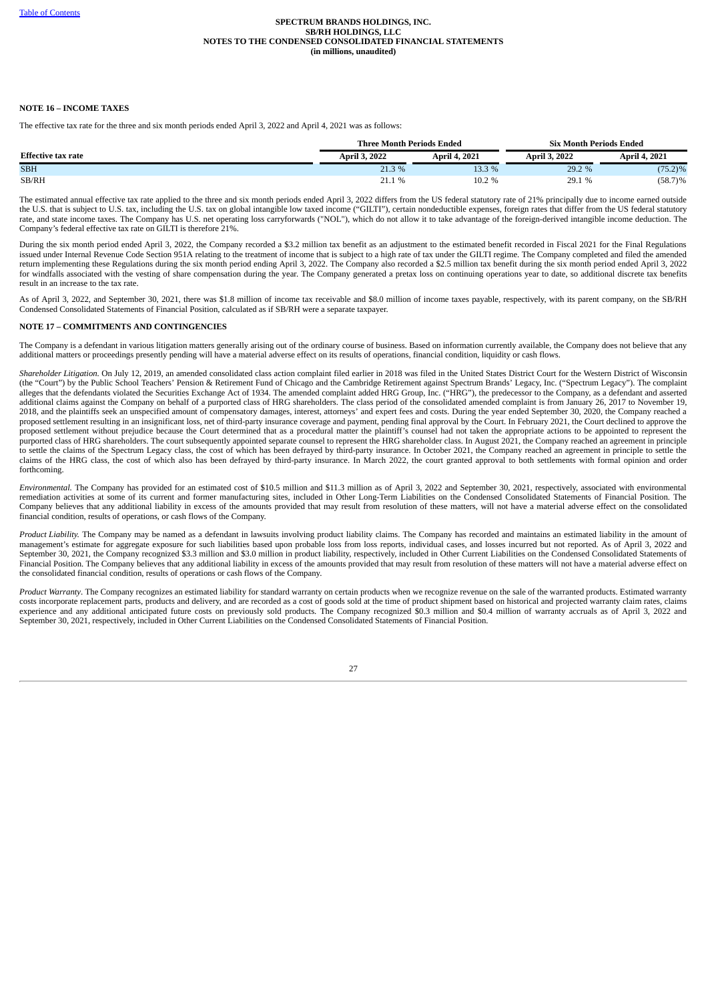# **NOTE 16 – INCOME TAXES**

The effective tax rate for the three and six month periods ended April 3, 2022 and April 4, 2021 was as follows:

|                    | Three Month Periods Ended |               | Six Month Periods Ended |            |  |  |  |
|--------------------|---------------------------|---------------|-------------------------|------------|--|--|--|
| Effective tax rate | <b>April 3, 2022</b>      | April 4, 2021 | <b>April 3, 2022</b>    |            |  |  |  |
| <b>SBH</b>         | 21.3%                     | 13.3 %        | 29.2 %                  | $(75.2)\%$ |  |  |  |
| SB/RH              | 21.1 %                    | 10.2 %        | 29.1 %                  | $(58.7)\%$ |  |  |  |

The estimated annual effective tax rate applied to the three and six month periods ended April 3, 2022 differs from the US federal statutory rate of 21% principally due to income earned outside the U.S. that is subject to U.S. tax, including the U.S. tax on global intangible low taxed income ("GILTI"), certain nondeductible expenses, foreign rates that differ from the US federal statutory rate, and state income taxes. The Company has U.S. net operating loss carryforwards ("NOL"), which do not allow it to take advantage of the foreign-derived intangible income deduction. The Company's federal effective tax rate on GILTI is therefore 21%.

During the six month period ended April 3, 2022, the Company recorded a \$3.2 million tax benefit as an adjustment to the estimated benefit recorded in Fiscal 2021 for the Final Regulations issued under Internal Revenue Code Section 951A relating to the treatment of income that is subject to a high rate of tax under the GILTI regime. The Company completed and filed the amended return implementing these Regulations during the six month period ending April 3, 2022. The Company also recorded a \$2.5 million tax benefit during the six month period ended April 3, 2022 for windfalls associated with the vesting of share compensation during the year. The Company generated a pretax loss on continuing operations year to date, so additional discrete tax benefits result in an increase to the tax rate.

As of April 3, 2022, and September 30, 2021, there was \$1.8 million of income tax receivable and \$8.0 million of income taxes payable, respectively, with its parent company, on the SB/RH Condensed Consolidated Statements of Financial Position, calculated as if SB/RH were a separate taxpayer.

#### **NOTE 17 – COMMITMENTS AND CONTINGENCIES**

The Company is a defendant in various litigation matters generally arising out of the ordinary course of business. Based on information currently available, the Company does not believe that any additional matters or proceedings presently pending will have a material adverse effect on its results of operations, financial condition, liquidity or cash flows.

*Shareholder Litigation.* On July 12, 2019, an amended consolidated class action complaint filed earlier in 2018 was filed in the United States District Court for the Western District of Wisconsin (the "Court") by the Public School Teachers' Pension & Retirement Fund of Chicago and the Cambridge Retirement against Spectrum Brands' Legacy, Inc. ("Spectrum Legacy"). The complaint alleges that the defendants violated the Securities Exchange Act of 1934. The amended complaint added HRG Group, Inc. ("HRG"), the predecessor to the Company, as a defendant and asserted additional claims against the Company on behalf of a purported class of HRG shareholders. The class period of the consolidated amended complaint is from January 26, 2017 to November 19, 2018, and the plaintiffs seek an unspecified amount of compensatory damages, interest, attorneys' and expert fees and costs. During the year ended September 30, 2020, the Company reached a proposed settlement resulting in an insignificant loss, net of third-party insurance coverage and payment, pending final approval by the Court. In February 2021, the Court declined to approve the proposed settlement without prejudice because the Court determined that as a procedural matter the plaintiff's counsel had not taken the appropriate actions to be appointed to represent the purported class of HRG shareholders. The court subsequently appointed separate counsel to represent the HRG shareholder class. In August 2021, the Company reached an agreement in principle to settle the claims of the Spectrum Legacy class, the cost of which has been defrayed by third-party insurance. In October 2021, the Company reached an agreement in principle to settle the claims of the HRG class, the cost of which also has been defrayed by third-party insurance. In March 2022, the court granted approval to both settlements with formal opinion and order forthcoming.

*Environmental.* The Company has provided for an estimated cost of \$10.5 million and \$11.3 million as of April 3, 2022 and September 30, 2021, respectively, associated with environmental remediation activities at some of its current and former manufacturing sites, included in Other Long-Term Liabilities on the Condensed Consolidated Statements of Financial Position. The Company believes that any additional liability in excess of the amounts provided that may result from resolution of these matters, will not have a material adverse effect on the consolidated financial condition, results of operations, or cash flows of the Company.

*Product Liability.* The Company may be named as a defendant in lawsuits involving product liability claims. The Company has recorded and maintains an estimated liability in the amount of management's estimate for aggregate exposure for such liabilities based upon probable loss from loss reports, individual cases, and losses incurred but not reported. As of April 3, 2022 and September 30, 2021, the Company recognized \$3.3 million and \$3.0 million in product liability, respectively, included in Other Current Liabilities on the Condensed Consolidated Statements of Financial Position. The Company believes that any additional liability in excess of the amounts provided that may result from resolution of these matters will not have a material adverse effect on the consolidated financial condition, results of operations or cash flows of the Company.

*Product Warranty*. The Company recognizes an estimated liability for standard warranty on certain products when we recognize revenue on the sale of the warranted products. Estimated warranty costs incorporate replacement parts, products and delivery, and are recorded as a cost of goods sold at the time of product shipment based on historical and projected warranty claim rates, claims experience and any additional anticipated future costs on previously sold products. The Company recognized \$0.3 million and \$0.4 million of warranty accruals as of April 3, 2022 and September 30, 2021, respectively, included in Other Current Liabilities on the Condensed Consolidated Statements of Financial Position.

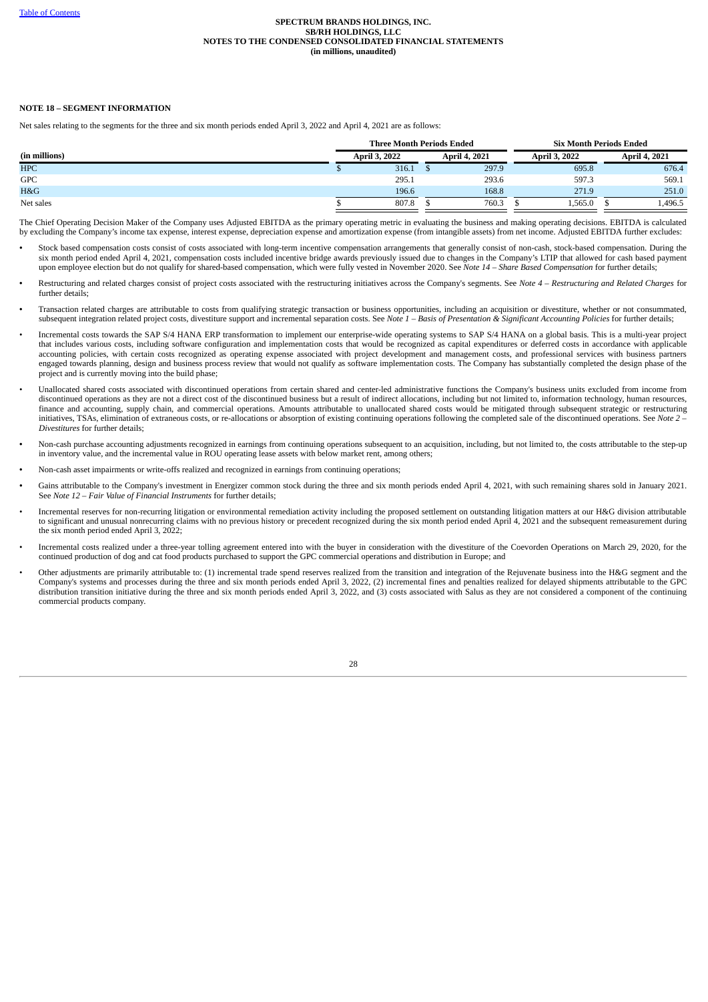# **NOTE 18 – SEGMENT INFORMATION**

Net sales relating to the segments for the three and six month periods ended April 3, 2022 and April 4, 2021 are as follows:

|               |                      | <b>Three Month Periods Ended</b> |                      | <b>Six Month Periods Ended</b> |  |  |
|---------------|----------------------|----------------------------------|----------------------|--------------------------------|--|--|
| (in millions) | <b>April 3, 2022</b> | <b>April 4, 2021</b>             | <b>April 3, 2022</b> | <b>April 4, 2021</b>           |  |  |
| <b>HPC</b>    | 316.1                | 297.9                            | 695.8                | 676.4                          |  |  |
| <b>GPC</b>    | 295.1                | 293.6                            | 597.3                | 569.1                          |  |  |
| H&G           | 196.6                | 168.8                            | 271.9                | 251.0                          |  |  |
| Net sales     | 807.8                | 760.3                            | 1,565.0              | 1,496.5                        |  |  |

The Chief Operating Decision Maker of the Company uses Adjusted EBITDA as the primary operating metric in evaluating the business and making operating decisions. EBITDA is calculated by excluding the Company's income tax expense, interest expense, depreciation expense and amortization expense (from intangible assets) from net income. Adjusted EBITDA further excludes:

- Stock based compensation costs consist of costs associated with long-term incentive compensation arrangements that generally consist of non-cash, stock-based compensation. During the six month period ended April 4, 2021, compensation costs included incentive bridge awards previously issued due to changes in the Company's LTIP that allowed for cash based payment upon employee election but do not qualify for shared-based compensation, which were fully vested in November 2020. See *Note 14 – Share Based Compensation* for further details;
- Restructuring and related charges consist of project costs associated with the restructuring initiatives across the Company's segments. See Note 4 Restructuring and Related Charges for further details;
- **•** Transaction related charges are attributable to costs from qualifying strategic transaction or business opportunities, including an acquisition or divestiture, whether or not consummated, subsequent integration related project costs, divestiture support and incremental separation costs. See Note 1 - Basis of Presentation & Significant Accounting Policies for further details;
- Incremental costs towards the SAP S/4 HANA ERP transformation to implement our enterprise-wide operating systems to SAP S/4 HANA on a global basis. This is a multi-year project that includes various costs, including software configuration and implementation costs that would be recognized as capital expenditures or deferred costs in accordance with applicable accounting policies, with certain costs recognized as operating expense associated with project development and management costs, and professional services with business partners engaged towards planning, design and business process review that would not qualify as software implementation costs. The Company has substantially completed the design phase of the project and is currently moving into the build phase;
- Unallocated shared costs associated with discontinued operations from certain shared and center-led administrative functions the Company's business units excluded from income from discontinued operations as they are not a direct cost of the discontinued business but a result of indirect allocations, including but not limited to, information technology, human resources, finance and accounting, supply chain, and commercial operations. Amounts attributable to unallocated shared costs would be mitigated through subsequent strategic or restructuring initiatives, TSAs, elimination of extraneous costs, or re-allocations or absorption of existing continuing operations following the completed sale of the discontinued operations. See *Note 2 – Divestitures* for further details;
- Non-cash purchase accounting adjustments recognized in earnings from continuing operations subsequent to an acquisition, including, but not limited to, the costs attributable to the step-up in inventory value, and the incremental value in ROU operating lease assets with below market rent, among others;
- **•** Non-cash asset impairments or write-offs realized and recognized in earnings from continuing operations;
- Gains attributable to the Company's investment in Energizer common stock during the three and six month periods ended April 4, 2021, with such remaining shares sold in January 2021. See *Note 12 – Fair Value of Financial Instruments* for further details;
- Incremental reserves for non-recurring litigation or environmental remediation activity including the proposed settlement on outstanding litigation matters at our H&G division attributable to significant and unusual nonrecurring claims with no previous history or precedent recognized during the six month period ended April 4, 2021 and the subsequent remeasurement during the six month period ended April 3, 2022;
- Incremental costs realized under a three-year tolling agreement entered into with the buyer in consideration with the divestiture of the Coevorden Operations on March 29, 2020, for the continued production of dog and cat food products purchased to support the GPC commercial operations and distribution in Europe; and
- Other adjustments are primarily attributable to: (1) incremental trade spend reserves realized from the transition and integration of the Rejuvenate business into the H&G segment and the Company's systems and processes during the three and six month periods ended April 3, 2022, (2) incremental fines and penalties realized for delayed shipments attributable to the GPC distribution transition initiative during the three and six month periods ended April 3, 2022, and (3) costs associated with Salus as they are not considered a component of the continuing commercial products company.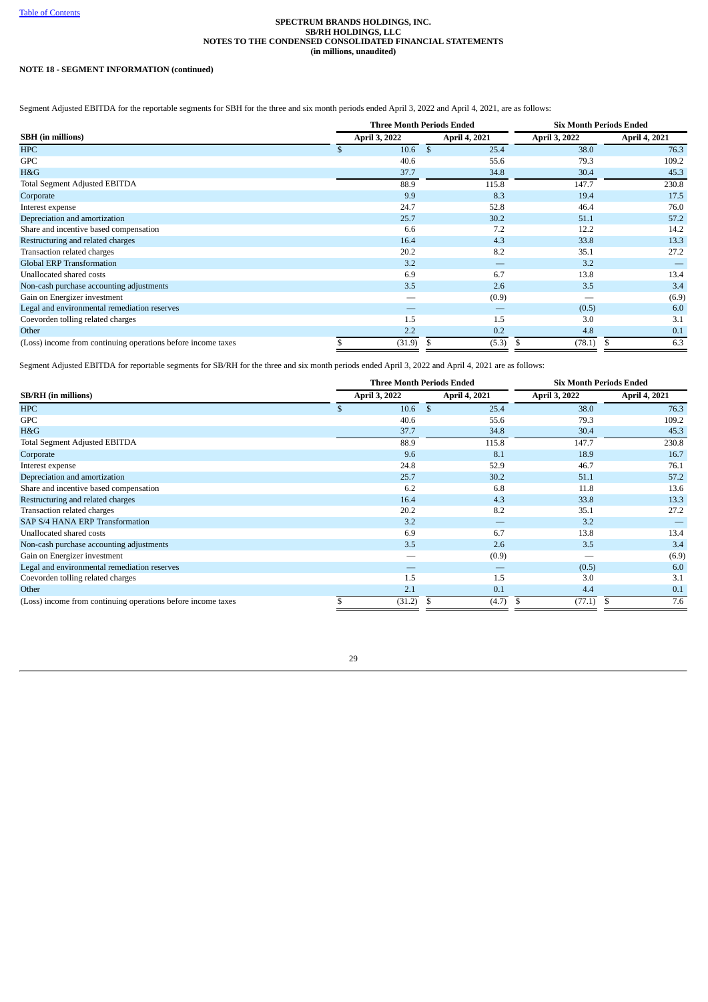# **NOTE 18 - SEGMENT INFORMATION (continued)**

Segment Adjusted EBITDA for the reportable segments for SBH for the three and six month periods ended April 3, 2022 and April 4, 2021, are as follows:

|                                                              | <b>Three Month Periods Ended</b> |    | <b>Six Month Periods Ended</b> |                   |               |  |  |
|--------------------------------------------------------------|----------------------------------|----|--------------------------------|-------------------|---------------|--|--|
| <b>SBH</b> (in millions)                                     | <b>April 3, 2022</b>             |    | April 4, 2021                  | April 3, 2022     | April 4, 2021 |  |  |
| <b>HPC</b>                                                   | 10.6                             | -S | 25.4                           | 38.0              | 76.3          |  |  |
| GPC                                                          | 40.6                             |    | 55.6                           | 79.3              | 109.2         |  |  |
| H&G                                                          | 37.7                             |    | 34.8                           | 30.4              | 45.3          |  |  |
| <b>Total Segment Adjusted EBITDA</b>                         | 88.9                             |    | 115.8                          | 147.7             | 230.8         |  |  |
| Corporate                                                    | 9.9                              |    | 8.3                            | 19.4              | 17.5          |  |  |
| Interest expense                                             | 24.7                             |    | 52.8                           | 46.4              | 76.0          |  |  |
| Depreciation and amortization                                | 25.7                             |    | 30.2                           | 51.1              | 57.2          |  |  |
| Share and incentive based compensation                       | 6.6                              |    | 7.2                            | 12.2              | 14.2          |  |  |
| Restructuring and related charges                            | 16.4                             |    | 4.3                            | 33.8              | 13.3          |  |  |
| Transaction related charges                                  | 20.2                             |    | 8.2                            | 35.1              | 27.2          |  |  |
| <b>Global ERP Transformation</b>                             | 3.2                              |    | $\overline{\phantom{0}}$       | 3.2               |               |  |  |
| Unallocated shared costs                                     | 6.9                              |    | 6.7                            | 13.8              | 13.4          |  |  |
| Non-cash purchase accounting adjustments                     | 3.5                              |    | 2.6                            | 3.5               | 3.4           |  |  |
| Gain on Energizer investment                                 |                                  |    | (0.9)                          |                   | (6.9)         |  |  |
| Legal and environmental remediation reserves                 |                                  |    |                                | (0.5)             | 6.0           |  |  |
| Coevorden tolling related charges                            | 1.5                              |    | 1.5                            | 3.0               | 3.1           |  |  |
| Other                                                        | 2.2                              |    | 0.2                            | 4.8               | 0.1           |  |  |
| (Loss) income from continuing operations before income taxes | $(31.9)$ \$                      |    | (5.3)                          | $(78.1)$ \$<br>-S | 6.3           |  |  |

Segment Adjusted EBITDA for reportable segments for SB/RH for the three and six month periods ended April 3, 2022 and April 4, 2021 are as follows:

|                                                              | <b>Three Month Periods Ended</b> |  | <b>Six Month Periods Ended</b> |               |               |  |
|--------------------------------------------------------------|----------------------------------|--|--------------------------------|---------------|---------------|--|
| <b>SB/RH</b> (in millions)                                   | <b>April 3, 2022</b>             |  | <b>April 4, 2021</b>           | April 3, 2022 | April 4, 2021 |  |
| <b>HPC</b>                                                   | 10.6                             |  | 25.4                           | 38.0          | 76.3          |  |
| <b>GPC</b>                                                   | 40.6                             |  | 55.6                           | 79.3          | 109.2         |  |
| H&G                                                          | 37.7                             |  | 34.8                           | 30.4          | 45.3          |  |
| <b>Total Segment Adjusted EBITDA</b>                         | 88.9                             |  | 115.8                          | 147.7         | 230.8         |  |
| Corporate                                                    | 9.6                              |  | 8.1                            | 18.9          | 16.7          |  |
| Interest expense                                             | 24.8                             |  | 52.9                           | 46.7          | 76.1          |  |
| Depreciation and amortization                                | 25.7                             |  | 30.2                           | 51.1          | 57.2          |  |
| Share and incentive based compensation                       | 6.2                              |  | 6.8                            | 11.8          | 13.6          |  |
| Restructuring and related charges                            | 16.4                             |  | 4.3                            | 33.8          | 13.3          |  |
| Transaction related charges                                  | 20.2                             |  | 8.2                            | 35.1          | 27.2          |  |
| SAP S/4 HANA ERP Transformation                              | 3.2                              |  |                                | 3.2           |               |  |
| Unallocated shared costs                                     | 6.9                              |  | 6.7                            | 13.8          | 13.4          |  |
| Non-cash purchase accounting adjustments                     | 3.5                              |  | 2.6                            | 3.5           | 3.4           |  |
| Gain on Energizer investment                                 |                                  |  | (0.9)                          |               | (6.9)         |  |
| Legal and environmental remediation reserves                 |                                  |  |                                | (0.5)         | 6.0           |  |
| Coevorden tolling related charges                            | 1.5                              |  | 1.5                            | 3.0           | 3.1           |  |
| Other                                                        | 2.1                              |  | 0.1                            | 4.4           | 0.1           |  |
| (Loss) income from continuing operations before income taxes | (31.2)                           |  | (4.7)                          | (77.1)        | 7.6           |  |

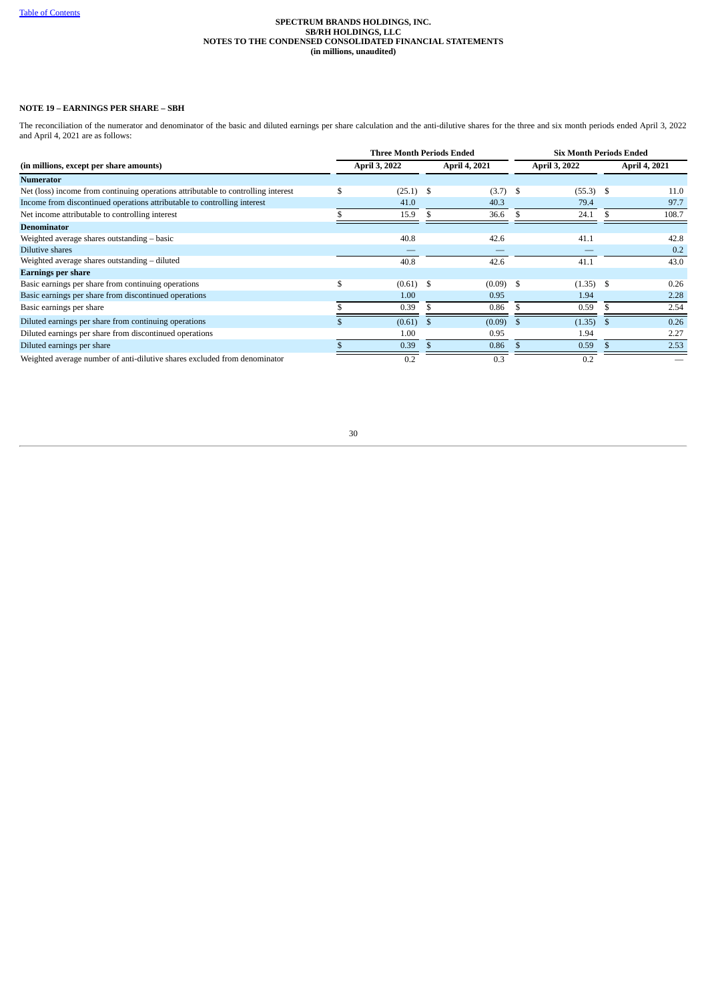# **NOTE 19 – EARNINGS PER SHARE – SBH**

The reconciliation of the numerator and denominator of the basic and diluted earnings per share calculation and the anti-dilutive shares for the three and six month periods ended April 3, 2022 and April 4, 2021 are as follows:

<span id="page-32-0"></span>

|                                                                                   |                    | <b>Three Month Periods Ended</b> |      |                      |      | <b>Six Month Periods Ended</b> |     |                      |  |
|-----------------------------------------------------------------------------------|--------------------|----------------------------------|------|----------------------|------|--------------------------------|-----|----------------------|--|
| (in millions, except per share amounts)                                           |                    | <b>April 3, 2022</b>             |      | <b>April 4, 2021</b> |      | April 3, 2022                  |     | <b>April 4, 2021</b> |  |
| <b>Numerator</b>                                                                  |                    |                                  |      |                      |      |                                |     |                      |  |
| Net (loss) income from continuing operations attributable to controlling interest |                    | $(25.1)$ \$                      |      | (3.7)                | - \$ | (55.3)                         | -\$ | 11.0                 |  |
| Income from discontinued operations attributable to controlling interest          |                    | 41.0                             |      | 40.3                 |      | 79.4                           |     | 97.7                 |  |
| Net income attributable to controlling interest                                   |                    | 15.9                             |      | 36.6                 |      | 24.1                           |     | 108.7                |  |
| <b>Denominator</b>                                                                |                    |                                  |      |                      |      |                                |     |                      |  |
| Weighted average shares outstanding - basic                                       |                    | 40.8                             |      | 42.6                 |      | 41.1                           |     | 42.8                 |  |
| Dilutive shares                                                                   |                    |                                  |      |                      |      |                                |     | 0.2                  |  |
| Weighted average shares outstanding - diluted                                     |                    | 40.8                             |      | 42.6                 |      | 41.1                           |     | 43.0                 |  |
| <b>Earnings per share</b>                                                         |                    |                                  |      |                      |      |                                |     |                      |  |
| Basic earnings per share from continuing operations                               | $\mathbf{\hat{S}}$ | $(0.61)$ \$                      |      | $(0.09)$ \$          |      | $(1.35)$ \$                    |     | 0.26                 |  |
| Basic earnings per share from discontinued operations                             |                    | 1.00                             |      | 0.95                 |      | 1.94                           |     | 2.28                 |  |
| Basic earnings per share                                                          |                    | 0.39                             |      | 0.86                 |      | 0.59                           |     | 2.54                 |  |
| Diluted earnings per share from continuing operations                             |                    | (0.61)                           | - \$ | (0.09)               | - \$ | (1.35)                         | -\$ | 0.26                 |  |
| Diluted earnings per share from discontinued operations                           |                    | 1.00                             |      | 0.95                 |      | 1.94                           |     | 2.27                 |  |
| Diluted earnings per share                                                        |                    | 0.39                             |      | 0.86                 |      | 0.59                           |     | 2.53                 |  |
| Weighted average number of anti-dilutive shares excluded from denominator         |                    | 0.2                              |      | 0.3                  |      | 0.2                            |     |                      |  |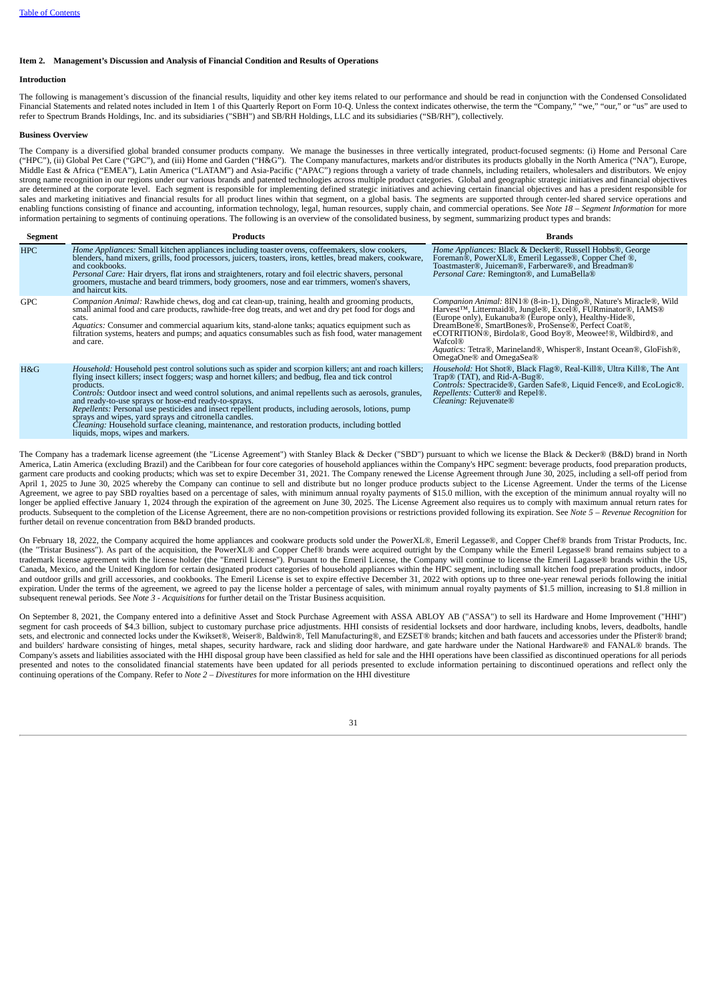# **Item 2. Management's Discussion and Analysis of Financial Condition and Results of Operations**

# **Introduction**

The following is management's discussion of the financial results, liquidity and other key items related to our performance and should be read in conjunction with the Condensed Consolidated Financial Statements and related notes included in Item 1 of this Quarterly Report on Form 10-Q. Unless the context indicates otherwise, the term the "Company," "we," "our," or "us" are used to refer to Spectrum Brands Holdings, Inc. and its subsidiaries ("SBH") and SB/RH Holdings, LLC and its subsidiaries ("SB/RH"), collectively.

### **Business Overview**

The Company is a diversified global branded consumer products company. We manage the businesses in three vertically integrated, product-focused segments: (i) Home and Personal Care ("HPC"), (ii) Global Pet Care ("GPC"), and (iii) Home and Garden ("H&G"). The Company manufactures, markets and/or distributes its products globally in the North America ("NA"), Europe, Middle East & Africa ("EMEA"), Latin America ("LATAM") and Asia-Pacific ("APAC") regions through a variety of trade channels, including retailers, wholesalers and distributors. We enjoy strong name recognition in our regions under our various brands and patented technologies across multiple product categories. Global and geographic strategic initiatives and financial objectives are determined at the corporate level. Each segment is responsible for implementing defined strategic initiatives and achieving certain financial objectives and has a president responsible for sales and marketing initiatives and financial results for all product lines within that segment, on a global basis. The segments are supported through center-led shared service operations and enabling functions consisting of finance and accounting, information technology, legal, human resources, supply chain, and commercial operations. See *Note 18 – Segment Information* for more information pertaining to segments of continuing operations. The following is an overview of the consolidated business, by segment, summarizing product types and brands:

| <b>Segment</b> | <b>Products</b>                                                                                                                                                                                                                                                                                                                                                                                                                                                                                                                                                                                                                                                                                                   | <b>Brands</b>                                                                                                                                                                                                                                                                                                                                                                                                                          |
|----------------|-------------------------------------------------------------------------------------------------------------------------------------------------------------------------------------------------------------------------------------------------------------------------------------------------------------------------------------------------------------------------------------------------------------------------------------------------------------------------------------------------------------------------------------------------------------------------------------------------------------------------------------------------------------------------------------------------------------------|----------------------------------------------------------------------------------------------------------------------------------------------------------------------------------------------------------------------------------------------------------------------------------------------------------------------------------------------------------------------------------------------------------------------------------------|
| <b>HPC</b>     | Home Appliances: Small kitchen appliances including toaster ovens, coffeemakers, slow cookers,<br>blenders, hand mixers, grills, food processors, juicers, toasters, irons, kettles, bread makers, cookware,<br>and cookbooks.<br>Personal Care: Hair dryers, flat irons and straighteners, rotary and foil electric shavers, personal<br>groomers, mustache and beard trimmers, body groomers, nose and ear trimmers, women's shavers,<br>and haircut kits.                                                                                                                                                                                                                                                      | Home Appliances: Black & Decker®, Russell Hobbs®, George<br>Foreman®, PowerXL®, Emeril Legasse®, Copper Chef ®,<br>Toastmaster®, Juiceman®, Farberware®, and Breadman®<br>Personal Care: Remington®, and LumaBella®                                                                                                                                                                                                                    |
| <b>GPC</b>     | Companion Animal: Rawhide chews, dog and cat clean-up, training, health and grooming products,<br>small animal food and care products, rawhide-free dog treats, and wet and dry pet food for dogs and<br>cats.<br><i>Aquatics:</i> Consumer and commercial aquarium kits, stand-alone tanks; aquatics equipment such as<br>filtration systems, heaters and pumps; and aquatics consumables such as fish food, water management<br>and care.                                                                                                                                                                                                                                                                       | Companion Animal: 8IN1® (8-in-1), Dingo®, Nature's Miracle®, Wild<br>Harvest <sup>™</sup> , Littermaid®, Jungle®, Éxcel®, FURminator®, IAMS®<br>(Europe only), Eukanuba® (Europe only), Healthy-Hide®,<br>DreamBone®, SmartBones®, ProSense®, Perfect Coat®,<br>eCOTRITION®, Birdola®, Good Boy®, Meowee!®, Wildbird®, and<br>Wafcol®<br>Aquatics: Tetra®, Marineland®, Whisper®, Instant Ocean®, GloFish®,<br>OmegaOne® and OmegaSea® |
| H&G            | <i>Household:</i> Household pest control solutions such as spider and scorpion killers; ant and roach killers;<br>flying insect killers; insect foggers; wasp and hornet killers; and bedbug, flea and tick control<br>products.<br>Controls: Outdoor insect and weed control solutions, and animal repellents such as aerosols, granules,<br>and ready-to-use sprays or hose-end ready-to-sprays.<br>Repellents: Personal use pesticides and insect repellent products, including aerosols, lotions, pump<br>sprays and wipes, yard sprays and citronella candles.<br><i>Cleaning:</i> Household surface cleaning, maintenance, and restoration products, including bottled<br>liquids, mops, wipes and markers. | Household: Hot Shot®, Black Flag®, Real-Kill®, Ultra Kill®, The Ant<br>Trap® (TAT), and Rid-A-Bug®.<br>Controls: Spectracide®, Garden Safe®, Liquid Fence®, and EcoLogic®.<br>Repellents: Cutter® and Repel®.<br>Cleaning: Rejuvenate®                                                                                                                                                                                                 |

The Company has a trademark license agreement (the "License Agreement") with Stanley Black & Decker ("SBD") pursuant to which we license the Black & Decker® (B&D) brand in North America, Latin America (excluding Brazil) and the Caribbean for four core categories of household appliances within the Company's HPC segment: beverage products, food preparation products, garment care products and cooking products; which was set to expire December 31, 2021. The Company renewed the License Agreement through June 30, 2025, including a sell-off period from April 1, 2025 to June 30, 2025 whereby the Company can continue to sell and distribute but no longer produce products subject to the License Agreement. Under the terms of the License Agreement, we agree to pay SBD royalties based on a percentage of sales, with minimum annual royalty payments of \$15.0 million, with the exception of the minimum annual royalty will no longer be applied effective January 1, 2024 through the expiration of the agreement on June 30, 2025. The License Agreement also requires us to comply with maximum annual return rates for products. Subsequent to the completion of the License Agreement, there are no non-competition provisions or restrictions provided following its expiration. See Note 5 - Revenue Recognition for further detail on revenue concentration from B&D branded products.

On February 18, 2022, the Company acquired the home appliances and cookware products sold under the PowerXL®, Emeril Legasse®, and Copper Chef® brands from Tristar Products, Inc. (the "Tristar Business"). As part of the acquisition, the PowerXL® and Copper Chef® brands were acquired outright by the Company while the Emeril Legasse® brand remains subject to a trademark license agreement with the license holder (the "Emeril License"). Pursuant to the Emeril License, the Company will continue to license the Emeril Lagasse® brands within the US, Canada, Mexico, and the United Kingdom for certain designated product categories of household appliances within the HPC segment, including small kitchen food preparation products, indoor and outdoor grills and grill accessories, and cookbooks. The Emeril License is set to expire effective December 31, 2022 with options up to three one-year renewal periods following the initial accessories, and cookbooks. T expiration. Under the terms of the agreement, we agreed to pay the license holder a percentage of sales, with minimum annual royalty payments of \$1.5 million, increasing to \$1.8 million in subsequent renewal periods. See *Note 3 - Acquisitions* for further detail on the Tristar Business acquisition.

On September 8, 2021, the Company entered into a definitive Asset and Stock Purchase Agreement with ASSA ABLOY AB ("ASSA") to sell its Hardware and Home Improvement ("HHI") segment for cash proceeds of \$4.3 billion, subject to customary purchase price adjustments. HHI consists of residential locksets and door hardware, including knobs, levers, deadbolts, handle sets, and electronic and connected locks under the Kwikset®, Weiser®, Baldwin®, Tell Manufacturing®, and EZSET® brands; kitchen and bath faucets and accessories under the Pfister® brand; and builders' hardware consisting of hinges, metal shapes, security hardware, rack and sliding door hardware, and gate hardware under the National Hardware® and FANAL® brands. The Company's assets and liabilities associated with the HHI disposal group have been classified as held for sale and the HHI operations have been classified as discontinued operations for all periods presented and notes to the consolidated financial statements have been updated for all periods presented to exclude information pertaining to discontinued operations and reflect only the continuing operations of the Company. Refer to *Note 2 – Divestitures* for more information on the HHI divestiture

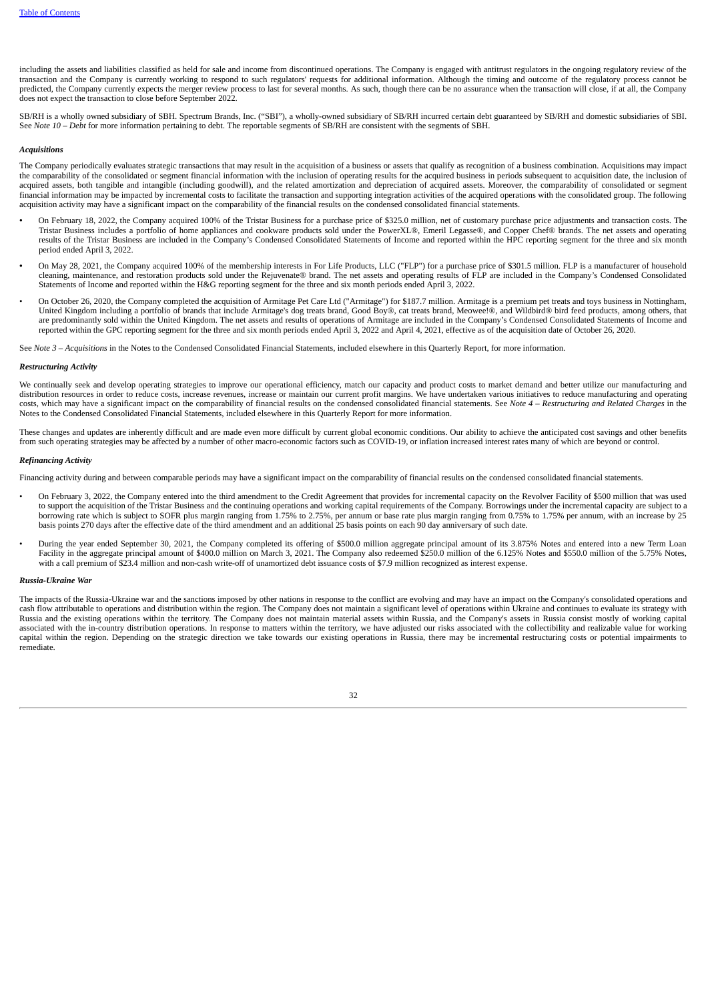including the assets and liabilities classified as held for sale and income from discontinued operations. The Company is engaged with antitrust regulators in the ongoing regulatory review of the transaction and the Company is currently working to respond to such regulators' requests for additional information. Although the timing and outcome of the regulatory process cannot be predicted, the Company currently expects the merger review process to last for several months. As such, though there can be no assurance when the transaction will close, if at all, the Company does not expect the transaction to close before September 2022.

SB/RH is a wholly owned subsidiary of SBH. Spectrum Brands, Inc. ("SBI"), a wholly-owned subsidiary of SB/RH incurred certain debt guaranteed by SB/RH and domestic subsidiaries of SBI. See *Note 10 – Debt* for more information pertaining to debt. The reportable segments of SB/RH are consistent with the segments of SBH.

#### *Acquisitions*

The Company periodically evaluates strategic transactions that may result in the acquisition of a business or assets that qualify as recognition of a business combination. Acquisitions may impact the comparability of the consolidated or segment financial information with the inclusion of operating results for the acquired business in periods subsequent to acquisition date, the inclusion of acquired assets, both tangible and intangible (including goodwill), and the related amortization and depreciation of acquired assets. Moreover, the comparability of consolidated or segment financial information may be impacted by incremental costs to facilitate the transaction and supporting integration activities of the acquired operations with the consolidated group. The following acquisition activity may have a significant impact on the comparability of the financial results on the condensed consolidated financial statements.

- On February 18, 2022, the Company acquired 100% of the Tristar Business for a purchase price of \$325.0 million, net of customary purchase price adjustments and transaction costs. The Tristar Business includes a portfolio of home appliances and cookware products sold under the PowerXL®, Emeril Legasse®, and Copper Chef® brands. The net assets and operating results of the Tristar Business are included in the Company's Condensed Consolidated Statements of Income and reported within the HPC reporting segment for the three and six month period ended April 3, 2022.
- *•* On May 28, 2021, the Company acquired 100% of the membership interests in For Life Products, LLC ("FLP") for a purchase price of \$301.5 million. FLP is a manufacturer of household cleaning, maintenance, and restoration products sold under the Rejuvenate® brand. The net assets and operating results of FLP are included in the Company's Condensed Consolidated Statements of Income and reported within the H&G reporting segment for the three and six month periods ended April 3, 2022.
- On October 26, 2020, the Company completed the acquisition of Armitage Pet Care Ltd ("Armitage") for \$187.7 million. Armitage is a premium pet treats and toys business in Nottingham, United Kingdom including a portfolio of brands that include Armitage's dog treats brand, Good Boy®, cat treats brand, Meowee!®, and Wildbird® bird feed products, among others, that are predominantly sold within the United Kingdom. The net assets and results of operations of Armitage are included in the Company's Condensed Consolidated Statements of Income and reported within the GPC reporting segment for the three and six month periods ended April 3, 2022 and April 4, 2021, effective as of the acquisition date of October 26, 2020.

See *Note 3 – Acquisitions* in the Notes to the Condensed Consolidated Financial Statements, included elsewhere in this Quarterly Report, for more information.

#### *Restructuring Activity*

We continually seek and develop operating strategies to improve our operational efficiency, match our capacity and product costs to market demand and better utilize our manufacturing and distribution resources in order to reduce costs, increase revenues, increase or maintain our current profit margins. We have undertaken various initiatives to reduce manufacturing and operating costs, which may have a significant impact on the comparability of financial results on the condensed consolidated financial statements. See Note 4 - Restructuring and Related Charges in the Notes to the Condensed Consolidated Financial Statements, included elsewhere in this Quarterly Report for more information.

These changes and updates are inherently difficult and are made even more difficult by current global economic conditions. Our ability to achieve the anticipated cost savings and other benefits from such operating strategies may be affected by a number of other macro-economic factors such as COVID-19, or inflation increased interest rates many of which are beyond or control.

# *Refinancing Activity*

Financing activity during and between comparable periods may have a significant impact on the comparability of financial results on the condensed consolidated financial statements.

- On February 3, 2022, the Company entered into the third amendment to the Credit Agreement that provides for incremental capacity on the Revolver Facility of \$500 million that was used to support the acquisition of the Tristar Business and the continuing operations and working capital requirements of the Company. Borrowings under the incremental capacity are subject to a borrowing rate which is subject to SOFR plus margin ranging from 1.75% to 2.75%, per annum or base rate plus margin ranging from 0.75% to 1.75% per annum, with an increase by 25 basis points 270 days after the effective date of the third amendment and an additional 25 basis points on each 90 day anniversary of such date.
- During the year ended September 30, 2021, the Company completed its offering of \$500.0 million aggregate principal amount of its 3.875% Notes and entered into a new Term Loan Facility in the aggregate principal amount of \$400.0 million on March 3, 2021. The Company also redeemed \$250.0 million of the 6.125% Notes and \$550.0 million of the 5.75% Notes, with a call premium of \$23.4 million and non-cash write-off of unamortized debt issuance costs of \$7.9 million recognized as interest expense.

#### *Russia-Ukraine War*

The impacts of the Russia-Ukraine war and the sanctions imposed by other nations in response to the conflict are evolving and may have an impact on the Company's consolidated operations and cash flow attributable to operations and distribution within the region. The Company does not maintain a significant level of operations within Ukraine and continues to evaluate its strategy with Russia and the existing operations within the territory. The Company does not maintain material assets within Russia, and the Company's assets in Russia consist mostly of working capital assets in Russia consistence of wor associated with the in-country distribution operations. In response to matters within the territory, we have adjusted our risks associated with the collectibility and realizable value for working capital within the region. Depending on the strategic direction we take towards our existing operations in Russia, there may be incremental restructuring costs or potential impairments to remediate.

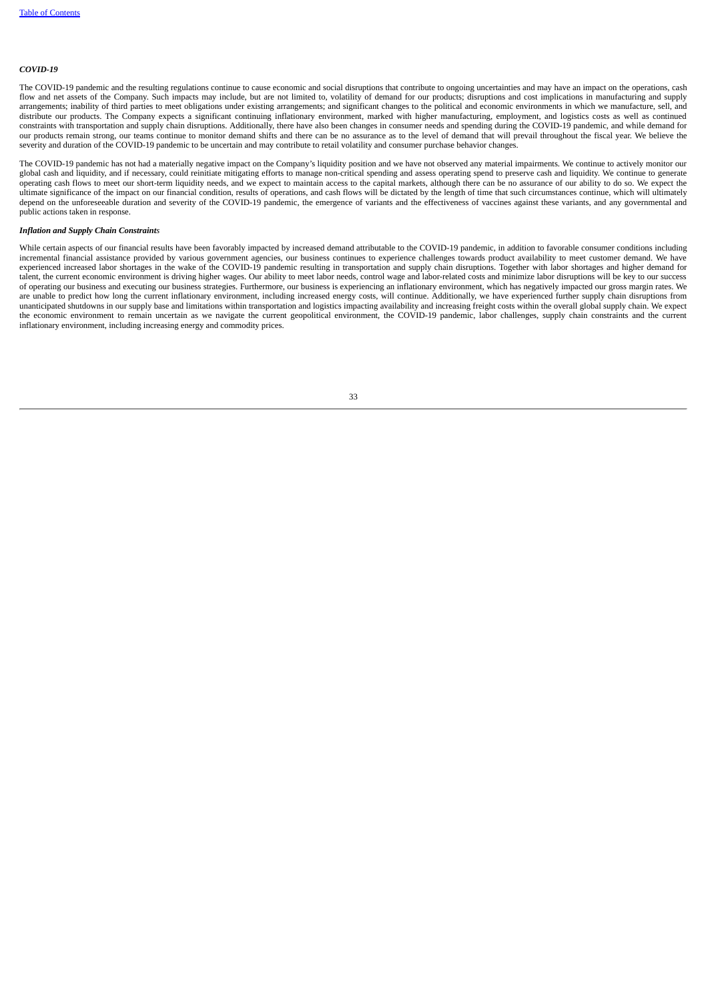# *COVID-19*

The COVID-19 pandemic and the resulting regulations continue to cause economic and social disruptions that contribute to ongoing uncertainties and may have an impact on the operations, cash flow and net assets of the Company. Such impacts may include, but are not limited to, volatility of demand for our products; disruptions and cost implications in manufacturing and supply arrangements; inability of third parties to meet obligations under existing arrangements; and significant changes to the political and economic environments in which we manufacture, sell, and distribute our products. The Company expects a significant continuing inflationary environment, marked with higher manufacturing, employment, and logistics costs as well as continued constraints with transportation and supply chain disruptions. Additionally, there have also been changes in consumer needs and spending during the COVID-19 pandemic, and while demand for our products remain strong, our teams continue to monitor demand shifts and there can be no assurance as to the level of demand that will prevail throughout the fiscal year. We believe the severity and duration of the COVID-19 pandemic to be uncertain and may contribute to retail volatility and consumer purchase behavior changes.

The COVID-19 pandemic has not had a materially negative impact on the Company's liquidity position and we have not observed any material impairments. We continue to actively monitor our global cash and liquidity, and if necessary, could reinitiate mitigating efforts to manage non-critical spending and assess operating spend to preserve cash and liquidity. We continue to generate operating cash flows to meet our short-term liquidity needs, and we expect to maintain access to the capital markets, although there can be no assurance of our ability to do so. We expect the ultimate significance of the impact on our financial condition, results of operations, and cash flows will be dictated by the length of time that such circumstances continue, which will ultimately depend on the unforeseeable duration and severity of the COVID-19 pandemic, the emergence of variants and the effectiveness of vaccines against these variants, and any governmental and public actions taken in response.

# *Inflation and Supply Chain Constraints*

While certain aspects of our financial results have been favorably impacted by increased demand attributable to the COVID-19 pandemic, in addition to favorable consumer conditions including incremental financial assistance provided by various government agencies, our business continues to experience challenges towards product availability to meet customer demand. We have experienced increased labor shortages in the wake of the COVID-19 pandemic resulting in transportation and supply chain disruptions. Together with labor shortages and higher demand for talent, the current economic environment is driving higher wages. Our ability to meet labor needs, control wage and labor-related costs and minimize labor disruptions will be key to our success of operating our business and executing our business strategies. Furthermore, our business is experiencing an inflationary environment, which has negatively impacted our gross margin rates. We are unable to predict how long the current inflationary environment, including increased energy costs, will continue. Additionally, we have experienced further supply chain disruptions from unanticipated shutdowns in our supply base and limitations within transportation and logistics impacting availability and increasing freight costs within the overall global supply chain. We expect the economic environment to remain uncertain as we navigate the current geopolitical environment, the COVID-19 pandemic, labor challenges, supply chain constraints and the current inflationary environment, including increasing energy and commodity prices.

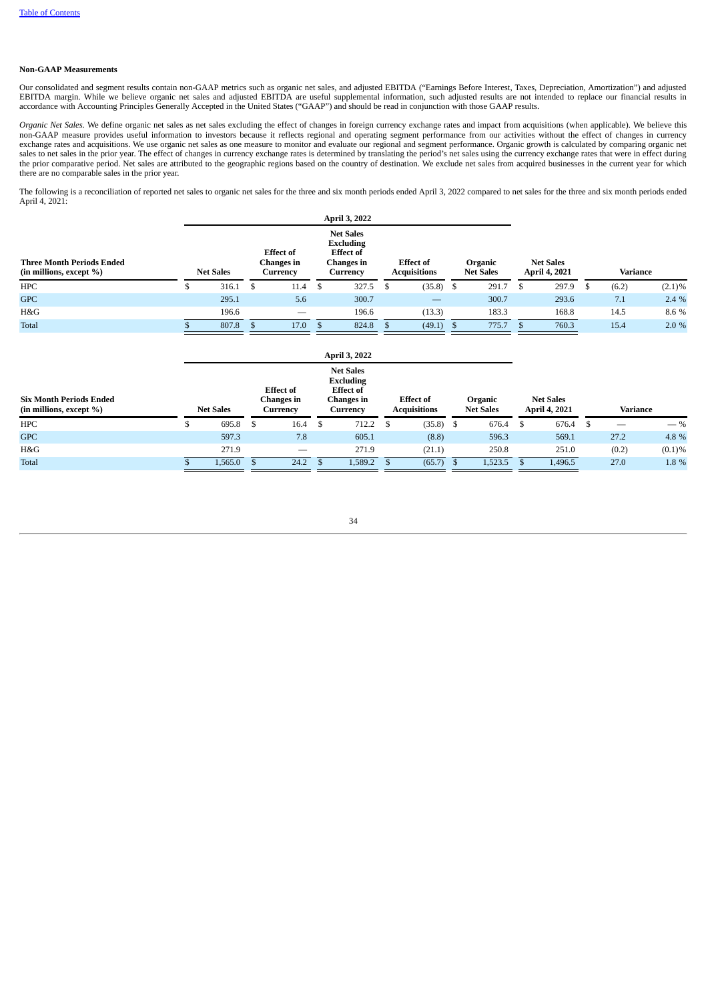# **Non-GAAP Measurements**

Our consolidated and segment results contain non-GAAP metrics such as organic net sales, and adjusted EBITDA ("Earnings Before Interest, Taxes, Depreciation, Amortization") and adjusted EBITDA margin. While we believe organic net sales and adjusted EBITDA are useful supplemental information, such adjusted results are not intended to replace our financial results in accordance with Accounting Principles Generally Accepted in the United States ("GAAP") and should be read in conjunction with those GAAP results.

*Organic Net Sales.* We define organic net sales as net sales excluding the effect of changes in foreign currency exchange rates and impact from acquisitions (when applicable). We believe this non-GAAP measure provides useful information to investors because it reflects regional and operating segment performance from our activities without the effect of changes in currency exchange rates and acquisitions. We use organic net sales as one measure to monitor and evaluate our regional and segment performance. Organic growth is calculated by comparing organic net sales to net sales in the prior year. The effect of changes in currency exchange rates is determined by translating the period's net sales using the currency exchange rates that were in effect during the prior comparative period. Net sales are attributed to the geographic regions based on the country of destination. We exclude net sales from acquired businesses in the current year for which the prior comparative period there are no comparable sales in the prior year.

The following is a reconciliation of reported net sales to organic net sales for the three and six month periods ended April 3, 2022 compared to net sales for the three and six month periods ended April 4, 2021:

| <b>Three Month Periods Ended</b><br>(in millions, except %) | <b>Net Sales</b> | <b>Effect of</b><br>Changes in<br>Currency |      | <b>Net Sales</b><br><b>Excluding</b><br><b>Effect of</b><br>Changes in<br>Currency |       | <b>Effect of</b><br><b>Acquisitions</b> |        | Organic<br><b>Net Sales</b> |       | <b>Net Sales</b><br><b>April 4, 2021</b> |       | Variance |       |           |
|-------------------------------------------------------------|------------------|--------------------------------------------|------|------------------------------------------------------------------------------------|-------|-----------------------------------------|--------|-----------------------------|-------|------------------------------------------|-------|----------|-------|-----------|
| <b>HPC</b>                                                  | 316.1            | .S                                         | 11.4 | - \$                                                                               | 327.5 |                                         | (35.8) | - \$                        | 291.7 |                                          | 297.9 |          | (6.2) | $(2.1)\%$ |
| <b>GPC</b>                                                  | 295.1            |                                            | 5.6  |                                                                                    | 300.7 |                                         |        |                             | 300.7 |                                          | 293.6 |          | 7.1   | 2.4 %     |
| H&G                                                         | 196.6            |                                            |      |                                                                                    | 196.6 |                                         | (13.3) |                             | 183.3 |                                          | 168.8 |          | 14.5  | 8.6 %     |
| <b>Total</b>                                                | 807.8            |                                            | 17.0 |                                                                                    | 824.8 |                                         | (49.1) |                             | 775.7 |                                          | 760.3 |          | 15.4  | 2.0 %     |

|                                                              |  |                  |   |                                            |                                                                                    | <b>April 3, 2022</b> |                                         |             |                             |         |                                          |         |          |        |
|--------------------------------------------------------------|--|------------------|---|--------------------------------------------|------------------------------------------------------------------------------------|----------------------|-----------------------------------------|-------------|-----------------------------|---------|------------------------------------------|---------|----------|--------|
| <b>Six Month Periods Ended</b><br>(in millions, except $%$ ) |  | <b>Net Sales</b> |   | <b>Effect of</b><br>Changes in<br>Currency | <b>Net Sales</b><br><b>Excluding</b><br><b>Effect of</b><br>Changes in<br>Currency |                      | <b>Effect of</b><br><b>Acquisitions</b> |             | Organic<br><b>Net Sales</b> |         | <b>Net Sales</b><br><b>April 4, 2021</b> |         | Variance |        |
| <b>HPC</b>                                                   |  | 695.8            | S | 16.4                                       | - \$                                                                               | 712.2                | S                                       | $(35.8)$ \$ |                             | 676.4   |                                          | 676.4   | –        | $-$ %  |
| <b>GPC</b>                                                   |  | 597.3            |   | 7.8                                        |                                                                                    | 605.1                |                                         | (8.8)       |                             | 596.3   |                                          | 569.1   | 27.2     | 4.8 %  |
| H&G                                                          |  | 271.9            |   |                                            |                                                                                    | 271.9                |                                         | (21.1)      |                             | 250.8   |                                          | 251.0   | (0.2)    | (0.1)% |
| <b>Total</b>                                                 |  | 1,565.0          |   | 24.2                                       |                                                                                    | 1,589.2              |                                         | (65.7)      |                             | 1,523.5 |                                          | 1,496.5 | 27.0     | 1.8 %  |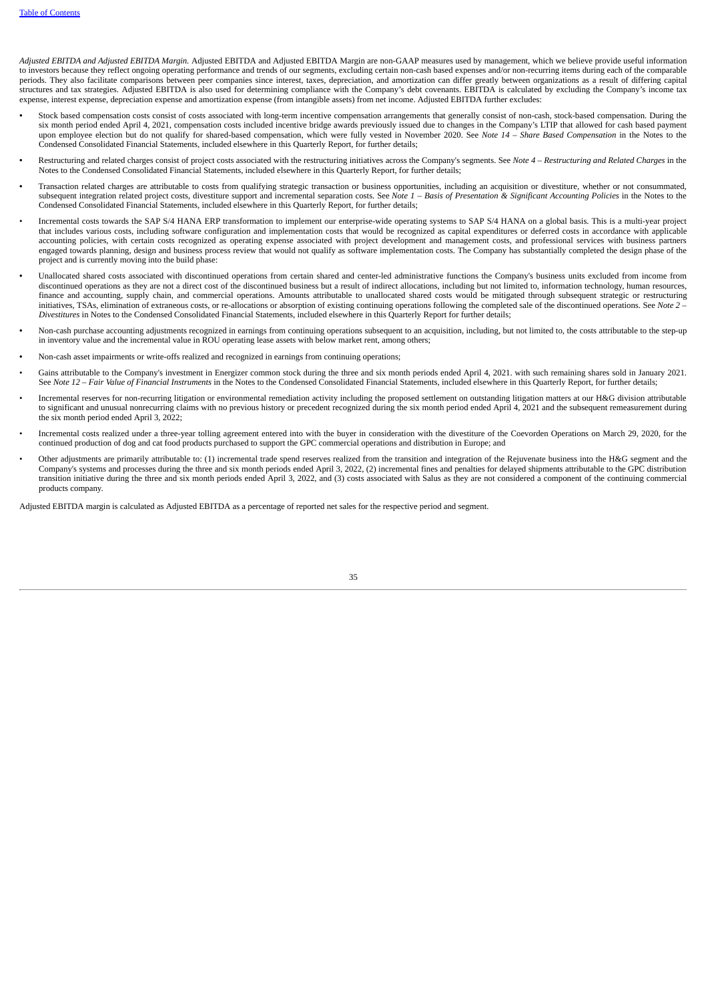*Adjusted EBITDA and Adjusted EBITDA Margin.* Adjusted EBITDA and Adjusted EBITDA Margin are non-GAAP measures used by management, which we believe provide useful information to investors because they reflect ongoing operating performance and trends of our segments, excluding certain non-cash based expenses and/or non-recurring items during each of the comparable periods. They also facilitate comparisons between peer companies since interest, taxes, depreciation, and amortization can differ greatly between organizations as a result of differing capital structures and tax strategies. Adjusted EBITDA is also used for determining compliance with the Company's debt covenants. EBITDA is calculated by excluding the Company's income tax expense, interest expense, depreciation expense and amortization expense (from intangible assets) from net income. Adjusted EBITDA further excludes:

- *•* Stock based compensation costs consist of costs associated with long-term incentive compensation arrangements that generally consist of non-cash, stock-based compensation. During the six month period ended April 4, 2021, compensation costs included incentive bridge awards previously issued due to changes in the Company's LTIP that allowed for cash based payment upon employee election but do not qualify for shared-based compensation, which were fully vested in November 2020. See *Note 14 – Share Based Compensation* in the Notes to the Condensed Consolidated Financial Statements, included elsewhere in this Quarterly Report, for further details;
- Restructuring and related charges consist of project costs associated with the restructuring initiatives across the Company's segments. See Note 4 Restructuring and Related Charges in the Notes to the Condensed Consolidated Financial Statements, included elsewhere in this Quarterly Report, for further details;
- **•** Transaction related charges are attributable to costs from qualifying strategic transaction or business opportunities, including an acquisition or divestiture, whether or not consummated, subsequent integration related project costs, divestiture support and incremental separation costs. See Note 1 - Basis of Presentation & Significant Accounting Policies in the Notes to the Condensed Consolidated Financial Statements, included elsewhere in this Quarterly Report, for further details;
- Incremental costs towards the SAP S/4 HANA ERP transformation to implement our enterprise-wide operating systems to SAP S/4 HANA on a global basis. This is a multi-year project that includes various costs, including software configuration and implementation costs that would be recognized as capital expenditures or deferred costs in accordance with applicable accounting policies, with certain costs recognized as operating expense associated with project development and management costs, and professional services with business partners engaged towards planning, design and business process review that would not qualify as software implementation costs. The Company has substantially completed the design phase of the project and is currently moving into the build phase:
- **•** Unallocated shared costs associated with discontinued operations from certain shared and center-led administrative functions the Company's business units excluded from income from discontinued operations as they are not a direct cost of the discontinued business but a result of indirect allocations, including but not limited to, information technology, human resources, finance and accounting, supply chain, and commercial operations. Amounts attributable to unallocated shared costs would be mitigated through subsequent strategic or restructuring initiatives, TSAs, elimination of extraneous costs, or re-allocations or absorption of existing continuing operations following the completed sale of the discontinued operations. See *Note* 2 – *Divestitures* in Notes to the Condensed Consolidated Financial Statements, included elsewhere in this Quarterly Report for further details;
- Non-cash purchase accounting adjustments recognized in earnings from continuing operations subsequent to an acquisition, including, but not limited to, the costs attributable to the step-up in inventory value and the incremental value in ROU operating lease assets with below market rent, among others;
- **•** Non-cash asset impairments or write-offs realized and recognized in earnings from continuing operations;
- Gains attributable to the Company's investment in Energizer common stock during the three and six month periods ended April 4, 2021. with such remaining shares sold in January 2021. See Note 12 - Fair Value of Financial Instruments in the Notes to the Condensed Consolidated Financial Statements, included elsewhere in this Quarterly Report, for further details;
- Incremental reserves for non-recurring litigation or environmental remediation activity including the proposed settlement on outstanding litigation matters at our H&G division attributable to significant and unusual nonrecurring claims with no previous history or precedent recognized during the six month period ended April 4, 2021 and the subsequent remeasurement during the six month period ended April 3, 2022;
- Incremental costs realized under a three-year tolling agreement entered into with the buyer in consideration with the divestiture of the Coevorden Operations on March 29, 2020, for the continued production of dog and cat food products purchased to support the GPC commercial operations and distribution in Europe; and
- Other adjustments are primarily attributable to: (1) incremental trade spend reserves realized from the transition and integration of the Rejuvenate business into the H&G segment and the Company's systems and processes during the three and six month periods ended April 3, 2022, (2) incremental fines and penalties for delayed shipments attributable to the GPC distribution transition initiative during the three and six month periods ended April 3, 2022, and (3) costs associated with Salus as they are not considered a component of the continuing commercial products company.

Adjusted EBITDA margin is calculated as Adjusted EBITDA as a percentage of reported net sales for the respective period and segment.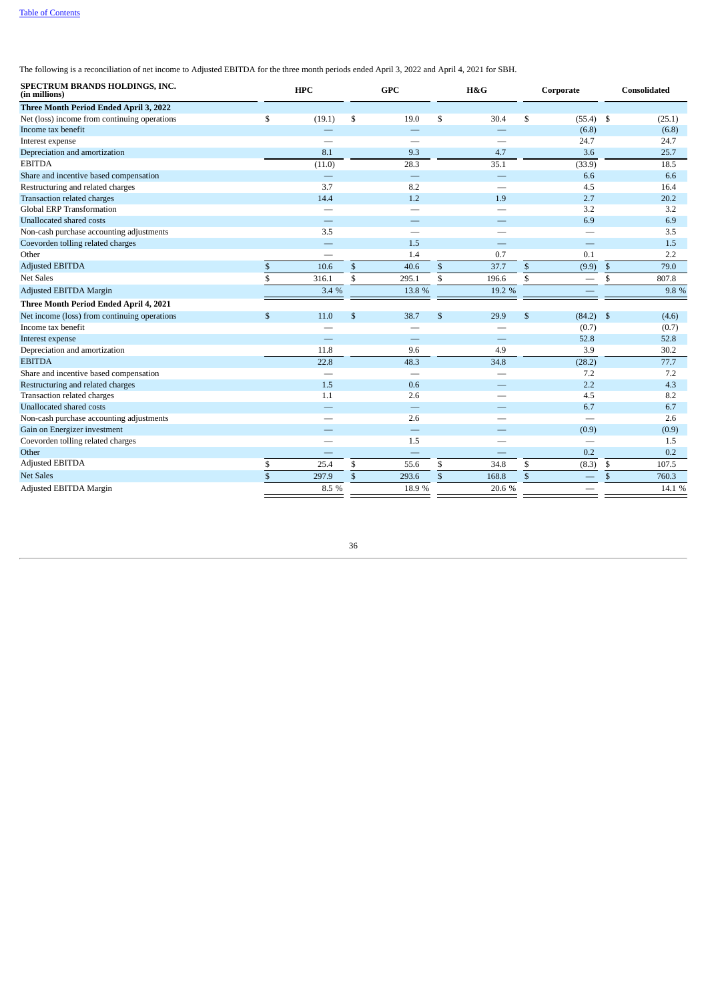The following is a reconciliation of net income to Adjusted EBITDA for the three month periods ended April 3, 2022 and April 4, 2021 for SBH.

| SPECTRUM BRANDS HOLDINGS, INC.<br>(in millions) |    | <b>HPC</b><br><b>GPC</b><br>H&G |                | Corporate         |              | Consolidated |                |                   |                |        |
|-------------------------------------------------|----|---------------------------------|----------------|-------------------|--------------|--------------|----------------|-------------------|----------------|--------|
| Three Month Period Ended April 3, 2022          |    |                                 |                |                   |              |              |                |                   |                |        |
| Net (loss) income from continuing operations    | S  | (19.1)                          | \$             | 19.0              | \$           | 30.4         | \$             | $(55.4)$ \$       |                | (25.1) |
| Income tax benefit                              |    |                                 |                |                   |              |              |                | (6.8)             |                | (6.8)  |
| Interest expense                                |    |                                 |                |                   |              |              |                | 24.7              |                | 24.7   |
| Depreciation and amortization                   |    | 8.1                             |                | 9.3               |              | 4.7          |                | 3.6               |                | 25.7   |
| <b>EBITDA</b>                                   |    | (11.0)                          |                | 28.3              |              | 35.1         |                | (33.9)            |                | 18.5   |
| Share and incentive based compensation          |    | $\overline{\phantom{0}}$        |                |                   |              |              |                | 6.6               |                | 6.6    |
| Restructuring and related charges               |    | 3.7                             |                | 8.2               |              |              |                | 4.5               |                | 16.4   |
| Transaction related charges                     |    | 14.4                            |                | 1.2               |              | 1.9          |                | 2.7               |                | 20.2   |
| <b>Global ERP Transformation</b>                |    |                                 |                |                   |              |              |                | 3.2               |                | 3.2    |
| Unallocated shared costs                        |    |                                 |                |                   |              |              |                | 6.9               |                | 6.9    |
| Non-cash purchase accounting adjustments        |    | 3.5                             |                |                   |              |              |                |                   |                | 3.5    |
| Coevorden tolling related charges               |    |                                 |                | 1.5               |              |              |                |                   |                | 1.5    |
| Other                                           |    |                                 |                | 1.4               |              | 0.7          |                | 0.1               |                | 2.2    |
| <b>Adjusted EBITDA</b>                          | \$ | 10.6                            | $\mathfrak{S}$ | 40.6              | $\mathbb{S}$ | 37.7         | $\mathfrak{s}$ | (9.9)             | $\mathfrak{F}$ | 79.0   |
| <b>Net Sales</b>                                | \$ | 316.1                           | \$             | 295.1             | \$           | 196.6        | $\mathbb{S}$   | $\qquad \qquad -$ | \$             | 807.8  |
| <b>Adjusted EBITDA Margin</b>                   |    | 3.4 %                           |                | 13.8 %            |              | 19.2 %       |                |                   |                | 9.8 %  |
| Three Month Period Ended April 4, 2021          |    |                                 |                |                   |              |              |                |                   |                |        |
| Net income (loss) from continuing operations    | \$ | 11.0                            | $\mathbb{S}$   | 38.7              | \$           | 29.9         | \$             | $(84.2)$ \$       |                | (4.6)  |
| Income tax benefit                              |    |                                 |                |                   |              |              |                | (0.7)             |                | (0.7)  |
| Interest expense                                |    |                                 |                |                   |              |              |                | 52.8              |                | 52.8   |
| Depreciation and amortization                   |    | 11.8                            |                | 9.6               |              | 4.9          |                | 3.9               |                | 30.2   |
| <b>EBITDA</b>                                   |    | 22.8                            |                | 48.3              |              | 34.8         |                | (28.2)            |                | 77.7   |
| Share and incentive based compensation          |    |                                 |                |                   |              |              |                | 7.2               |                | 7.2    |
| Restructuring and related charges               |    | 1.5                             |                | 0.6               |              |              |                | 2.2               |                | 4.3    |
| Transaction related charges                     |    | 1.1                             |                | 2.6               |              |              |                | 4.5               |                | 8.2    |
| Unallocated shared costs                        |    | $\qquad \qquad$                 |                |                   |              |              |                | 6.7               |                | 6.7    |
| Non-cash purchase accounting adjustments        |    |                                 |                | 2.6               |              |              |                |                   |                | 2.6    |
| Gain on Energizer investment                    |    | -                               |                | $\qquad \qquad -$ |              |              |                | (0.9)             |                | (0.9)  |
| Coevorden tolling related charges               |    |                                 |                | 1.5               |              |              |                |                   |                | 1.5    |
| Other                                           |    |                                 |                |                   |              |              |                | 0.2               |                | 0.2    |
| <b>Adjusted EBITDA</b>                          | \$ | 25.4                            | \$             | 55.6              | \$           | 34.8         | \$             | (8.3)             | \$             | 107.5  |
| <b>Net Sales</b>                                | \$ | 297.9                           | $\mathbb{S}$   | 293.6             | $\mathbb{S}$ | 168.8        | \$             |                   | $\mathbb{S}$   | 760.3  |
| Adjusted EBITDA Margin                          |    | 8.5 %                           |                | 18.9%             |              | 20.6 %       |                |                   |                | 14.1 % |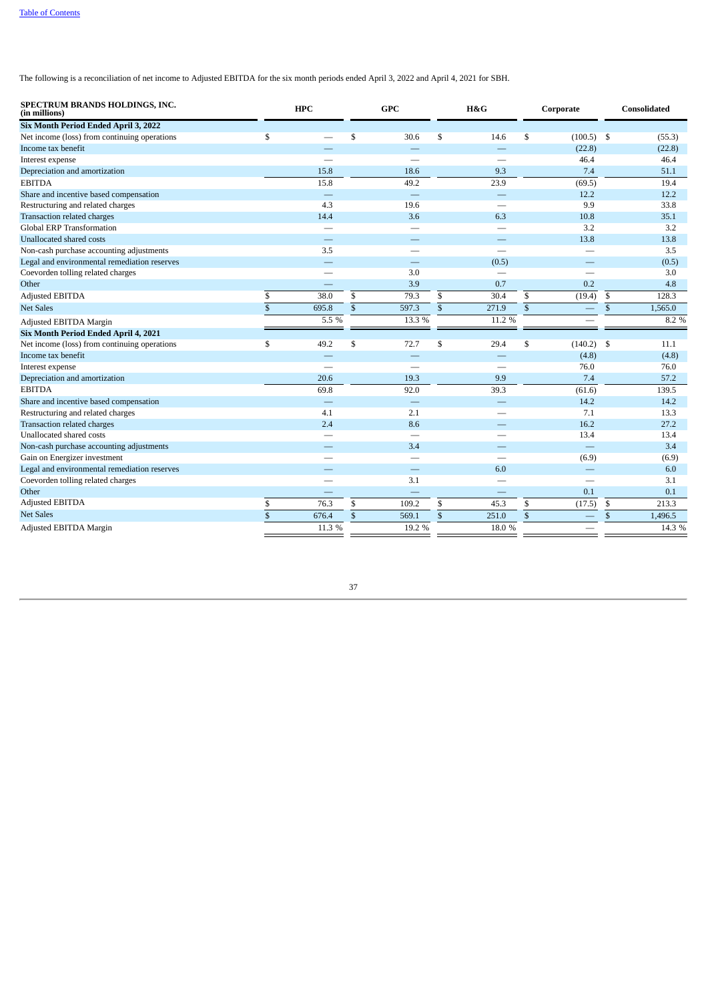The following is a reconciliation of net income to Adjusted EBITDA for the six month periods ended April 3, 2022 and April 4, 2021 for SBH.

| SPECTRUM BRANDS HOLDINGS, INC.<br>(in millions) | <b>HPC</b>  | <b>GPC</b>   |        |              | H&G    | Corporate               |                                 |              | <b>Consolidated</b> |
|-------------------------------------------------|-------------|--------------|--------|--------------|--------|-------------------------|---------------------------------|--------------|---------------------|
| <b>Six Month Period Ended April 3, 2022</b>     |             |              |        |              |        |                         |                                 |              |                     |
| Net income (loss) from continuing operations    | \$          | \$           | 30.6   | S            | 14.6   | \$                      | $(100.5)$ \$                    |              | (55.3)              |
| Income tax benefit                              |             |              |        |              |        |                         | (22.8)                          |              | (22.8)              |
| Interest expense                                |             |              |        |              |        |                         | 46.4                            |              | 46.4                |
| Depreciation and amortization                   | 15.8        |              | 18.6   |              | 9.3    |                         | 7.4                             |              | 51.1                |
| <b>EBITDA</b>                                   | 15.8        |              | 49.2   |              | 23.9   |                         | (69.5)                          |              | 19.4                |
| Share and incentive based compensation          |             |              |        |              |        |                         | 12.2                            |              | 12.2                |
| Restructuring and related charges               | 4.3         |              | 19.6   |              |        |                         | 9.9                             |              | 33.8                |
| <b>Transaction related charges</b>              | 14.4        |              | 3.6    |              | 6.3    |                         | 10.8                            |              | 35.1                |
| Global ERP Transformation                       |             |              |        |              |        |                         | 3.2                             |              | 3.2                 |
| Unallocated shared costs                        |             |              |        |              |        |                         | 13.8                            |              | 13.8                |
| Non-cash purchase accounting adjustments        | 3.5         |              |        |              |        |                         |                                 |              | 3.5                 |
| Legal and environmental remediation reserves    | -           |              | —      |              | (0.5)  |                         |                                 |              | (0.5)               |
| Coevorden tolling related charges               |             |              | 3.0    |              |        |                         |                                 |              | 3.0                 |
| Other                                           |             |              | 3.9    |              | 0.7    |                         | 0.2                             |              | 4.8                 |
| <b>Adjusted EBITDA</b>                          | \$<br>38.0  | \$           | 79.3   | \$           | 30.4   | \$                      | (19.4)                          | \$           | 128.3               |
| <b>Net Sales</b>                                | \$<br>695.8 | $\mathbb{S}$ | 597.3  | $\mathbb{S}$ | 271.9  | $\overline{\mathbb{S}}$ |                                 | $\mathbb{S}$ | 1,565.0             |
| <b>Adjusted EBITDA Margin</b>                   | 5.5 %       |              | 13.3 % |              | 11.2 % |                         |                                 |              | 8.2 %               |
| Six Month Period Ended April 4, 2021            |             |              |        |              |        |                         |                                 |              |                     |
| Net income (loss) from continuing operations    | \$<br>49.2  | \$           | 72.7   | S            | 29.4   | \$                      | (140.2)                         | - \$         | 11.1                |
| Income tax benefit                              |             |              |        |              |        |                         | (4.8)                           |              | (4.8)               |
| Interest expense                                |             |              |        |              |        |                         | 76.0                            |              | 76.0                |
| Depreciation and amortization                   | 20.6        |              | 19.3   |              | 9.9    |                         | 7.4                             |              | 57.2                |
| <b>EBITDA</b>                                   | 69.8        |              | 92.0   |              | 39.3   |                         | (61.6)                          |              | 139.5               |
| Share and incentive based compensation          |             |              |        |              |        |                         | 14.2                            |              | 14.2                |
| Restructuring and related charges               | 4.1         |              | 2.1    |              |        |                         | 7.1                             |              | 13.3                |
| <b>Transaction related charges</b>              | 2.4         |              | 8.6    |              |        |                         | 16.2                            |              | 27.2                |
| Unallocated shared costs                        |             |              |        |              |        |                         | 13.4                            |              | 13.4                |
| Non-cash purchase accounting adjustments        |             |              | 3.4    |              |        |                         |                                 |              | 3.4                 |
| Gain on Energizer investment                    |             |              | —      |              |        |                         | (6.9)                           |              | (6.9)               |
| Legal and environmental remediation reserves    |             |              |        |              | 6.0    |                         | $\hspace{0.1mm}-\hspace{0.1mm}$ |              | 6.0                 |
| Coevorden tolling related charges               |             |              | 3.1    |              |        |                         |                                 |              | 3.1                 |
| Other                                           |             |              |        |              |        |                         | 0.1                             |              | 0.1                 |
| <b>Adjusted EBITDA</b>                          | \$<br>76.3  | \$           | 109.2  | \$           | 45.3   | \$                      | (17.5)                          | \$           | 213.3               |
| <b>Net Sales</b>                                | \$<br>676.4 | $\mathbb{S}$ | 569.1  | $\mathbb{S}$ | 251.0  | $\mathbb{S}$            | $\overline{\phantom{m}}$        | $\mathbb{S}$ | 1,496.5             |
| Adjusted EBITDA Margin                          | 11.3 %      |              | 19.2 % |              | 18.0 % |                         | $\hspace{0.05cm}$               |              | 14.3 %              |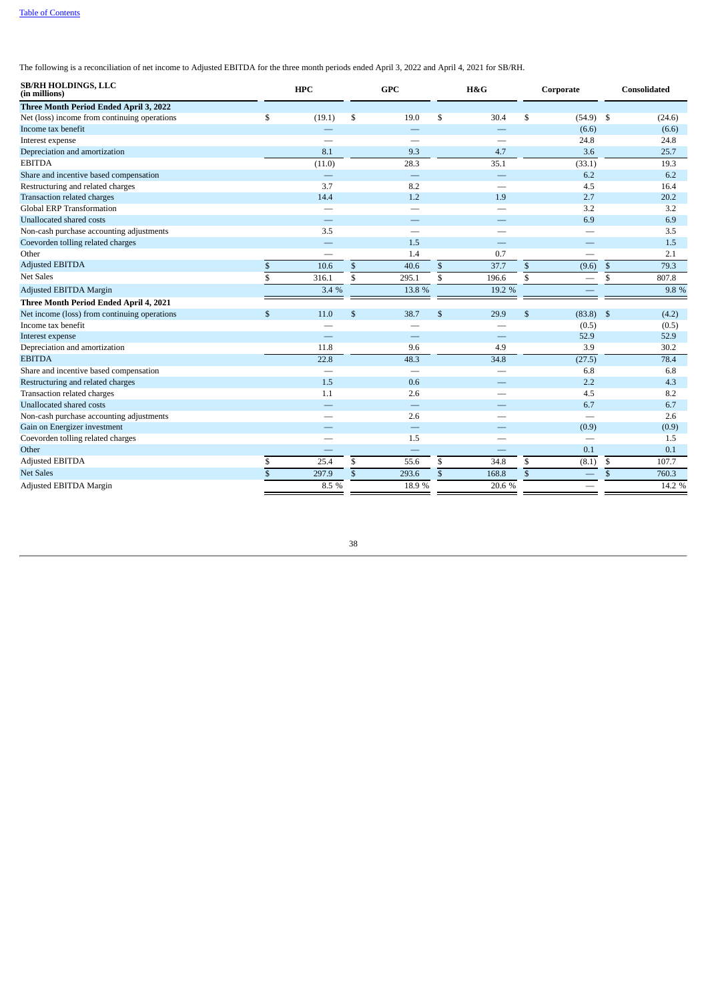The following is a reconciliation of net income to Adjusted EBITDA for the three month periods ended April 3, 2022 and April 4, 2021 for SB/RH.

| <b>SB/RH HOLDINGS, LLC</b><br>(in millions)   |              | <b>HPC</b> | <b>GPC</b>    |                          | H&G          |        |                          | Corporate                |                         | Consolidated |
|-----------------------------------------------|--------------|------------|---------------|--------------------------|--------------|--------|--------------------------|--------------------------|-------------------------|--------------|
| <b>Three Month Period Ended April 3, 2022</b> |              |            |               |                          |              |        |                          |                          |                         |              |
| Net (loss) income from continuing operations  | \$           | (19.1)     | \$            | 19.0                     | \$           | 30.4   | \$                       | (54.9)                   | \$                      | (24.6)       |
| Income tax benefit                            |              |            |               |                          |              |        |                          | (6.6)                    |                         | (6.6)        |
| Interest expense                              |              |            |               |                          |              |        |                          | 24.8                     |                         | 24.8         |
| Depreciation and amortization                 |              | 8.1        |               | 9.3                      |              | 4.7    |                          | 3.6                      |                         | 25.7         |
| <b>EBITDA</b>                                 |              | (11.0)     |               | 28.3                     |              | 35.1   |                          | (33.1)                   |                         | 19.3         |
| Share and incentive based compensation        |              |            |               |                          |              |        |                          | 6.2                      |                         | 6.2          |
| Restructuring and related charges             |              | 3.7        |               | 8.2                      |              |        |                          | 4.5                      |                         | 16.4         |
| <b>Transaction related charges</b>            |              | 14.4       |               | 1.2                      |              | 1.9    |                          | 2.7                      |                         | 20.2         |
| <b>Global ERP Transformation</b>              |              |            |               |                          |              |        |                          | 3.2                      |                         | 3.2          |
| Unallocated shared costs                      |              |            |               |                          |              |        |                          | 6.9                      |                         | 6.9          |
| Non-cash purchase accounting adjustments      |              | 3.5        |               |                          |              |        |                          |                          |                         | 3.5          |
| Coevorden tolling related charges             |              |            |               | 1.5                      |              |        |                          |                          |                         | 1.5          |
| Other                                         |              |            |               | 1.4                      |              | 0.7    |                          |                          |                         | 2.1          |
| <b>Adjusted EBITDA</b>                        | \$           | 10.6       | $\mathbb{S}$  | 40.6                     | $\mathbb{S}$ | 37.7   | $\mathbb{S}$             | (9.6)                    | $\mathfrak{F}$          | 79.3         |
| <b>Net Sales</b>                              | \$           | 316.1      | \$            | 295.1                    | \$           | 196.6  | \$                       | $=$                      | \$                      | 807.8        |
| Adjusted EBITDA Margin                        |              | 3.4 %      |               | 13.8 %                   |              | 19.2 % |                          |                          |                         | 9.8 %        |
| Three Month Period Ended April 4, 2021        |              |            |               |                          |              |        |                          |                          |                         |              |
| Net income (loss) from continuing operations  | \$           | 11.0       | $\mathbb{S}$  | 38.7                     | \$           | 29.9   | \$                       | $(83.8)$ \$              |                         | (4.2)        |
| Income tax benefit                            |              |            |               |                          |              |        |                          | (0.5)                    |                         | (0.5)        |
| Interest expense                              |              |            |               |                          |              |        |                          | 52.9                     |                         | 52.9         |
| Depreciation and amortization                 |              | 11.8       |               | 9.6                      |              | 4.9    |                          | 3.9                      |                         | 30.2         |
| <b>EBITDA</b>                                 |              | 22.8       |               | 48.3                     |              | 34.8   |                          | (27.5)                   |                         | 78.4         |
| Share and incentive based compensation        |              |            |               |                          |              |        |                          | 6.8                      |                         | 6.8          |
| Restructuring and related charges             |              | 1.5        |               | 0.6                      |              |        |                          | 2.2                      |                         | 4.3          |
| Transaction related charges                   |              | 1.1        |               | 2.6                      |              |        |                          | 4.5                      |                         | 8.2          |
| Unallocated shared costs                      |              |            |               | $\overline{\phantom{0}}$ |              |        |                          | 6.7                      |                         | 6.7          |
| Non-cash purchase accounting adjustments      |              |            |               | 2.6                      |              |        |                          |                          |                         | 2.6          |
| Gain on Energizer investment                  |              |            |               | $\overline{\phantom{0}}$ |              |        |                          | (0.9)                    |                         | (0.9)        |
| Coevorden tolling related charges             |              |            |               | 1.5                      |              |        |                          | $\overline{\phantom{0}}$ |                         | 1.5          |
| Other                                         |              |            |               |                          |              |        |                          | 0.1                      |                         | 0.1          |
| <b>Adjusted EBITDA</b>                        | \$           | 25.4       | \$            | 55.6                     | \$           | 34.8   | \$                       | (8.1)                    | \$                      | 107.7        |
| <b>Net Sales</b>                              | $\mathbf{s}$ | 297.9      | $\mathcal{S}$ | 293.6                    | $\mathbb{S}$ | 168.8  | $\overline{\mathcal{S}}$ | $\overline{\phantom{m}}$ | $\overline{\mathbb{S}}$ | 760.3        |
| Adjusted EBITDA Margin                        |              | 8.5 %      |               | 18.9%                    |              | 20.6 % |                          |                          |                         | 14.2 %       |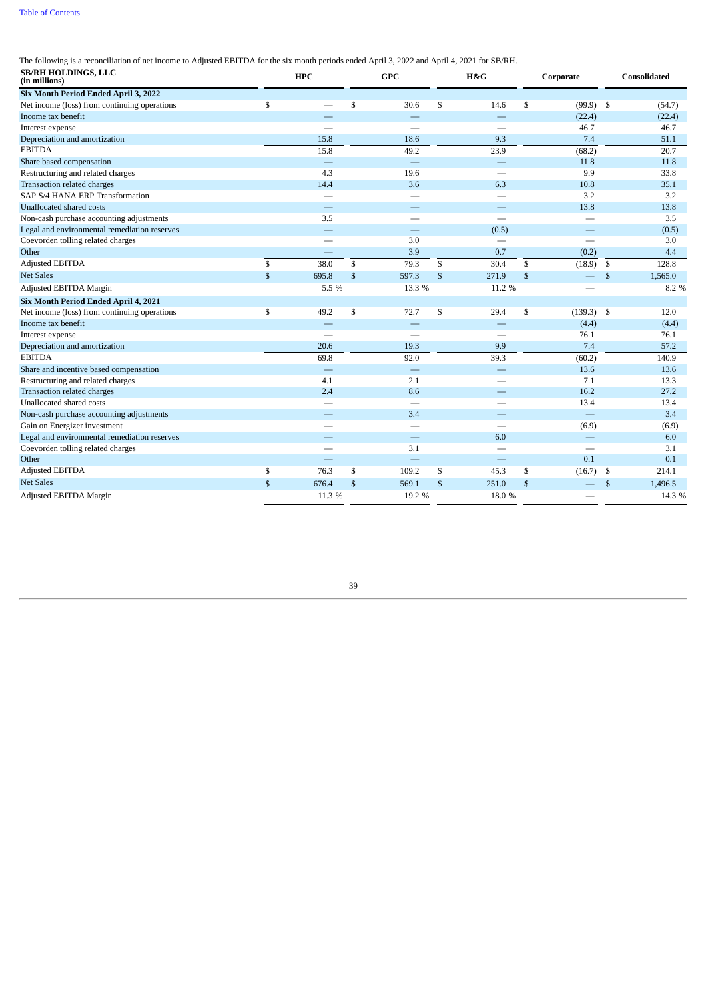|  | The following is a reconciliation of net income to Adjusted EBITDA for the six month periods ended April 3, 2022 and April 4, 2021 for SB/RH. |  |  |  |
|--|-----------------------------------------------------------------------------------------------------------------------------------------------|--|--|--|
|  |                                                                                                                                               |  |  |  |
|  |                                                                                                                                               |  |  |  |

| <b>SB/RH HOLDINGS, LLC</b><br>(in millions)  | <b>HPC</b> |        | <b>GPC</b>   |                          |              | H&G    |                         | Corporate    |              | <b>Consolidated</b> |
|----------------------------------------------|------------|--------|--------------|--------------------------|--------------|--------|-------------------------|--------------|--------------|---------------------|
| <b>Six Month Period Ended April 3, 2022</b>  |            |        |              |                          |              |        |                         |              |              |                     |
| Net income (loss) from continuing operations | \$         |        | \$           | 30.6                     | S            | 14.6   | \$                      | (99.9)       | - \$         | (54.7)              |
| Income tax benefit                           |            |        |              |                          |              |        |                         | (22.4)       |              | (22.4)              |
| Interest expense                             |            |        |              | $\overline{\phantom{0}}$ |              |        |                         | 46.7         |              | 46.7                |
| Depreciation and amortization                |            | 15.8   |              | 18.6                     |              | 9.3    |                         | 7.4          |              | 51.1                |
| <b>EBITDA</b>                                |            | 15.8   |              | 49.2                     |              | 23.9   |                         | (68.2)       |              | 20.7                |
| Share based compensation                     |            |        |              |                          |              |        |                         | 11.8         |              | 11.8                |
| Restructuring and related charges            |            | 4.3    |              | 19.6                     |              |        |                         | 9.9          |              | 33.8                |
| <b>Transaction related charges</b>           |            | 14.4   |              | 3.6                      |              | 6.3    |                         | 10.8         |              | 35.1                |
| SAP S/4 HANA ERP Transformation              |            |        |              |                          |              |        |                         | 3.2          |              | 3.2                 |
| Unallocated shared costs                     |            |        |              |                          |              |        |                         | 13.8         |              | 13.8                |
| Non-cash purchase accounting adjustments     |            | 3.5    |              |                          |              |        |                         |              |              | 3.5                 |
| Legal and environmental remediation reserves |            |        |              |                          |              | (0.5)  |                         |              |              | (0.5)               |
| Coevorden tolling related charges            |            |        |              | 3.0                      |              |        |                         |              |              | 3.0                 |
| Other                                        |            |        |              | 3.9                      |              | 0.7    |                         | (0.2)        |              | 4.4                 |
| <b>Adjusted EBITDA</b>                       | \$         | 38.0   | \$           | 79.3                     | \$           | 30.4   | \$                      | (18.9)       | - \$         | 128.8               |
| <b>Net Sales</b>                             | \$         | 695.8  | $\mathbb{S}$ | 597.3                    | $\mathbb{S}$ | 271.9  | $\overline{\mathbb{S}}$ |              | $\mathbb{S}$ | 1,565.0             |
| Adjusted EBITDA Margin                       |            | 5.5 %  |              | 13.3 %                   |              | 11.2 % |                         |              |              | 8.2 %               |
| Six Month Period Ended April 4, 2021         |            |        |              |                          |              |        |                         |              |              |                     |
| Net income (loss) from continuing operations | \$         | 49.2   | \$           | 72.7                     | S            | 29.4   | \$                      | $(139.3)$ \$ |              | 12.0                |
| Income tax benefit                           |            |        |              |                          |              |        |                         | (4.4)        |              | (4.4)               |
| Interest expense                             |            |        |              |                          |              |        |                         | 76.1         |              | 76.1                |
| Depreciation and amortization                |            | 20.6   |              | 19.3                     |              | 9.9    |                         | 7.4          |              | 57.2                |
| <b>EBITDA</b>                                |            | 69.8   |              | 92.0                     |              | 39.3   |                         | (60.2)       |              | 140.9               |
| Share and incentive based compensation       |            |        |              |                          |              |        |                         | 13.6         |              | 13.6                |
| Restructuring and related charges            |            | 4.1    |              | 2.1                      |              |        |                         | 7.1          |              | 13.3                |
| Transaction related charges                  |            | 2.4    |              | 8.6                      |              |        |                         | 16.2         |              | 27.2                |
| Unallocated shared costs                     |            |        |              |                          |              |        |                         | 13.4         |              | 13.4                |
| Non-cash purchase accounting adjustments     |            |        |              | 3.4                      |              |        |                         |              |              | 3.4                 |
| Gain on Energizer investment                 |            |        |              |                          |              |        |                         | (6.9)        |              | (6.9)               |
| Legal and environmental remediation reserves |            |        |              |                          |              | 6.0    |                         |              |              | 6.0                 |
| Coevorden tolling related charges            |            |        |              | 3.1                      |              |        |                         |              |              | 3.1                 |
| Other                                        |            |        |              |                          |              |        |                         | 0.1          |              | 0.1                 |
| <b>Adjusted EBITDA</b>                       | \$         | 76.3   | \$           | 109.2                    | \$           | 45.3   | \$                      | (16.7)       | \$           | 214.1               |
| <b>Net Sales</b>                             | \$         | 676.4  | $\mathbb{S}$ | 569.1                    | $\mathbb{S}$ | 251.0  | \$                      |              | $\mathbb{S}$ | 1,496.5             |
| Adjusted EBITDA Margin                       |            | 11.3 % |              | 19.2 %                   |              | 18.0 % |                         |              |              | 14.3 %              |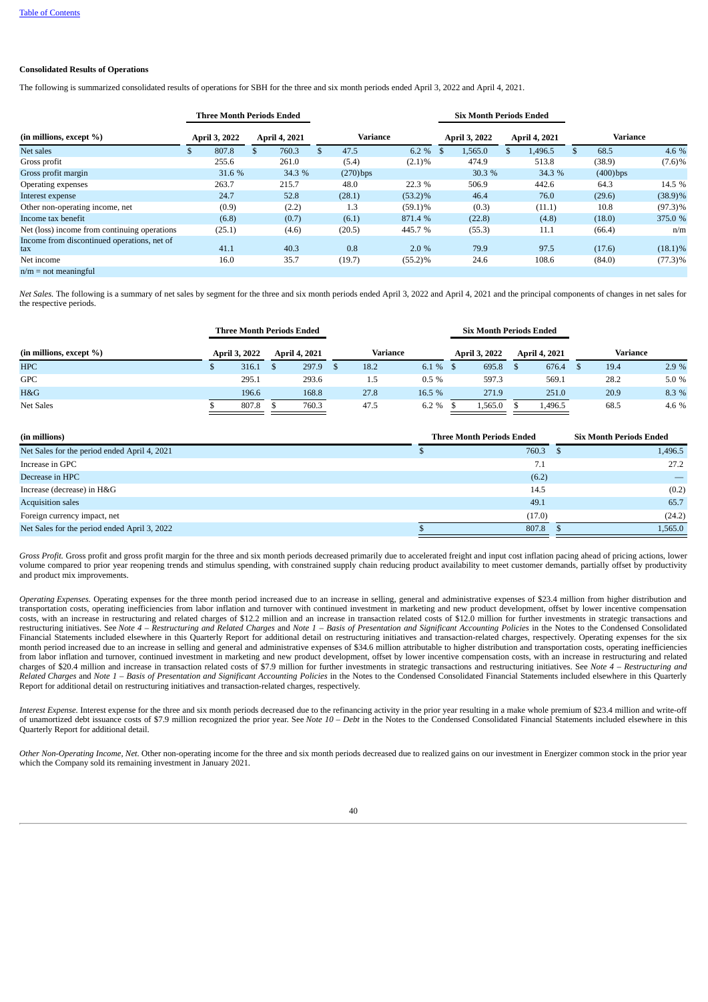# **Consolidated Results of Operations**

The following is summarized consolidated results of operations for SBH for the three and six month periods ended April 3, 2022 and April 4, 2021.

| <b>Three Month Periods Ended</b>                   |  |               |  |               |          |             |            | <b>Six Month Periods Ended</b> |               |               |          |             |            |
|----------------------------------------------------|--|---------------|--|---------------|----------|-------------|------------|--------------------------------|---------------|---------------|----------|-------------|------------|
| (in millions, except %)                            |  | April 3, 2022 |  | April 4, 2021 | Variance |             |            |                                | April 3, 2022 | April 4, 2021 | Variance |             |            |
| Net sales                                          |  | 807.8         |  | 760.3         |          | 47.5        | 6.2%       | Э'n                            | 1,565.0       | 1,496.5       |          | 68.5        | 4.6 %      |
| Gross profit                                       |  | 255.6         |  | 261.0         |          | (5.4)       | $(2.1)\%$  |                                | 474.9         | 513.8         |          | (38.9)      | (7.6)%     |
| Gross profit margin                                |  | 31.6 %        |  | 34.3 %        |          | $(270)$ bps |            |                                | 30.3%         | 34.3 %        |          | $(400)$ bps |            |
| Operating expenses                                 |  | 263.7         |  | 215.7         |          | 48.0        | 22.3 %     |                                | 506.9         | 442.6         |          | 64.3        | 14.5 %     |
| Interest expense                                   |  | 24.7          |  | 52.8          |          | (28.1)      | $(53.2)\%$ |                                | 46.4          | 76.0          |          | (29.6)      | $(38.9)$ % |
| Other non-operating income, net                    |  | (0.9)         |  | (2.2)         |          | 1.3         | $(59.1)\%$ |                                | (0.3)         | (11.1)        |          | 10.8        | $(97.3)\%$ |
| Income tax benefit                                 |  | (6.8)         |  | (0.7)         |          | (6.1)       | 871.4 %    |                                | (22.8)        | (4.8)         |          | (18.0)      | 375.0 %    |
| Net (loss) income from continuing operations       |  | (25.1)        |  | (4.6)         |          | (20.5)      | 445.7 %    |                                | (55.3)        | 11.1          |          | (66.4)      | n/m        |
| Income from discontinued operations, net of<br>tax |  | 41.1          |  | 40.3          |          | 0.8         | $2.0\%$    |                                | 79.9          | 97.5          |          | (17.6)      | $(18.1)\%$ |
| Net income                                         |  | 16.0          |  | 35.7          |          | (19.7)      | $(55.2)\%$ |                                | 24.6          | 108.6         |          | (84.0)      | $(77.3)\%$ |
| $n/m = not meaningful$                             |  |               |  |               |          |             |            |                                |               |               |          |             |            |

*Net Sales.* The following is a summary of net sales by segment for the three and six month periods ended April 3, 2022 and April 4, 2021 and the principal components of changes in net sales for the respective periods.

|                         | <b>Three Month Periods Ended</b> |                      | <b>Six Month Periods Ended</b> |            |  |                      |  |                      |  |          |       |
|-------------------------|----------------------------------|----------------------|--------------------------------|------------|--|----------------------|--|----------------------|--|----------|-------|
| (in millions, except %) | April 3, 2022                    | <b>April 4, 2021</b> | Variance                       |            |  | <b>April 3, 2022</b> |  | <b>April 4, 2021</b> |  | Variance |       |
| <b>HPC</b>              | 316.1                            | 297.9                | 18.2                           | 6.1 $%$ \$ |  | 695.8                |  | 676.4                |  | 19.4     | 2.9%  |
| <b>GPC</b>              | 295.1                            | 293.6                | 1.5                            | $0.5\%$    |  | 597.3                |  | 569.1                |  | 28.2     | 5.0 % |
| H&G                     | 196.6                            | 168.8                | 27.8                           | 16.5 %     |  | 271.9                |  | 251.0                |  | 20.9     | 8.3 % |
| Net Sales               | 807.8                            | 760.3                | 47.5                           | 6.2%       |  | 565.0.               |  | 1,496.5              |  | 68.5     | 4.6 % |

| (in millions)                                | <b>Three Month Periods Ended</b> | <b>Six Month Periods Ended</b> |  |  |
|----------------------------------------------|----------------------------------|--------------------------------|--|--|
| Net Sales for the period ended April 4, 2021 | 760.3                            | 1,496.5<br>- 55                |  |  |
| Increase in GPC                              | 7.1                              | 27.2                           |  |  |
| Decrease in HPC                              | (6.2)                            |                                |  |  |
| Increase (decrease) in H&G                   | 14.5                             | (0.2)                          |  |  |
| <b>Acquisition sales</b>                     | 49.1                             | 65.7                           |  |  |
| Foreign currency impact, net                 | (17.0)                           | (24.2)                         |  |  |
| Net Sales for the period ended April 3, 2022 | 807.8                            | 1,565.0                        |  |  |

Gross Profit. Gross profit and gross profit margin for the three and six month periods decreased primarily due to accelerated freight and input cost inflation pacing ahead of pricing actions, lower volume compared to prior year reopening trends and stimulus spending, with constrained supply chain reducing product availability to meet customer demands, partially offset by productivity and product mix improvements.

*Operating Expenses.* Operating expenses for the three month period increased due to an increase in selling, general and administrative expenses of \$23.4 million from higher distribution and transportation costs, operating inefficiencies from labor inflation and turnover with continued investment in marketing and new product development, offset by lower incentive compensation costs, with an increase in restructuring and related charges of \$12.2 million and an increase in transaction related costs of \$12.0 million for further investments in strategic transactions and restructuring initiatives. See Note 4 - Restructuring and Related Charges and Note 1 - Basis of Presentation and Significant Accounting Policies in the Notes to the Condensed Consolidated Financial Statements included elsewhere in this Quarterly Report for additional detail on restructuring initiatives and transaction-related charges, respectively. Operating expenses for the six month period increased due to an increase in selling and general and administrative expenses of \$34.6 million attributable to higher distribution and transportation costs, operating inefficiencies from labor inflation and turnover, continued investment in marketing and new product development, offset by lower incentive compensation costs, with an increase in restructuring and related charges of \$20.4 million and increase in transaction related costs of \$7.9 million for further investments in strategic transactions and restructuring initiatives. See Note 4 - Restructuring and Related Charges and Note 1 - Basis of Presentation and Significant Accounting Policies in the Notes to the Condensed Consolidated Financial Statements included elsewhere in this Quarterly Report for additional detail on restructuring initiatives and transaction-related charges, respectively.

*Interest Expense.* Interest expense for the three and six month periods decreased due to the refinancing activity in the prior year resulting in a make whole premium of \$23.4 million and write-off of unamortized debt issuance costs of \$7.9 million recognized the prior year. See *Note 10 – Debt* in the Notes to the Condensed Consolidated Financial Statements included elsewhere in this Quarterly Report for additional detail.

*Other Non-Operating Income, Net.* Other non-operating income for the three and six month periods decreased due to realized gains on our investment in Energizer common stock in the prior year which the Company sold its remaining investment in January 2021.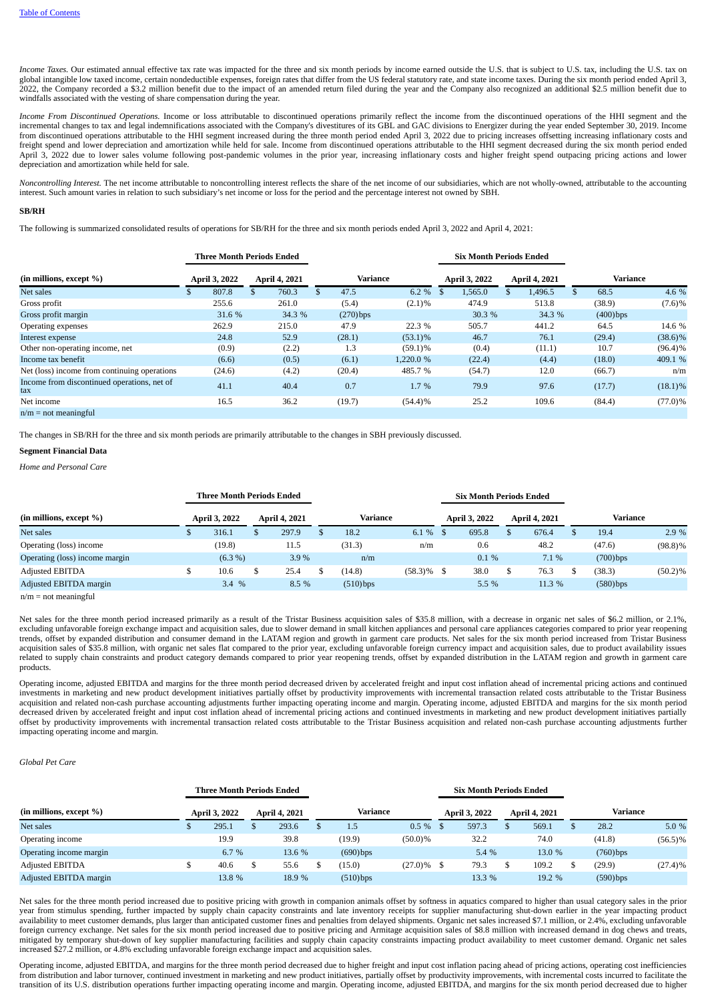*Income Taxes*. Our estimated annual effective tax rate was impacted for the three and six month periods by income earned outside the U.S. that is subject to U.S. tax, including the U.S. tax on global intangible low taxed income, certain nondeductible expenses, foreign rates that differ from the US federal statutory rate, and state income taxes. During the six month period ended April 3, 2022, the Company recorded a \$3.2 million benefit due to the impact of an amended return filed during the year and the Company also recognized an additional \$2.5 million benefit due to windfalls associated with the vesting of share compensation during the year.

*Income From Discontinued Operations.* Income or loss attributable to discontinued operations primarily reflect the income from the discontinued operations of the HHI segment and the incremental changes to tax and legal indemnifications associated with the Company's divestitures of its GBL and GAC divisions to Energizer during the year ended September 30, 2019. Income from discontinued operations attributable to the HHI segment increased during the three month period ended April 3, 2022 due to pricing increases offsetting increasing inflationary costs and freight spend and lower depreciation and amortization while held for sale. Income from discontinued operations attributable to the HHI segment decreased during the six month period ended April 3, 2022 due to lower sales volume following post-pandemic volumes in the prior year, increasing inflationary costs and higher freight spend outpacing pricing actions and lower depreciation and amortization while held for sale.

*Noncontrolling Interest.* The net income attributable to noncontrolling interest reflects the share of the net income of our subsidiaries, which are not wholly-owned, attributable to the accounting interest. Such amount varies in relation to such subsidiary's net income or loss for the period and the percentage interest not owned by SBH.

## **SB/RH**

The following is summarized consolidated results of operations for SB/RH for the three and six month periods ended April 3, 2022 and April 4, 2021:

| Three Month Periods Ended                          |                                |        |          |        |  |               |                      |            | <b>Six Month Periods Ended</b> |         |    |             |            |
|----------------------------------------------------|--------------------------------|--------|----------|--------|--|---------------|----------------------|------------|--------------------------------|---------|----|-------------|------------|
| (in millions, except %)                            | April 3, 2022<br>April 4, 2021 |        | Variance |        |  | April 3, 2022 | <b>April 4, 2021</b> | Variance   |                                |         |    |             |            |
| Net sales                                          |                                | 807.8  | \$       | 760.3  |  | 47.5          |                      | 6.2%       | \$<br>1,565.0                  | 1,496.5 | \$ | 68.5        | 4.6 %      |
| Gross profit                                       |                                | 255.6  |          | 261.0  |  | (5.4)         |                      | $(2.1)\%$  | 474.9                          | 513.8   |    | (38.9)      | (7.6)%     |
| Gross profit margin                                |                                | 31.6 % |          | 34.3 % |  | $(270)$ bps   |                      |            | 30.3 %                         | 34.3 %  |    | $(400)$ bps |            |
| Operating expenses                                 |                                | 262.9  |          | 215.0  |  | 47.9          |                      | 22.3 %     | 505.7                          | 441.2   |    | 64.5        | 14.6 %     |
| Interest expense                                   |                                | 24.8   |          | 52.9   |  | (28.1)        |                      | $(53.1)\%$ | 46.7                           | 76.1    |    | (29.4)      | $(38.6)\%$ |
| Other non-operating income, net                    |                                | (0.9)  |          | (2.2)  |  | 1.3           |                      | $(59.1)\%$ | (0.4)                          | (11.1)  |    | 10.7        | $(96.4)\%$ |
| Income tax benefit                                 |                                | (6.6)  |          | (0.5)  |  | (6.1)         |                      | 1,220.0 %  | (22.4)                         | (4.4)   |    | (18.0)      | 409.1 %    |
| Net (loss) income from continuing operations       |                                | (24.6) |          | (4.2)  |  | (20.4)        |                      | 485.7%     | (54.7)                         | 12.0    |    | (66.7)      | n/m        |
| Income from discontinued operations, net of<br>tax |                                | 41.1   |          | 40.4   |  | 0.7           |                      | $1.7\%$    | 79.9                           | 97.6    |    | (17.7)      | $(18.1)\%$ |
| Net income                                         |                                | 16.5   |          | 36.2   |  | (19.7)        |                      | $(54.4)\%$ | 25.2                           | 109.6   |    | (84.4)      | $(77.0)\%$ |
| $n/m = not meaningful$                             |                                |        |          |        |  |               |                      |            |                                |         |    |             |            |

The changes in SB/RH for the three and six month periods are primarily attributable to the changes in SBH previously discussed.

# **Segment Financial Data**

*Home and Personal Care*

|                                | <b>Three Month Periods Ended</b> |               |    |                      |  |             |               | <b>Six Month Periods Ended</b> |                      |             |            |
|--------------------------------|----------------------------------|---------------|----|----------------------|--|-------------|---------------|--------------------------------|----------------------|-------------|------------|
| (in millions, except %)        |                                  | April 3, 2022 |    | <b>April 4, 2021</b> |  | Variance    |               | <b>April 3, 2022</b>           | <b>April 4, 2021</b> | Variance    |            |
| Net sales                      |                                  | 316.1         | S. | 297.9                |  | 18.2        | 6.1%          | 695.8                          | 676.4                | 19.4        | 2.9%       |
| Operating (loss) income        |                                  | (19.8)        |    | 11.5                 |  | (31.3)      | n/m           | 0.6                            | 48.2                 | (47.6)      | $(98.8)\%$ |
| Operating (loss) income margin |                                  | $(6.3\%)$     |    | 3.9%                 |  | n/m         |               | $0.1 \%$                       | 7.1%                 | $(700)$ bps |            |
| <b>Adjusted EBITDA</b>         |                                  | 10.6          | S  | 25.4                 |  | (14.8)      | $(58.3)\%$ \$ | 38.0                           | 76.3                 | (38.3)      | $(50.2)\%$ |
| Adjusted EBITDA margin         |                                  | 3.4%          |    | 8.5 %                |  | $(510)$ bps |               | 5.5%                           | 11.3 %               | $(580)$ bps |            |

 $n/m = not meaningful$ 

Net sales for the three month period increased primarily as a result of the Tristar Business acquisition sales of \$35.8 million, with a decrease in organic net sales of \$6.2 million, or 2.1%, excluding unfavorable foreign exchange impact and acquisition sales, due to slower demand in small kitchen appliances and personal care appliances categories compared to prior year reopening trends, offset by expanded distribution and consumer demand in the LATAM region and growth in garment care products. Net sales for the six month period increased from Tristar Business acquisition sales of \$35.8 million, with organic net sales flat compared to the prior year, excluding unfavorable foreign currency impact and acquisition sales, due to product availability issues related to supply chain constraints and product category demands compared to prior year reopening trends, offset by expanded distribution in the LATAM region and growth in garment care products.

Operating income, adjusted EBITDA and margins for the three month period decreased driven by accelerated freight and input cost inflation ahead of incremental pricing actions and continued investments in marketing and new product development initiatives partially offset by productivity improvements with incremental transaction related costs attributable to the Tristar Business acquisition and related non-cash purchase accounting adjustments further impacting operating income and margin. Operating income, adjusted EBITDA and margins for the six month period decreased driven by accelerated freight and input cost inflation ahead of incremental pricing actions and continued investments in marketing and new product development initiatives partially offset by productivity improvements with incremental transaction related costs attributable to the Tristar Business acquisition and related non-cash purchase accounting adjustments further impacting operating income and margin.

# *Global Pet Care*

|                         | <b>Three Month Periods Ended</b> |                      |             |               | <b>Six Month Periods Ended</b> |     |               |             |            |
|-------------------------|----------------------------------|----------------------|-------------|---------------|--------------------------------|-----|---------------|-------------|------------|
| (in millions, except %) | <b>April 3, 2022</b>             | <b>April 4, 2021</b> | Variance    |               | <b>April 3, 2022</b>           |     | April 4, 2021 | Variance    |            |
| Net sales               | 295.1                            | 293.6                | 1.5         | $0.5 \%$ \$   | 597.3                          | \$. | 569.1         | 28.2        | 5.0%       |
| Operating income        | 19.9                             | 39.8                 | (19.9)      | $(50.0)\%$    | 32.2                           |     | 74.0          | (41.8)      | $(56.5)\%$ |
| Operating income margin | 6.7%                             | 13.6 %               | $(690)$ bps |               | 5.4 %                          |     | 13.0 %        | $(760)$ bps |            |
| <b>Adjusted EBITDA</b>  | 40.6                             | \$<br>55.6           | (15.0)      | $(27.0)\%$ \$ | 79.3                           | S   | 109.2         | (29.9)      | $(27.4)\%$ |
| Adjusted EBITDA margin  | 13.8 %                           | 18.9 %               | $(510)$ bps |               | 13.3 %                         |     | 19.2 %        | $(590)$ bps |            |

Net sales for the three month period increased due to positive pricing with growth in companion animals offset by softness in aquatics compared to higher than usual category sales in the prior year from stimulus spending, further impacted by supply chain capacity constraints and late inventory receipts for supplier manufacturing shut-down earlier in the year impacting product availability to meet customer demands, plus larger than anticipated customer fines and penalties from delayed shipments. Organic net sales increased \$7.1 million, or 2.4%, excluding unfavorable foreign currency exchange. Net sales for the six month period increased due to positive pricing and Armitage acquisition sales of \$8.8 million with increased demand in dog chews and treats, mitigated by temporary shut-down of key supplier manufacturing facilities and supply chain capacity constraints impacting product availability to meet customer demand. Organic net sales increased \$27.2 million, or 4.8% excluding unfavorable foreign exchange impact and acquisition sales.

Operating income, adjusted EBITDA, and margins for the three month period decreased due to higher freight and input cost inflation pacing ahead of pricing actions, operating cost inefficiencies from distribution and labor turnover, continued investment in marketing and new product initiatives, partially offset by productivity improvements, with incremental costs incurred to facilitate the transition of its U.S. distribution operations further impacting operating income and margin. Operating income, adjusted EBITDA, and margins for the six month period decreased due to higher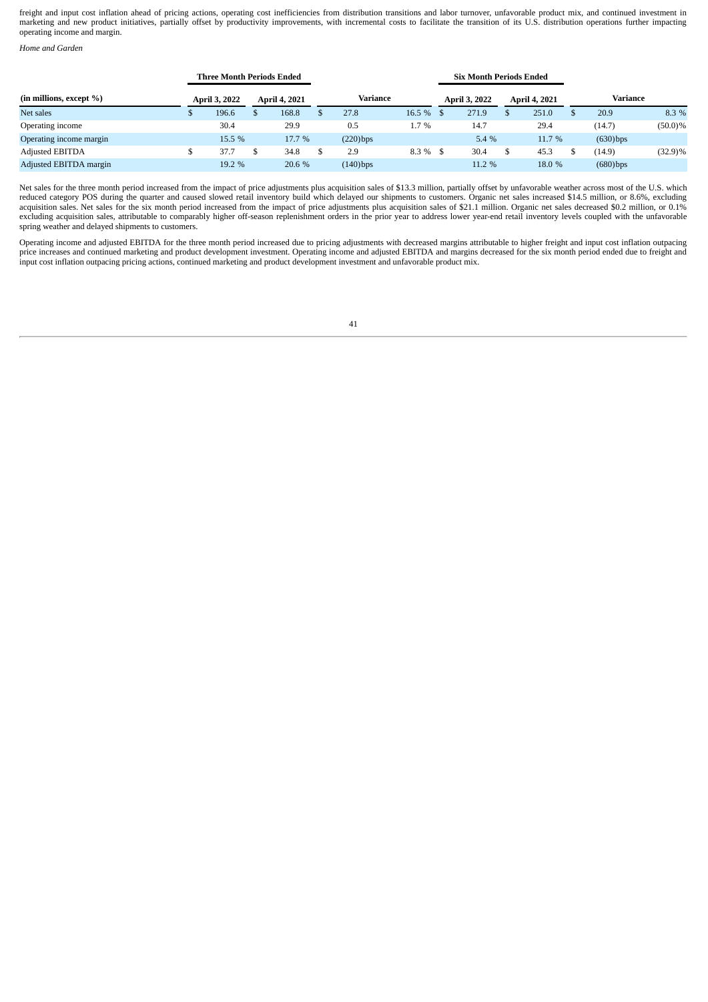freight and input cost inflation ahead of pricing actions, operating cost inefficiencies from distribution transitions and labor turnover, unfavorable product mix, and continued investment in marketing and new product initiatives, partially offset by productivity improvements, with incremental costs to facilitate the transition of its U.S. distribution operations further impacting operating income and margin.

*Home and Garden*

| Three Month Periods Ended |  |               |  |               |             |            | <b>Six Month Periods Ended</b> |    |                      |             |            |
|---------------------------|--|---------------|--|---------------|-------------|------------|--------------------------------|----|----------------------|-------------|------------|
| (in millions, except %)   |  | April 3, 2022 |  | April 4, 2021 | Variance    |            | <b>April 3, 2022</b>           |    | <b>April 4, 2021</b> | Variance    |            |
| Net sales                 |  | 196.6         |  | 168.8         | 27.8        | 16.5 %     | 271.9                          |    | 251.0                | 20.9        | 8.3 %      |
| Operating income          |  | 30.4          |  | 29.9          | 0.5         | 1.7 %      | 14.7                           |    | 29.4                 | (14.7)      | $(50.0)\%$ |
| Operating income margin   |  | 15.5 %        |  | 17.7 %        | $(220)$ bps |            | 5.4 %                          |    | 11.7 %               | $(630)$ bps |            |
| <b>Adjusted EBITDA</b>    |  | 37.7          |  | 34.8          | 2.9         | $8.3\%$ \$ | 30.4                           | S. | 45.3                 | (14.9)      | $(32.9)\%$ |
| Adjusted EBITDA margin    |  | 19.2 %        |  | 20.6 %        | $(140)$ bps |            | 11.2 %                         |    | 18.0 %               | $(680)$ bps |            |

Net sales for the three month period increased from the impact of price adjustments plus acquisition sales of \$13.3 million, partially offset by unfavorable weather across most of the U.S. which reduced category POS during the quarter and caused slowed retail inventory build which delayed our shipments to customers. Organic net sales increased \$14.5 million, or 8.6%, excluding acquisition sales. Net sales for the six month period increased from the impact of price adjustments plus acquisition sales of \$21.1 million. Organic net sales decreased \$0.2 million, or 0.1% excluding acquisition sales, attributable to comparably higher off-season replenishment orders in the prior year to address lower year-end retail inventory levels coupled with the unfavorable spring weather and delayed shipments to customers.

Operating income and adjusted EBITDA for the three month period increased due to pricing adjustments with decreased margins attributable to higher freight and input cost inflation outpacing price increases and continued marketing and product development investment. Operating income and adjusted EBITDA and margins decreased for the six month period ended due to freight and period ended due to freight and input cost inflation outpacing pricing actions, continued marketing and product development investment and unfavorable product mix.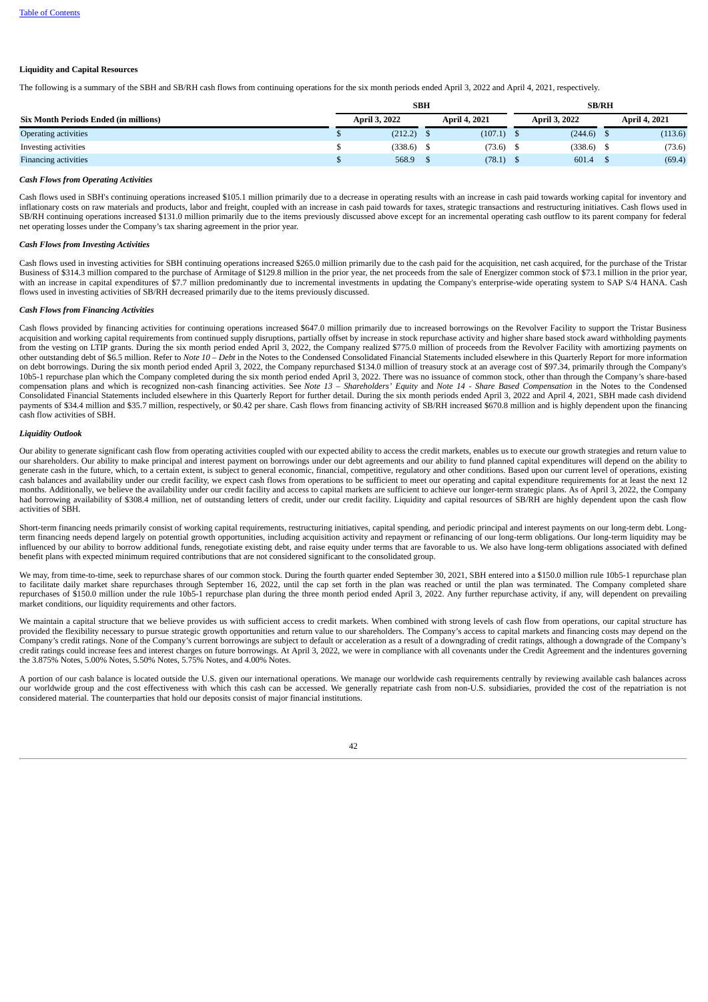# **Liquidity and Capital Resources**

The following is a summary of the SBH and SB/RH cash flows from continuing operations for the six month periods ended April 3, 2022 and April 4, 2021, respectively.

|                                              | <b>SBH</b>           |                      | <b>SB/RH</b>         |  |                      |  |  |  |
|----------------------------------------------|----------------------|----------------------|----------------------|--|----------------------|--|--|--|
| <b>Six Month Periods Ended (in millions)</b> | <b>April 3, 2022</b> | <b>April 4, 2021</b> | <b>April 3, 2022</b> |  | <b>April 4, 2021</b> |  |  |  |
| <b>Operating activities</b>                  | $(212.2)$ \$         | $(107.1)$ \$         | $(244.6)$ \$         |  | (113.6)              |  |  |  |
| Investing activities                         | $(338.6)$ \$         | $(73.6)$ \$          | $(338.6)$ \$         |  | (73.6)               |  |  |  |
| <b>Financing activities</b>                  | 568.9 \$             | $(78.1)$ \$          | 601.4                |  | (69.4)               |  |  |  |

#### *Cash Flows from Operating Activities*

Cash flows used in SBH's continuing operations increased \$105.1 million primarily due to a decrease in operating results with an increase in cash paid towards working capital for inventory and inflationary costs on raw materials and products, labor and freight, coupled with an increase in cash paid towards for taxes, strategic transactions and restructuring initiatives. Cash flows used in SB/RH continuing operations increased \$131.0 million primarily due to the items previously discussed above except for an incremental operating cash outflow to its parent company for federal net operating losses under the Company's tax sharing agreement in the prior year.

#### *Cash Flows from Investing Activities*

Cash flows used in investing activities for SBH continuing operations increased \$265.0 million primarily due to the cash paid for the acquisition, net cash acquired, for the purchase of the Tristar Business of \$314.3 million compared to the purchase of Armitage of \$129.8 million in the prior year, the net proceeds from the sale of Energizer common stock of \$73.1 million in the prior year, with an increase in capital expenditures of \$7.7 million predominantly due to incremental investments in updating the Company's enterprise-wide operating system to SAP S/4 HANA. Cash flows used in investing activities of SB/RH decreased primarily due to the items previously discussed.

#### *Cash Flows from Financing Activities*

Cash flows provided by financing activities for continuing operations increased \$647.0 million primarily due to increased borrowings on the Revolver Facility to support the Tristar Business acquisition and working capital requirements from continued supply disruptions, partially offset by increase in stock repurchase activity and higher share based stock award withholding payments from the vesting on LTIP grants. During the six month period ended April 3, 2022, the Company realized \$775.0 million of proceeds from the Revolver Facility with amortizing payments on other outstanding debt of \$6.5 million. Refer to *Note 10 – Debt* in the Notes to the Condensed Consolidated Financial Statements included elsewhere in this Quarterly Report for more information on debt borrowings. During the six month period ended April 3, 2022, the Company repurchased \$134.0 million of treasury stock at an average cost of \$97.34, primarily through the Company's 10b5-1 repurchase plan which the Company completed during the six month period ended April 3, 2022. There was no issuance of common stock, other than through the Company's share-based compensation plans and which is recognized non-cash financing activities. See Note 13 - Shareholders' Equity and Note 14 - Share Based Compensation in the Notes to the Condensed Consolidated Financial Statements included elsewhere in this Quarterly Report for further detail. During the six month periods ended April 3, 2022 and April 4, 2021, SBH made cash dividend payments of \$34.4 million and \$35.7 million, respectively, or \$0.42 per share. Cash flows from financing activity of SB/RH increased \$670.8 million and is highly dependent upon the financing cash flow activities of SBH.

#### *Liquidity Outlook*

Our ability to generate significant cash flow from operating activities coupled with our expected ability to access the credit markets, enables us to execute our growth strategies and return value to our shareholders. Our ability to make principal and interest payment on borrowings under our debt agreements and our ability to fund planned capital expenditures will depend on the ability to generate cash in the future, which, to a certain extent, is subject to general economic, financial, competitive, regulatory and other conditions. Based upon our current level of operations, existing cash balances and availability under our credit facility, we expect cash flows from operations to be sufficient to meet our operating and capital expenditure requirements for at least the next 12 months. Additionally, we believe the availability under our credit facility and access to capital markets are sufficient to achieve our longer-term strategic plans. As of April 3, 2022, the Company had borrowing availability of \$308.4 million, net of outstanding letters of credit, under our credit facility. Liquidity and capital resources of SB/RH are highly dependent upon the cash flow activities of SBH.

Short-term financing needs primarily consist of working capital requirements, restructuring initiatives, capital spending, and periodic principal and interest payments on our long-term debt. Longterm financing needs depend largely on potential growth opportunities, including acquisition activity and repayment or refinancing of our long-term obligations. Our long-term liquidity may be influenced by our ability to borrow additional funds, renegotiate existing debt, and raise equity under terms that are favorable to us. We also have long-term obligations associated with defined benefit plans with expected minimum required contributions that are not considered significant to the consolidated group.

We may, from time-to-time, seek to repurchase shares of our common stock. During the fourth quarter ended September 30, 2021, SBH entered into a \$150.0 million rule 10b5-1 repurchase plan to facilitate daily market share repurchases through September 16, 2022, until the cap set forth in the plan was reached or until the plan was terminated. The Company completed share repurchases of \$150.0 million under the rule 10b5-1 repurchase plan during the three month period ended April 3, 2022. Any further repurchase activity, if any, will dependent on prevailing market conditions, our liquidity requirements and other factors.

We maintain a capital structure that we believe provides us with sufficient access to credit markets. When combined with strong levels of cash flow from operations, our capital structure has provided the flexibility necessary to pursue strategic growth opportunities and return value to our shareholders. The Company's access to capital markets and financing costs may depend on the Company's credit ratings. None of the Company's current borrowings are subject to default or acceleration as a result of a downgrading of credit ratings, although a downgrade of the Company's credit ratings could increase fees and interest charges on future borrowings. At April 3, 2022, we were in compliance with all covenants under the Credit Agreement and the indentures governing the 3.875% Notes, 5.00% Notes, 5.50% Notes, 5.75% Notes, and 4.00% Notes.

A portion of our cash balance is located outside the U.S. given our international operations. We manage our worldwide cash requirements centrally by reviewing available cash balances across our worldwide group and the cost effectiveness with which this cash can be accessed. We generally repatriate cash from non-U.S. subsidiaries, provided the cost of the repatriation is not considered material. The counterparties that hold our deposits consist of major financial institutions.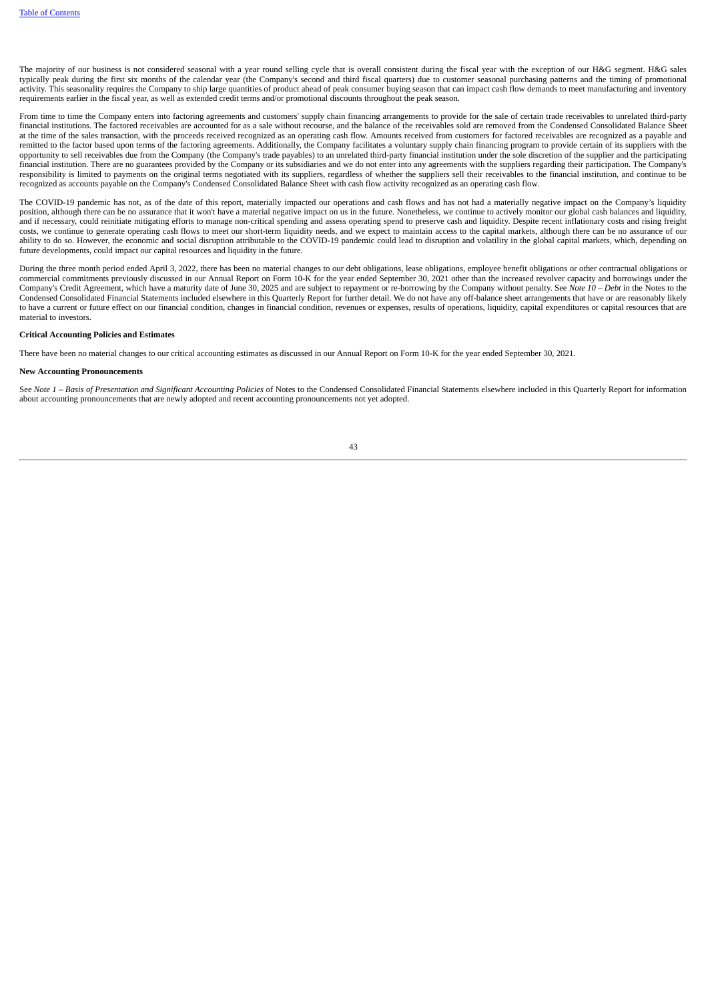The majority of our business is not considered seasonal with a year round selling cycle that is overall consistent during the fiscal year with the exception of our H&G segment. H&G sales typically peak during the first six months of the calendar year (the Company's second and third fiscal quarters) due to customer seasonal purchasing patterns and the timing of promotional activity. This seasonality requires the Company to ship large quantities of product ahead of peak consumer buying season that can impact cash flow demands to meet manufacturing and inventory requirements earlier in the fiscal year, as well as extended credit terms and/or promotional discounts throughout the peak season.

From time to time the Company enters into factoring agreements and customers' supply chain financing arrangements to provide for the sale of certain trade receivables to unrelated third-party financial institutions. The factored receivables are accounted for as a sale without recourse, and the balance of the receivables sold are removed from the Condensed Consolidated Balance Sheet at the time of the sales transaction, with the proceeds received recognized as an operating cash flow. Amounts received from customers for factored receivables are recognized as a payable and remitted to the factor based upon terms of the factoring agreements. Additionally, the Company facilitates a voluntary supply chain financing program to provide certain of its suppliers with the opportunity to sell receivables due from the Company (the Company's trade payables) to an unrelated third-party financial institution under the sole discretion of the supplier and the participating financial institution. There are no guarantees provided by the Company or its subsidiaries and we do not enter into any agreements with the suppliers regarding their participation. The Company's responsibility is limited to payments on the original terms negotiated with its suppliers, regardless of whether the suppliers sell their receivables to the financial institution, and continue to be recognized as accounts payable on the Company's Condensed Consolidated Balance Sheet with cash flow activity recognized as an operating cash flow.

The COVID-19 pandemic has not, as of the date of this report, materially impacted our operations and cash flows and has not had a materially negative impact on the Company's liquidity position, although there can be no assurance that it won't have a material negative impact on us in the future. Nonetheless, we continue to actively monitor our global cash balances and liquidity, and if necessary, could reinitiate mitigating efforts to manage non-critical spending and assess operating spend to preserve cash and liquidity. Despite recent inflationary costs and rising freight costs, we continue to generate operating cash flows to meet our short-term liquidity needs, and we expect to maintain access to the capital markets, although there can be no assurance of our ability to do so. However, the economic and social disruption attributable to the COVID-19 pandemic could lead to disruption and volatility in the global capital markets, which, depending on future developments, could impact our capital resources and liquidity in the future.

During the three month period ended April 3, 2022, there has been no material changes to our debt obligations, lease obligations, employee benefit obligations or other contractual obligations or commercial commitments previously discussed in our Annual Report on Form 10-K for the year ended September 30, 2021 other than the increased revolver capacity and borrowings under the Company's Credit Agreement, which have a maturity date of June 30, 2025 and are subject to repayment or re-borrowing by the Company without penalty. See *Note 10 – Debt* in the Notes to the Condensed Consolidated Financial Statements included elsewhere in this Quarterly Report for further detail. We do not have any off-balance sheet arrangements that have or are reasonably likely to have a current or future effect on our financial condition, changes in financial condition, revenues or expenses, results of operations, liquidity, capital expenditures or capital resources that are material to investors.

# **Critical Accounting Policies and Estimates**

There have been no material changes to our critical accounting estimates as discussed in our Annual Report on Form 10-K for the year ended September 30, 2021.

#### **New Accounting Pronouncements**

See Note 1 - Basis of Presentation and Significant Accounting Policies of Notes to the Condensed Consolidated Financial Statements elsewhere included in this Quarterly Report for information about accounting pronouncements that are newly adopted and recent accounting pronouncements not yet adopted.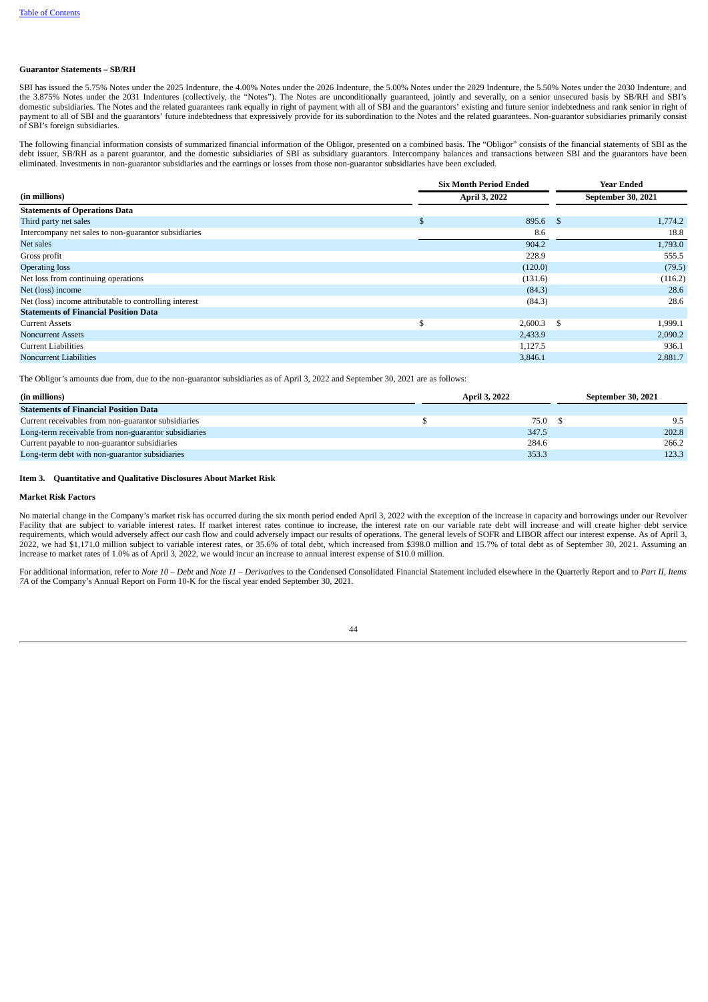# **Guarantor Statements – SB/RH**

SBI has issued the 5.75% Notes under the 2025 Indenture, the 4.00% Notes under the 2026 Indenture, the 5.00% Notes under the 2029 Indenture, the 5.50% Notes under the 2030 Indenture, and the 3.875% Notes under the 2031 Indentures (collectively, the "Notes"). The Notes are unconditionally guaranteed, jointly and severally, on a senior unsecured basis by SB/RH and SBI's domestic subsidiaries. The Notes and the related guarantees rank equally in right of payment with all of SBI and the guarantors' existing and future senior indebtedness and rank senior in right of payment to all of SBI and the guarantors' future indebtedness that expressively provide for its subordination to the Notes and the related guarantees. Non-guarantor subsidiaries primarily consist of SBI's foreign subsidiaries.

The following financial information consists of summarized financial information of the Obligor, presented on a combined basis. The "Obligor" consists of the financial statements of SBI as the debt issuer, SB/RH as a parent guarantor, and the domestic subsidiaries of SBI as subsidiary guarantors. Intercompany balances and transactions between SBI and the guarantors have been eliminated. Investments in non-guarantor subsidiaries and the earnings or losses from those non-guarantor subsidiaries have been excluded.

|                                                        |    | <b>Six Month Period Ended</b><br><b>April 3, 2022</b> |    |         |  |  |  |
|--------------------------------------------------------|----|-------------------------------------------------------|----|---------|--|--|--|
| (in millions)                                          |    |                                                       |    |         |  |  |  |
| <b>Statements of Operations Data</b>                   |    |                                                       |    |         |  |  |  |
| Third party net sales                                  | \$ | 895.6 \$                                              |    | 1,774.2 |  |  |  |
| Intercompany net sales to non-guarantor subsidiaries   |    | 8.6                                                   |    | 18.8    |  |  |  |
| Net sales                                              |    | 904.2                                                 |    | 1,793.0 |  |  |  |
| Gross profit                                           |    | 228.9                                                 |    | 555.5   |  |  |  |
| <b>Operating loss</b>                                  |    | (120.0)                                               |    | (79.5)  |  |  |  |
| Net loss from continuing operations                    |    | (131.6)                                               |    | (116.2) |  |  |  |
| Net (loss) income                                      |    | (84.3)                                                |    | 28.6    |  |  |  |
| Net (loss) income attributable to controlling interest |    | (84.3)                                                |    | 28.6    |  |  |  |
| <b>Statements of Financial Position Data</b>           |    |                                                       |    |         |  |  |  |
| <b>Current Assets</b>                                  | J. | 2,600.3                                               | \$ | 1,999.1 |  |  |  |
| <b>Noncurrent Assets</b>                               |    | 2,433.9                                               |    | 2,090.2 |  |  |  |
| <b>Current Liabilities</b>                             |    | 1,127.5                                               |    | 936.1   |  |  |  |
| <b>Noncurrent Liabilities</b>                          |    | 3,846.1                                               |    | 2,881.7 |  |  |  |

The Obligor's amounts due from, due to the non-guarantor subsidiaries as of April 3, 2022 and September 30, 2021 are as follows:

| (in millions)                                        | <b>April 3, 2022</b> | September 30, 2021 |  |  |
|------------------------------------------------------|----------------------|--------------------|--|--|
| <b>Statements of Financial Position Data</b>         |                      |                    |  |  |
| Current receivables from non-guarantor subsidiaries  | 75.0                 | 9.5                |  |  |
| Long-term receivable from non-guarantor subsidiaries | 347.5                | 202.8              |  |  |
| Current payable to non-guarantor subsidiaries        | 284.6                | 266.2              |  |  |
| Long-term debt with non-guarantor subsidiaries       | 353.3                | 123.3              |  |  |

# <span id="page-47-0"></span>**Item 3. Quantitative and Qualitative Disclosures About Market Risk**

#### **Market Risk Factors**

No material change in the Company's market risk has occurred during the six month period ended April 3, 2022 with the exception of the increase in capacity and borrowings under our Revolver Facility that are subject to variable interest rates. If market interest rates continue to increase, the interest rate on our variable rate debt will increase and will create higher debt service requirements, which would adversely affect our cash flow and could adversely impact our results of operations. The general levels of SOFR and LIBOR affect our interest expense. As of April 3, 2022, we had \$1,171.0 million subject to variable interest rates, or 35.6% of total debt, which increased from \$398.0 million and 15.7% of total debt as of September 30, 2021. Assuming an increase to market rates of 1.0% as of April 3, 2022, we would incur an increase to annual interest expense of \$10.0 million.

<span id="page-47-1"></span>For additional information, refer to Note 10 - Debt and Note 11 - Derivatives to the Condensed Consolidated Financial Statement included elsewhere in the Quarterly Report and to Part II, Items *7A* of the Company's Annual Report on Form 10-K for the fiscal year ended September 30, 2021.

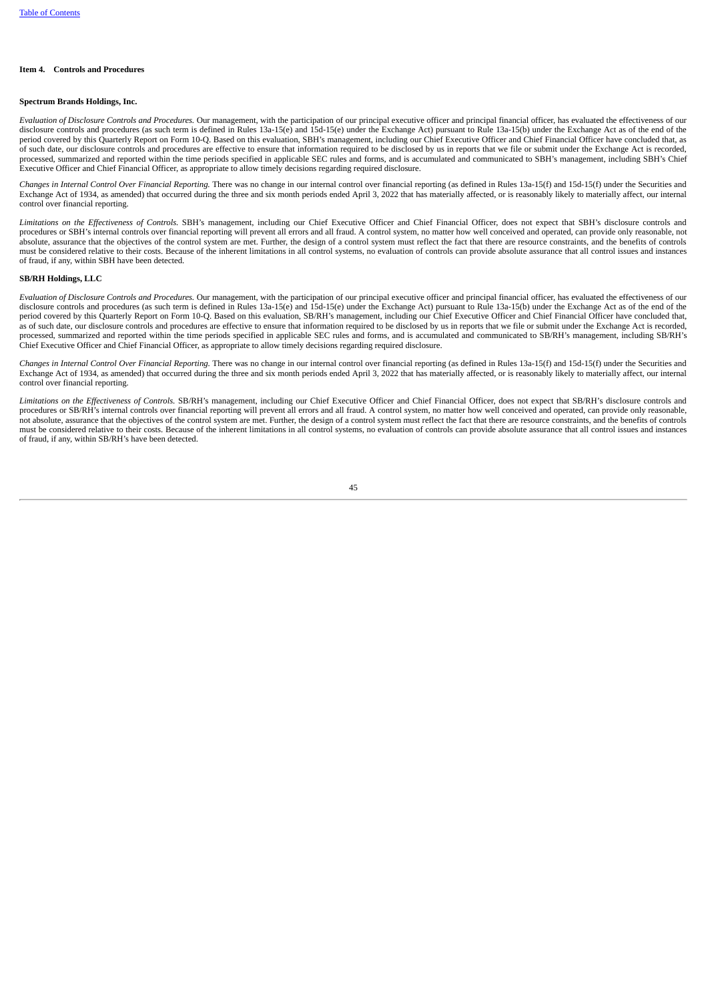## **Item 4. Controls and Procedures**

#### **Spectrum Brands Holdings, Inc.**

Evaluation of Disclosure Controls and Procedures. Our management, with the participation of our principal executive officer and principal financial officer, has evaluated the effectiveness of our disclosure controls and procedures (as such term is defined in Rules 13a-15(e) and 15d-15(e) under the Exchange Act) pursuant to Rule 13a-15(b) under the Exchange Act as of the end of the period covered by this Quarterly Report on Form 10-Q. Based on this evaluation, SBH's management, including our Chief Executive Officer and Chief Financial Officer have concluded that, as of such date, our disclosure controls and procedures are effective to ensure that information required to be disclosed by us in reports that we file or submit under the Exchange Act is recorded, processed, summarized and reported within the time periods specified in applicable SEC rules and forms, and is accumulated and communicated to SBH's management, including SBH's Chief Executive Officer and Chief Financial Officer, as appropriate to allow timely decisions regarding required disclosure.

Changes in Internal Control Over Financial Reporting. There was no change in our internal control over financial reporting (as defined in Rules 13a-15(f) and 15d-15(f) under the Securities and Exchange Act of 1934, as amended) that occurred during the three and six month periods ended April 3, 2022 that has materially affected, or is reasonably likely to materially affect, our internal control over financial reporting.

*Limitations on the Effectiveness of Controls.* SBH's management, including our Chief Executive Officer and Chief Financial Officer, does not expect that SBH's disclosure controls and procedures or SBH's internal controls over financial reporting will prevent all errors and all fraud. A control system, no matter how well conceived and operated, can provide only reasonable, not absolute, assurance that the objectives of the control system are met. Further, the design of a control system must reflect the fact that there are resource constraints, and the benefits of controls must be considered relative to their costs. Because of the inherent limitations in all control systems, no evaluation of controls can provide absolute assurance that all control issues and instances of fraud, if any, within SBH have been detected.

#### **SB/RH Holdings, LLC**

Evaluation of Disclosure Controls and Procedures. Our management, with the participation of our principal executive officer and principal financial officer, has evaluated the effectiveness of our disclosure controls and procedures (as such term is defined in Rules 13a-15(e) and 15d-15(e) under the Exchange Act) pursuant to Rule 13a-15(b) under the Exchange Act as of the end of the period covered by this Quarterly Report on Form 10-Q. Based on this evaluation, SB/RH's management, including our Chief Executive Officer and Chief Financial Officer have concluded that, as of such date, our disclosure controls and procedures are effective to ensure that information required to be disclosed by us in reports that we file or submit under the Exchange Act is recorded, processed, summarized and reported within the time periods specified in applicable SEC rules and forms, and is accumulated and communicated to SB/RH's management, including SB/RH's Chief Executive Officer and Chief Financial Officer, as appropriate to allow timely decisions regarding required disclosure.

Changes in Internal Control Over Financial Reporting. There was no change in our internal control over financial reporting (as defined in Rules 13a-15(f) and 15d-15(f) under the Securities and Exchange Act of 1934, as amended) that occurred during the three and six month periods ended April 3, 2022 that has materially affected, or is reasonably likely to materially affect, our internal control over financial reporting.

<span id="page-48-0"></span>Limitations on the Effectiveness of Controls, SB/RH's management, including our Chief Executive Officer and Chief Financial Officer, does not expect that SB/RH's disclosure controls and procedures or SB/RH's internal controls over financial reporting will prevent all errors and all fraud. A control system, no matter how well conceived and operated, can provide only reasonable, not absolute, assurance that the objectives of the control system are met. Further, the design of a control system must reflect the fact that there are resource constraints, and the benefits of controls must be considered relative to their costs. Because of the inherent limitations in all control systems, no evaluation of controls can provide absolute assurance that all control issues and instances of fraud, if any, within SB/RH's have been detected.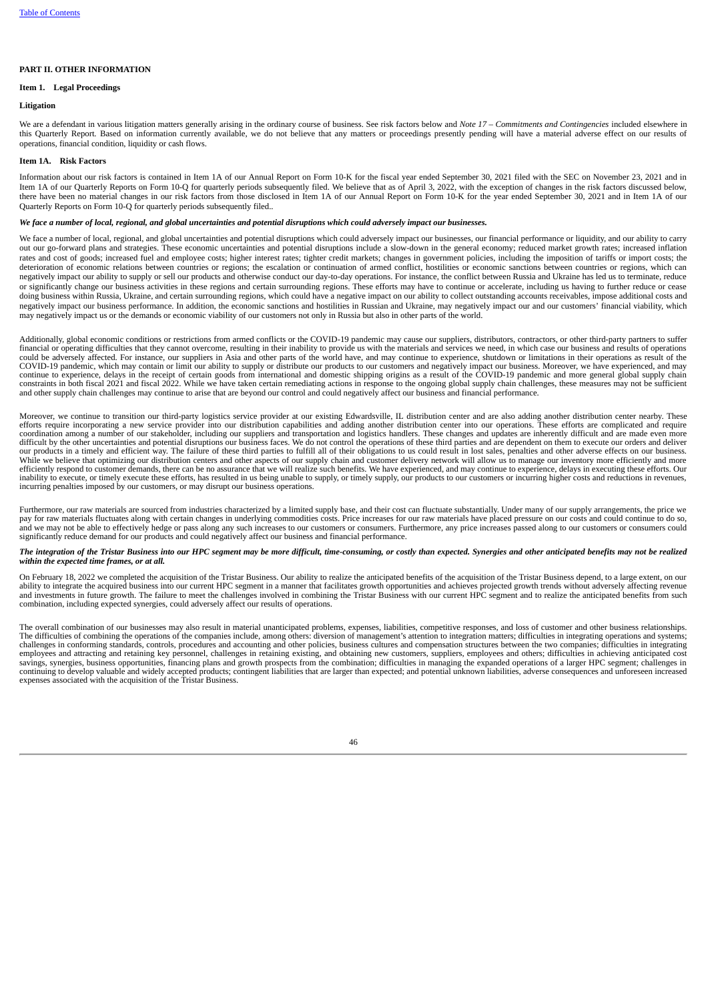## **PART II. OTHER INFORMATION**

## <span id="page-49-0"></span>**Item 1. Legal Proceedings**

#### **Litigation**

We are a defendant in various litigation matters generally arising in the ordinary course of business. See risk factors below and Note 17 - Commitments and Contingencies included elsewhere in this Quarterly Report. Based on information currently available, we do not believe that any matters or proceedings presently pending will have a material adverse effect on our results of operations, financial condition, liquidity or cash flows.

#### <span id="page-49-1"></span>**Item 1A. Risk Factors**

Information about our risk factors is contained in Item 1A of our Annual Report on Form 10-K for the fiscal year ended September 30, 2021 filed with the SEC on November 23, 2021 and in Item 1A of our Quarterly Reports on Form 10-Q for quarterly periods subsequently filed. We believe that as of April 3, 2022, with the exception of changes in the risk factors discussed below, there have been no material changes in our risk factors from those disclosed in Item 1A of our Annual Report on Form 10-K for the year ended September 30, 2021 and in Item 1A of our Quarterly Reports on Form 10-Q for quarterly periods subsequently filed..

#### We face a number of local, regional, and alobal uncertainties and potential disruptions which could adversely impact our businesses.

We face a number of local, regional, and global uncertainties and potential disruptions which could adversely impact our businesses, our financial performance or liquidity, and our ability to carry out our go-forward plans and strategies. These economic uncertainties and potential disruptions include a slow-down in the general economy; reduced market growth rates; increased inflation rates and cost of goods; increased fuel and employee costs; higher interest rates; tighter credit markets; changes in government policies, including the imposition of tariffs or import costs; the deterioration of economic relations between countries or regions; the escalation or continuation of armed conflict, hostilities or economic sanctions between countries or regions, which can negatively impact our ability to supply or sell our products and otherwise conduct our day-to-day operations. For instance, the conflict between Russia and Ukraine has led us to terminate, reduce or significantly change our business activities in these regions and certain surrounding regions. These efforts may have to continue or accelerate, including us having to further reduce or cease doing business within Russia, Ukraine, and certain surrounding regions, which could have a negative impact on our ability to collect outstanding accounts receivables, impose additional costs and negatively impact our business performance. In addition, the economic sanctions and hostilities in Russian and Ukraine, may negatively impact our and our customers' financial viability, which may negatively impact us or the demands or economic viability of our customers not only in Russia but also in other parts of the world.

Additionally, global economic conditions or restrictions from armed conflicts or the COVID-19 pandemic may cause our suppliers, distributors, contractors, or other third-party partners to suffer financial or operating difficulties that they cannot overcome, resulting in their inability to provide us with the materials and services we need, in which case our business and results of operations<br>could be adversely aff COVID-19 pandemic, which may contain or limit our ability to supply or distribute our products to our customers and negatively impact our business. Moreover, we have experienced, and may<br>continue to experience, delays in t and other supply chain challenges may continue to arise that are beyond our control and could negatively affect our business and financial performance.

Moreover, we continue to transition our third-party logistics service provider at our existing Edwardsville, IL distribution center and are also adding another distribution center nearby. These efforts are complicated and coordination among a number of our stakeholder, including our suppliers and transportation and logistics handlers. These changes and updates are inherently difficult and are made even more difficult by the other uncertainties and potential disruptions our business faces. We do not control the operations of these third parties and are dependent on them to execute our orders and deliver<br>our products in a timel While we believe that optimizing our distribution centers and other aspects of our supply chain and customer delivery network will allow us to manage our inventory more efficiently and more efficiently respond to customer demands, there can be no assurance that we will realize such benefits. We have experienced, and may continue to experience, delays in executing these efforts. Our<br>inability to execute, or ti incurring penalties imposed by our customers, or may disrupt our business operations.

Furthermore, our raw materials are sourced from industries characterized by a limited supply base, and their cost can fluctuate substantially. Under many of our supply arrangements, the price we pay for raw materials fluctuates along with certain changes in underlying commodities costs. Price increases for our raw materials have placed pressure on our costs and could continue to do so,<br>and we may not be able to ef significantly reduce demand for our products and could negatively affect our business and financial performance.

#### The integration of the Tristar Business into our HPC segment may be more difficult, time-consuming, or costly than expected. Synergies and other anticipated benefits may not be realized *within the expected time frames, or at all.*

On February 18, 2022 we completed the acquisition of the Tristar Business. Our ability to realize the anticipated benefits of the acquisition of the Tristar Business depend, to a large extent, on our ability to integrate the acquired business into our current HPC segment in a manner that facilitates growth opportunities and achieves projected growth trends without adversely affecting revenue<br>and investments in future g combination, including expected synergies, could adversely affect our results of operations.

The overall combination of our businesses may also result in material unanticipated problems, expenses, liabilities, competitive responses, and loss of customer and other business relationships. The difficulties of combining the operations of the companies include, among others: diversion of management's attention to integration matters; difficulties in integrating operations and systems;<br>challenges in conforming employees and attracting and retaining key personnel, challenges in retaining existing, and obtaining new customers, suppliers, employees and others; difficulties in achieving anticipated cost<br>savings, synergies, business expenses associated with the acquisition of the Tristar Business.

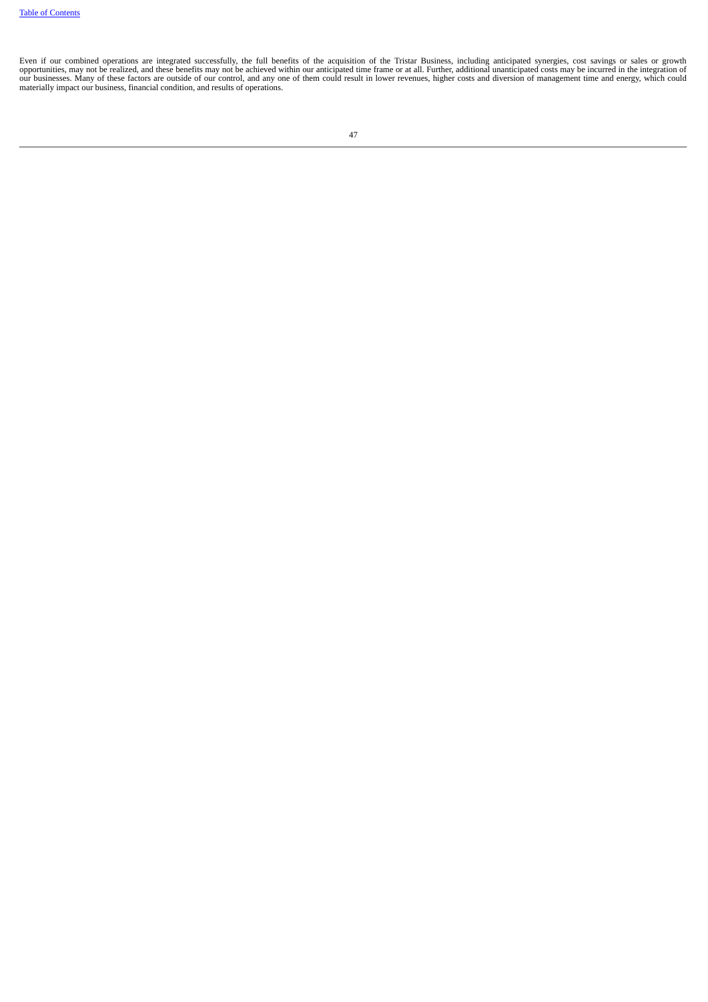<span id="page-50-0"></span>Even if our combined operations are integrated successfully, the full benefits of the acquisition of the Tristar Business, including anticipated synergies, cost savings or sales or growth opportunities, may not be realized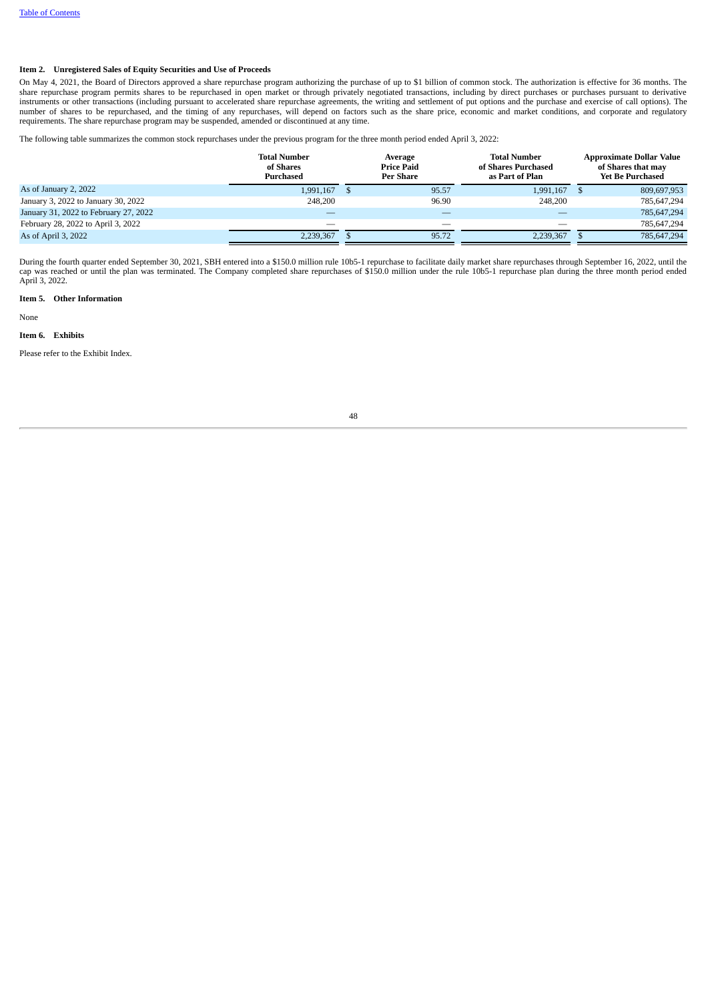# **Item 2. Unregistered Sales of Equity Securities and Use of Proceeds**

On May 4, 2021, the Board of Directors approved a share repurchase program authorizing the purchase of up to \$1 billion of common stock. The authorization is effective for 36 months. The share repurchase program permits shares to be repurchased in open market or through privately negotiated transactions, including by direct purchases or purchases pursuant to derivative instruments or other transactions (including pursuant to accelerated share repurchase agreements, the writing and settlement of put options and the purchase and exercise of call options). The number of shares to be repurchased, and the timing of any repurchases, will depend on factors such as the share price, economic and market conditions, and corporate and regulatory requirements. The share repurchase program may be suspended, amended or discontinued at any time.

The following table summarizes the common stock repurchases under the previous program for the three month period ended April 3, 2022:

|                                       | <b>Total Number</b><br>of Shares<br>Purchased | Average<br><b>Price Paid</b><br><b>Per Share</b> | <b>Total Number</b><br>of Shares Purchased<br>as Part of Plan | <b>Approximate Dollar Value</b><br>of Shares that may<br><b>Yet Be Purchased</b> |
|---------------------------------------|-----------------------------------------------|--------------------------------------------------|---------------------------------------------------------------|----------------------------------------------------------------------------------|
| As of January 2, 2022                 | 1,991,167                                     | 95.57                                            | 1,991,167                                                     | 809,697,953                                                                      |
| January 3, 2022 to January 30, 2022   | 248,200                                       | 96.90                                            | 248,200                                                       | 785,647,294                                                                      |
| January 31, 2022 to February 27, 2022 |                                               |                                                  |                                                               | 785,647,294                                                                      |
| February 28, 2022 to April 3, 2022    |                                               |                                                  |                                                               | 785,647,294                                                                      |
| As of April 3, 2022                   | 2,239,367                                     | 95.72                                            | 2,239,367                                                     | 785,647,294                                                                      |

During the fourth quarter ended September 30, 2021, SBH entered into a \$150.0 million rule 10b5-1 repurchase to facilitate daily market share repurchases through September 16, 2022, until the cap was reached or until the plan was terminated. The Company completed share repurchases of \$150.0 million under the rule 10b5-1 repurchase plan during the three month period ended April 3, 2022.

# <span id="page-51-0"></span>**Item 5. Other Information**

<span id="page-51-1"></span>None

# **Item 6. Exhibits**

<span id="page-51-2"></span>Please refer to the Exhibit Index.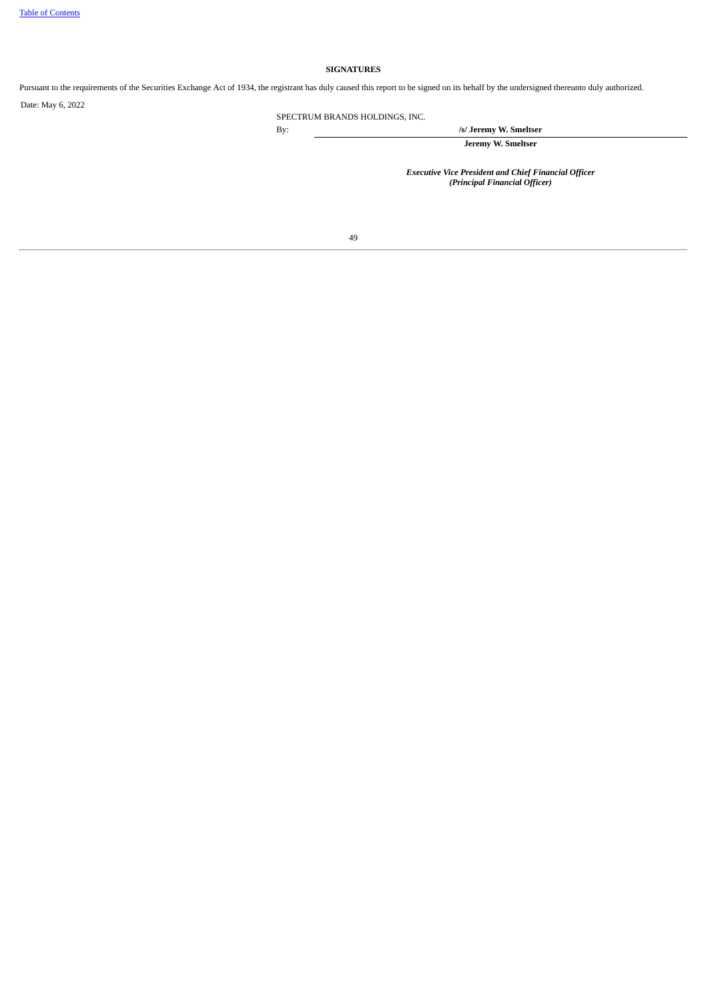# **SIGNATURES**

Pursuant to the requirements of the Securities Exchange Act of 1934, the registrant has duly caused this report to be signed on its behalf by the undersigned thereunto duly authorized.

Date: May 6, 2022

# SPECTRUM BRANDS HOLDINGS, INC.

By: **/s/ Jeremy W. Smeltser**

**Jeremy W. Smeltser**

*Executive Vice President and Chief Financial Officer (Principal Financial Officer)*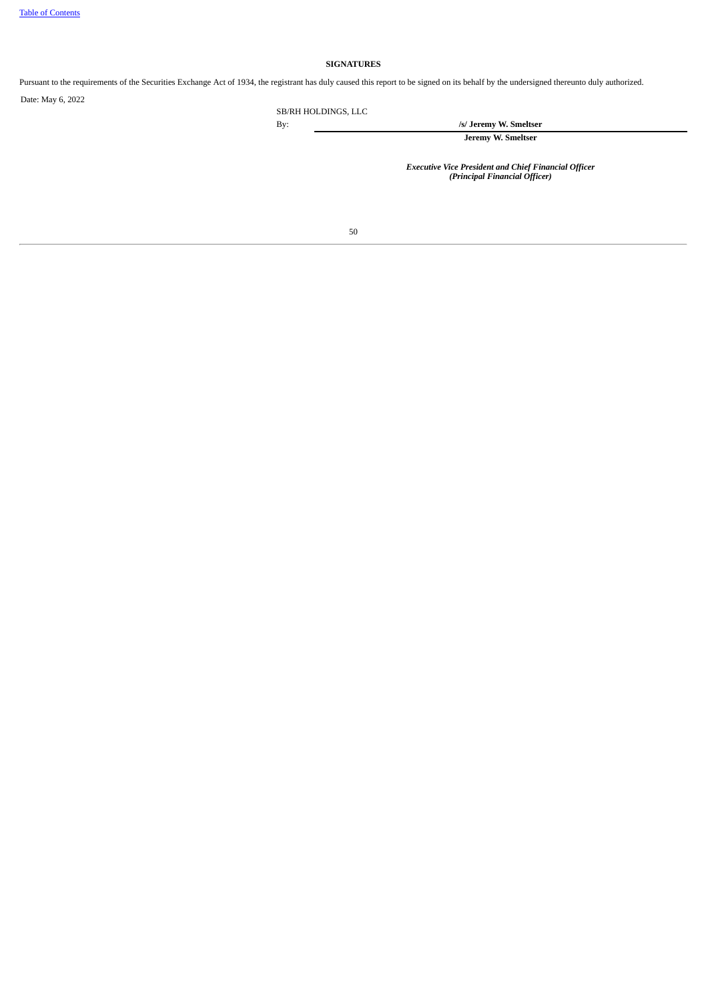# **SIGNATURES**

Pursuant to the requirements of the Securities Exchange Act of 1934, the registrant has duly caused this report to be signed on its behalf by the undersigned thereunto duly authorized.

Date: May 6, 2022

SB/RH HOLDINGS, LLC

By: **/s/ Jeremy W. Smeltser Jeremy W. Smeltser**

> *Executive Vice President and Chief Financial Officer (Principal Financial Officer)*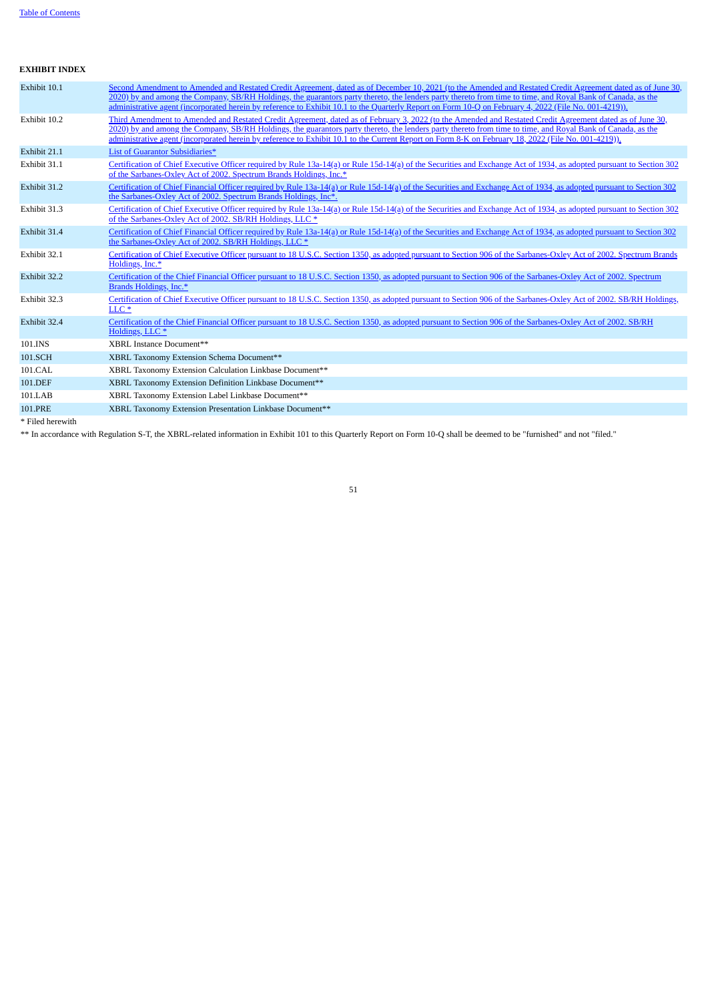# **EXHIBIT INDEX**

| Exhibit 10.1            | Second Amendment to Amended and Restated Credit Agreement, dated as of December 10, 2021 (to the Amended and Restated Credit Agreement dated as of June 30,<br>2020) by and among the Company, SB/RH Holdings, the guarantors party thereto, the lenders party thereto from time to time, and Royal Bank of Canada, as the<br>administrative agent (incorporated herein by reference to Exhibit 10.1 to the Quarterly Report on Form 10-Q on February 4, 2022 (File No. 001-4219)). |
|-------------------------|-------------------------------------------------------------------------------------------------------------------------------------------------------------------------------------------------------------------------------------------------------------------------------------------------------------------------------------------------------------------------------------------------------------------------------------------------------------------------------------|
| Exhibit 10.2            | Third Amendment to Amended and Restated Credit Agreement, dated as of February 3, 2022 (to the Amended and Restated Credit Agreement dated as of June 30,<br>2020) by and among the Company, SB/RH Holdings, the guarantors party thereto, the lenders party thereto from time to time, and Royal Bank of Canada, as the<br>administrative agent (incorporated herein by reference to Exhibit 10.1 to the Current Report on Form 8-K on February 18, 2022 (File No. 001-4219)).     |
| Exhibit 21.1            | List of Guarantor Subsidiaries*                                                                                                                                                                                                                                                                                                                                                                                                                                                     |
| Exhibit 31.1            | Certification of Chief Executive Officer required by Rule 13a-14(a) or Rule 15d-14(a) of the Securities and Exchange Act of 1934, as adopted pursuant to Section 302<br>of the Sarbanes-Oxley Act of 2002. Spectrum Brands Holdings, Inc.*                                                                                                                                                                                                                                          |
| Exhibit 31.2            | Certification of Chief Financial Officer required by Rule 13a-14(a) or Rule 15d-14(a) of the Securities and Exchange Act of 1934, as adopted pursuant to Section 302<br>the Sarbanes-Oxley Act of 2002. Spectrum Brands Holdings, Inc*.                                                                                                                                                                                                                                             |
| Exhibit 31.3            | Certification of Chief Executive Officer required by Rule 13a-14(a) or Rule 15d-14(a) of the Securities and Exchange Act of 1934, as adopted pursuant to Section 302<br>of the Sarbanes-Oxley Act of 2002. SB/RH Holdings, LLC *                                                                                                                                                                                                                                                    |
| Exhibit 31.4            | Certification of Chief Financial Officer required by Rule 13a-14(a) or Rule 15d-14(a) of the Securities and Exchange Act of 1934, as adopted pursuant to Section 302<br>the Sarbanes-Oxley Act of 2002. SB/RH Holdings, LLC *                                                                                                                                                                                                                                                       |
| Exhibit 32.1            | Certification of Chief Executive Officer pursuant to 18 U.S.C. Section 1350, as adopted pursuant to Section 906 of the Sarbanes-Oxley Act of 2002. Spectrum Brands<br>Holdings, Inc.*                                                                                                                                                                                                                                                                                               |
| Exhibit 32.2            | Certification of the Chief Financial Officer pursuant to 18 U.S.C. Section 1350, as adopted pursuant to Section 906 of the Sarbanes-Oxley Act of 2002. Spectrum<br>Brands Holdings, Inc.*                                                                                                                                                                                                                                                                                           |
| Exhibit 32.3            | Certification of Chief Executive Officer pursuant to 18 U.S.C. Section 1350, as adopted pursuant to Section 906 of the Sarbanes-Oxley Act of 2002. SB/RH Holdings,<br>$LLC*$                                                                                                                                                                                                                                                                                                        |
| Exhibit 32.4            | Certification of the Chief Financial Officer pursuant to 18 U.S.C. Section 1350, as adopted pursuant to Section 906 of the Sarbanes-Oxley Act of 2002. SB/RH<br>Holdings, LLC <sup>*</sup>                                                                                                                                                                                                                                                                                          |
| 101.INS                 | XBRL Instance Document**                                                                                                                                                                                                                                                                                                                                                                                                                                                            |
| 101.SCH                 | XBRL Taxonomy Extension Schema Document**                                                                                                                                                                                                                                                                                                                                                                                                                                           |
| 101.CAL                 | XBRL Taxonomy Extension Calculation Linkbase Document**                                                                                                                                                                                                                                                                                                                                                                                                                             |
| 101.DEF                 | XBRL Taxonomy Extension Definition Linkbase Document**                                                                                                                                                                                                                                                                                                                                                                                                                              |
| 101.LAB                 | XBRL Taxonomy Extension Label Linkbase Document**                                                                                                                                                                                                                                                                                                                                                                                                                                   |
| 101.PRE                 | XBRL Taxonomy Extension Presentation Linkbase Document**                                                                                                                                                                                                                                                                                                                                                                                                                            |
| $+ 0.021 - 0.11 - 0.01$ |                                                                                                                                                                                                                                                                                                                                                                                                                                                                                     |

 $\hspace{0.1mm}^*$  Filed here<br>with

\*\* In accordance with Regulation S-T, the XBRL-related information in Exhibit 101 to this Quarterly Report on Form 10-Q shall be deemed to be "furnished" and not "filed."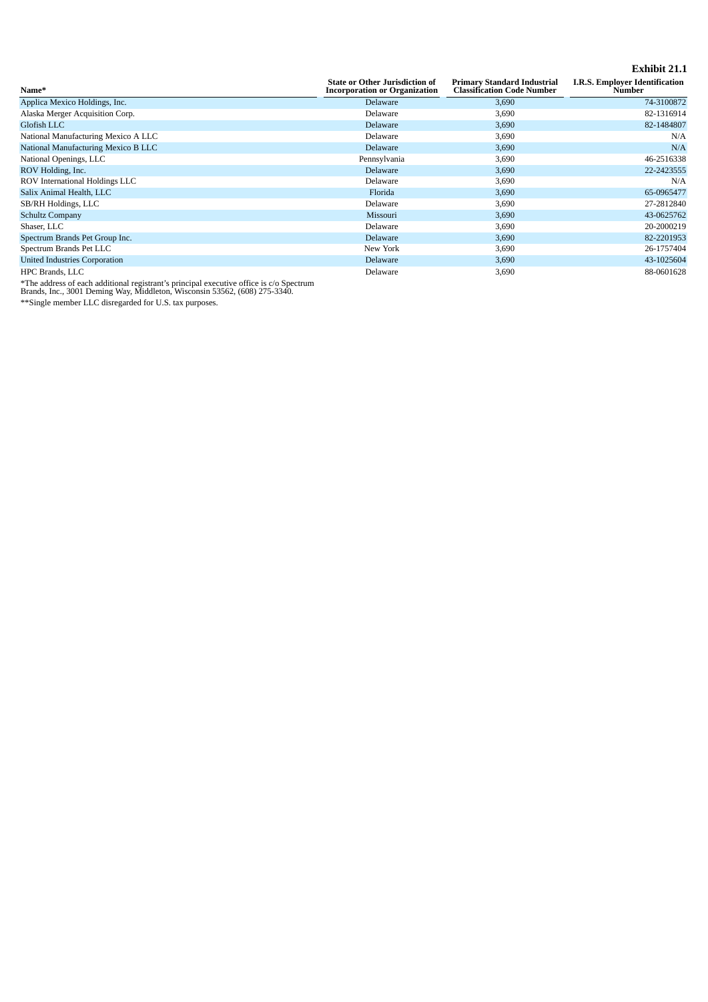# **Exhibit 21.1**

<span id="page-55-0"></span>

| Name*                                | State or Other Jurisdiction of<br><b>Incorporation or Organization</b> | <b>Primary Standard Industrial</b><br><b>Classification Code Number</b> | I.R.S. Employer Identification<br>Number |
|--------------------------------------|------------------------------------------------------------------------|-------------------------------------------------------------------------|------------------------------------------|
| Applica Mexico Holdings, Inc.        | Delaware                                                               | 3,690                                                                   | 74-3100872                               |
| Alaska Merger Acquisition Corp.      | Delaware                                                               | 3,690                                                                   | 82-1316914                               |
| Glofish LLC                          | Delaware                                                               | 3,690                                                                   | 82-1484807                               |
| National Manufacturing Mexico A LLC  | Delaware                                                               | 3,690                                                                   | N/A                                      |
| National Manufacturing Mexico B LLC  | Delaware                                                               | 3,690                                                                   | N/A                                      |
| National Openings, LLC               | Pennsylvania                                                           | 3,690                                                                   | 46-2516338                               |
| ROV Holding, Inc.                    | Delaware                                                               | 3,690                                                                   | 22-2423555                               |
| ROV International Holdings LLC       | Delaware                                                               | 3,690                                                                   | N/A                                      |
| Salix Animal Health, LLC             | Florida                                                                | 3,690                                                                   | 65-0965477                               |
| <b>SB/RH Holdings, LLC</b>           | Delaware                                                               | 3,690                                                                   | 27-2812840                               |
| <b>Schultz Company</b>               | Missouri                                                               | 3,690                                                                   | 43-0625762                               |
| Shaser, LLC                          | Delaware                                                               | 3,690                                                                   | 20-2000219                               |
| Spectrum Brands Pet Group Inc.       | Delaware                                                               | 3,690                                                                   | 82-2201953                               |
| Spectrum Brands Pet LLC              | New York                                                               | 3,690                                                                   | 26-1757404                               |
| <b>United Industries Corporation</b> | Delaware                                                               | 3,690                                                                   | 43-1025604                               |
| HPC Brands, LLC                      | Delaware                                                               | 3,690                                                                   | 88-0601628                               |

\*The address of each additional registrant's principal executive office is c/o Spectrum Brands, Inc., 3001 Deming Way, Middleton, Wisconsin 53562, (608) 275-3340.

\*\*Single member LLC disregarded for U.S. tax purposes.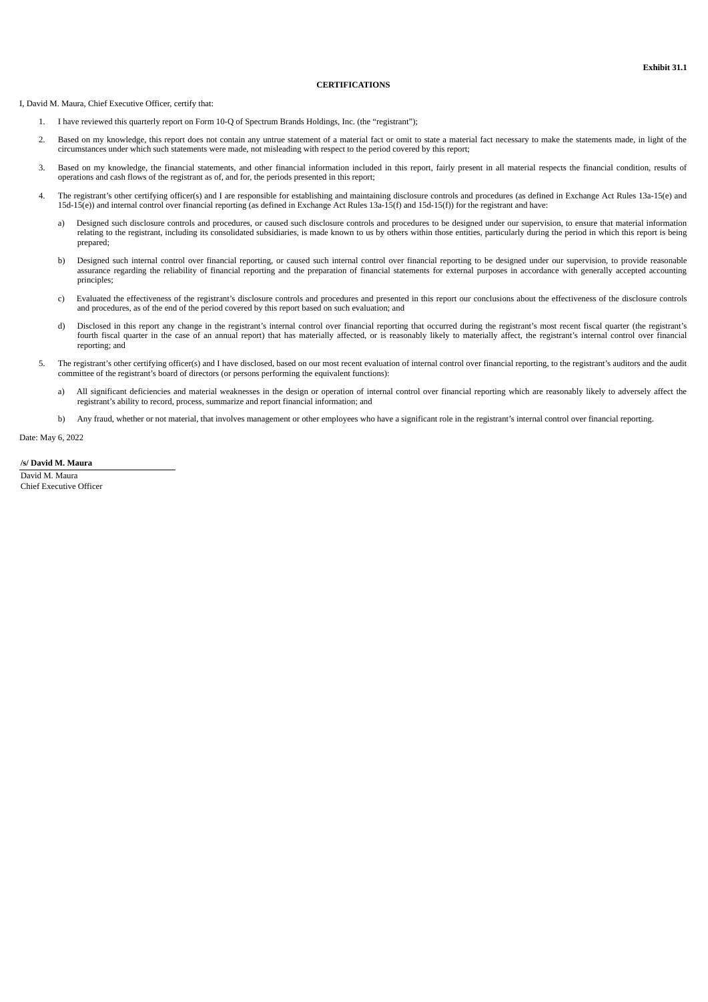<span id="page-56-0"></span>I, David M. Maura, Chief Executive Officer, certify that:

- 1. I have reviewed this quarterly report on Form 10-Q of Spectrum Brands Holdings, Inc. (the "registrant");
- 2. Based on my knowledge, this report does not contain any untrue statement of a material fact or omit to state a material fact necessary to make the statements made, in light of the circumstances under which such statements were made, not misleading with respect to the period covered by this report;
- 3. Based on my knowledge, the financial statements, and other financial information included in this report, fairly present in all material respects the financial condition, results of operations and cash flows of the registrant as of, and for, the periods presented in this report;
- 4. The registrant's other certifying officer(s) and I are responsible for establishing and maintaining disclosure controls and procedures (as defined in Exchange Act Rules 13a-15(e) and 15d-15(e)) and internal control over financial reporting (as defined in Exchange Act Rules 13a-15(f) and 15d-15(f)) for the registrant and have:
	- Designed such disclosure controls and procedures, or caused such disclosure controls and procedures to be designed under our supervision, to ensure that material information relating to the registrant, including its consolidated subsidiaries, is made known to us by others within those entities, particularly during the period in which this report is being prepared;
	- b) Designed such internal control over financial reporting, or caused such internal control over financial reporting to be designed under our supervision, to provide reasonable assurance regarding the reliability of financial reporting and the preparation of financial statements for external purposes in accordance with generally accepted accounting principles;
	- c) Evaluated the effectiveness of the registrant's disclosure controls and procedures and presented in this report our conclusions about the effectiveness of the disclosure controls and procedures, as of the end of the period covered by this report based on such evaluation; and
	- d) Disclosed in this report any change in the registrant's internal control over financial reporting that occurred during the registrant's most recent fiscal quarter (the registrant's fourth fiscal quarter in the case of an annual report) that has materially affected, or is reasonably likely to materially affect, the registrant's internal control over financial reporting; and
- 5. The registrant's other certifying officer(s) and I have disclosed, based on our most recent evaluation of internal control over financial reporting, to the registrant's auditors and the audit committee of the registrant's board of directors (or persons performing the equivalent functions):
	- a) All significant deficiencies and material weaknesses in the design or operation of internal control over financial reporting which are reasonably likely to adversely affect the registrant's ability to record, process, summarize and report financial information; and
	- b) Any fraud, whether or not material, that involves management or other employees who have a significant role in the registrant's internal control over financial reporting.

Date: May 6, 2022

**/s/ David M. Maura** David M. Maura Chief Executive Officer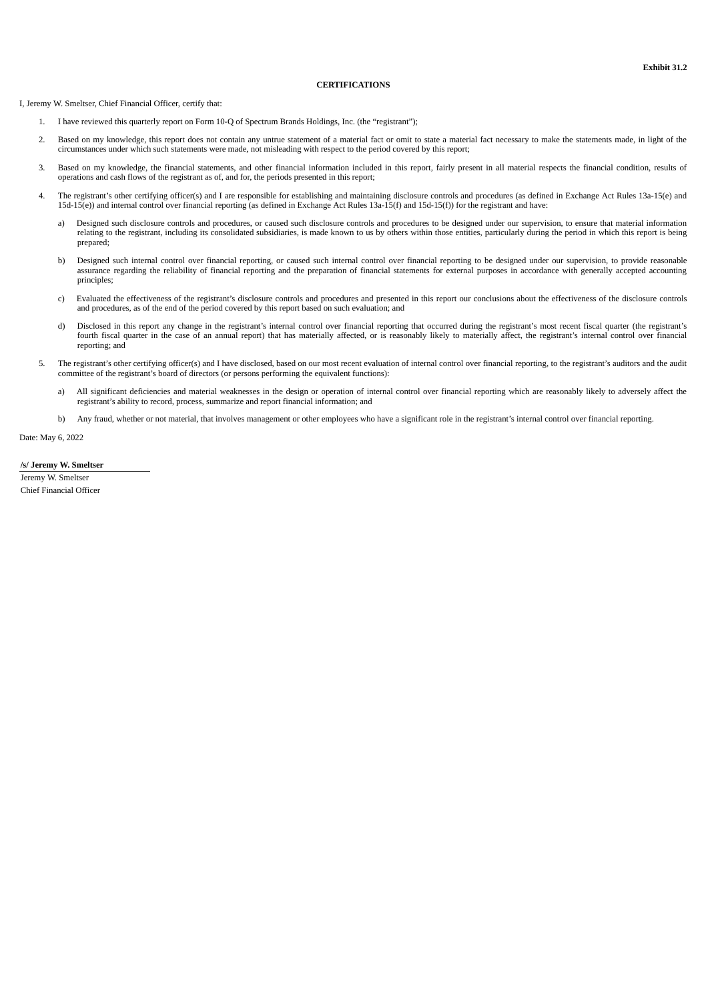<span id="page-57-0"></span>I, Jeremy W. Smeltser, Chief Financial Officer, certify that:

- 1. I have reviewed this quarterly report on Form 10-Q of Spectrum Brands Holdings, Inc. (the "registrant");
- 2. Based on my knowledge, this report does not contain any untrue statement of a material fact or omit to state a material fact necessary to make the statements made, in light of the circumstances under which such statements were made, not misleading with respect to the period covered by this report;
- 3. Based on my knowledge, the financial statements, and other financial information included in this report, fairly present in all material respects the financial condition, results of operations and cash flows of the registrant as of, and for, the periods presented in this report;
- 4. The registrant's other certifying officer(s) and I are responsible for establishing and maintaining disclosure controls and procedures (as defined in Exchange Act Rules 13a-15(e) and 15d-15(e)) and internal control over financial reporting (as defined in Exchange Act Rules 13a-15(f) and 15d-15(f)) for the registrant and have:
	- Designed such disclosure controls and procedures, or caused such disclosure controls and procedures to be designed under our supervision, to ensure that material information relating to the registrant, including its consolidated subsidiaries, is made known to us by others within those entities, particularly during the period in which this report is being prepared;
	- b) Designed such internal control over financial reporting, or caused such internal control over financial reporting to be designed under our supervision, to provide reasonable assurance regarding the reliability of financial reporting and the preparation of financial statements for external purposes in accordance with generally accepted accounting principles;
	- c) Evaluated the effectiveness of the registrant's disclosure controls and procedures and presented in this report our conclusions about the effectiveness of the disclosure controls and procedures, as of the end of the period covered by this report based on such evaluation; and
	- d) Disclosed in this report any change in the registrant's internal control over financial reporting that occurred during the registrant's most recent fiscal quarter (the registrant's fourth fiscal quarter in the case of an annual report) that has materially affected, or is reasonably likely to materially affect, the registrant's internal control over financial reporting; and
- 5. The registrant's other certifying officer(s) and I have disclosed, based on our most recent evaluation of internal control over financial reporting, to the registrant's auditors and the audit committee of the registrant's board of directors (or persons performing the equivalent functions):
	- a) All significant deficiencies and material weaknesses in the design or operation of internal control over financial reporting which are reasonably likely to adversely affect the registrant's ability to record, process, summarize and report financial information; and
	- b) Any fraud, whether or not material, that involves management or other employees who have a significant role in the registrant's internal control over financial reporting.

Date: May 6, 2022

# **/s/ Jeremy W. Smeltser**

Jeremy W. Smeltser

Chief Financial Officer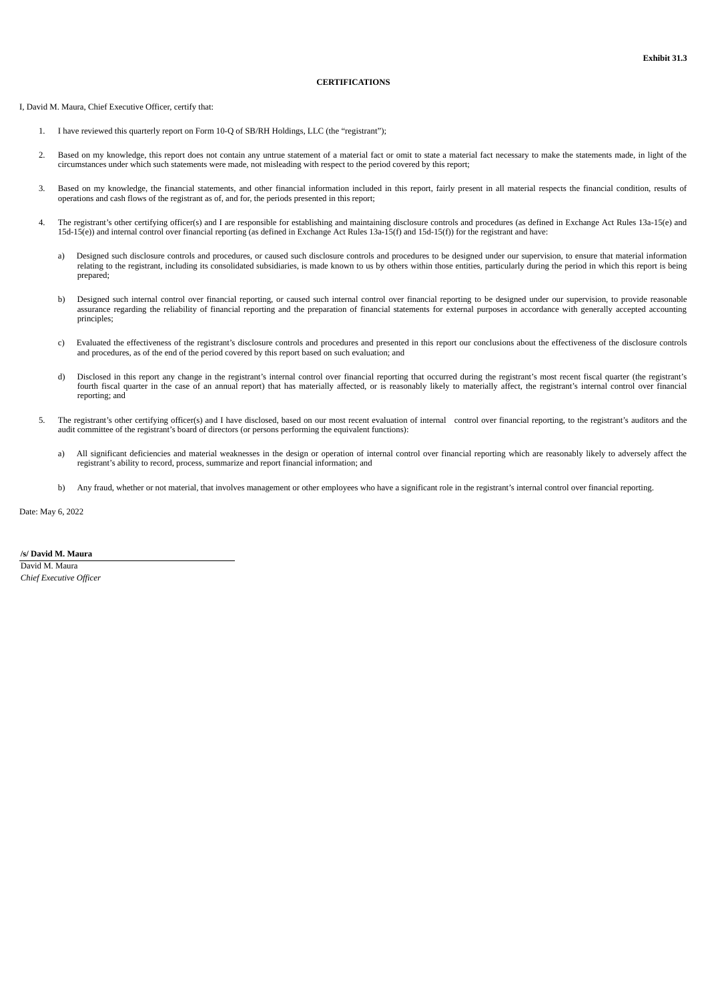<span id="page-58-0"></span>I, David M. Maura, Chief Executive Officer, certify that:

- 1. I have reviewed this quarterly report on Form 10-Q of SB/RH Holdings, LLC (the "registrant");
- 2. Based on my knowledge, this report does not contain any untrue statement of a material fact or omit to state a material fact necessary to make the statements made, in light of the circumstances under which such statements were made, not misleading with respect to the period covered by this report;
- 3. Based on my knowledge, the financial statements, and other financial information included in this report, fairly present in all material respects the financial condition, results of operations and cash flows of the registrant as of, and for, the periods presented in this report;
- 4. The registrant's other certifying officer(s) and I are responsible for establishing and maintaining disclosure controls and procedures (as defined in Exchange Act Rules 13a-15(e) and 15d-15(e)) and internal control over financial reporting (as defined in Exchange Act Rules 13a-15(f) and 15d-15(f)) for the registrant and have:
	- a) Designed such disclosure controls and procedures, or caused such disclosure controls and procedures to be designed under our supervision, to ensure that material information relating to the registrant, including its consolidated subsidiaries, is made known to us by others within those entities, particularly during the period in which this report is being prepared;
	- b) Designed such internal control over financial reporting, or caused such internal control over financial reporting to be designed under our supervision, to provide reasonable assurance regarding the reliability of financial reporting and the preparation of financial statements for external purposes in accordance with generally accepted accounting principles;
	- c) Evaluated the effectiveness of the registrant's disclosure controls and procedures and presented in this report our conclusions about the effectiveness of the disclosure controls and procedures, as of the end of the period covered by this report based on such evaluation; and
	- d) Disclosed in this report any change in the registrant's internal control over financial reporting that occurred during the registrant's most recent fiscal quarter (the registrant's fourth fiscal quarter in the case of an annual report) that has materially affected, or is reasonably likely to materially affect, the registrant's internal control over financial reporting; and
- 5. The registrant's other certifying officer(s) and I have disclosed, based on our most recent evaluation of internal control over financial reporting, to the registrant's auditors and the audit committee of the registrant's board of directors (or persons performing the equivalent functions):
	- a) All significant deficiencies and material weaknesses in the design or operation of internal control over financial reporting which are reasonably likely to adversely affect the registrant's ability to record, process, summarize and report financial information; and
	- b) Any fraud, whether or not material, that involves management or other employees who have a significant role in the registrant's internal control over financial reporting.

Date: May 6, 2022

**/s/ David M. Maura**

David M. Maura *Chief Executive Officer*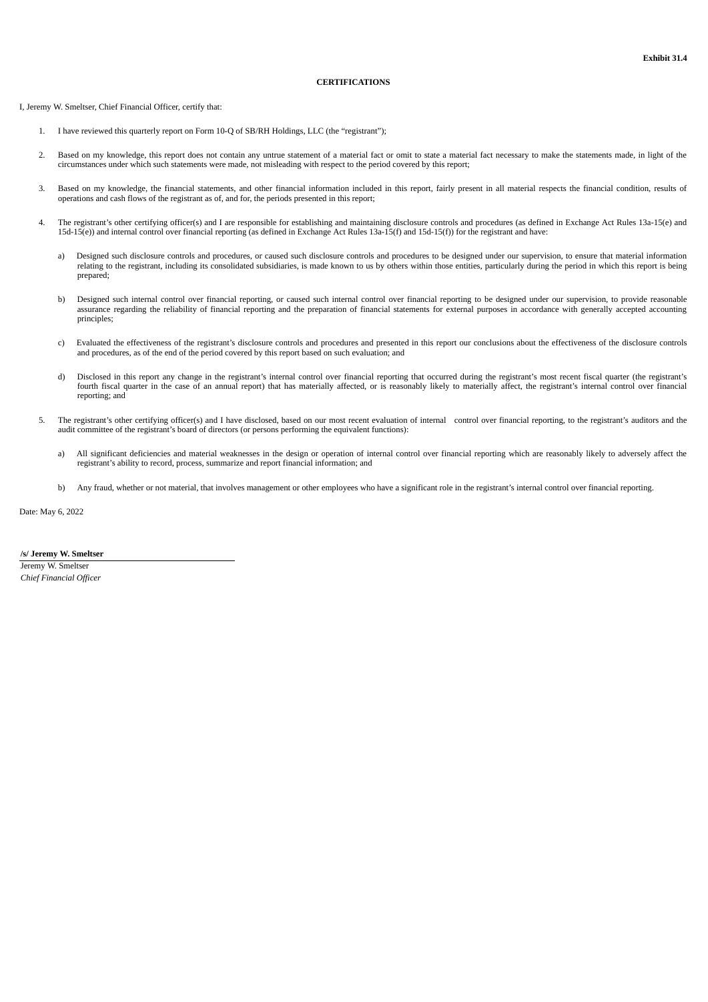<span id="page-59-0"></span>I, Jeremy W. Smeltser, Chief Financial Officer, certify that:

- 1. I have reviewed this quarterly report on Form 10-Q of SB/RH Holdings, LLC (the "registrant");
- 2. Based on my knowledge, this report does not contain any untrue statement of a material fact or omit to state a material fact necessary to make the statements made, in light of the circumstances under which such statements were made, not misleading with respect to the period covered by this report;
- 3. Based on my knowledge, the financial statements, and other financial information included in this report, fairly present in all material respects the financial condition, results of operations and cash flows of the registrant as of, and for, the periods presented in this report;
- 4. The registrant's other certifying officer(s) and I are responsible for establishing and maintaining disclosure controls and procedures (as defined in Exchange Act Rules 13a-15(e) and 15d-15(e)) and internal control over financial reporting (as defined in Exchange Act Rules 13a-15(f) and 15d-15(f)) for the registrant and have:
	- a) Designed such disclosure controls and procedures, or caused such disclosure controls and procedures to be designed under our supervision, to ensure that material information relating to the registrant, including its consolidated subsidiaries, is made known to us by others within those entities, particularly during the period in which this report is being prepared;
	- b) Designed such internal control over financial reporting, or caused such internal control over financial reporting to be designed under our supervision, to provide reasonable assurance regarding the reliability of financial reporting and the preparation of financial statements for external purposes in accordance with generally accepted accounting principles;
	- c) Evaluated the effectiveness of the registrant's disclosure controls and procedures and presented in this report our conclusions about the effectiveness of the disclosure controls and procedures, as of the end of the period covered by this report based on such evaluation; and
	- d) Disclosed in this report any change in the registrant's internal control over financial reporting that occurred during the registrant's most recent fiscal quarter (the registrant's fourth fiscal quarter in the case of an annual report) that has materially affected, or is reasonably likely to materially affect, the registrant's internal control over financial reporting; and
- 5. The registrant's other certifying officer(s) and I have disclosed, based on our most recent evaluation of internal control over financial reporting, to the registrant's auditors and the audit committee of the registrant's board of directors (or persons performing the equivalent functions):
	- a) All significant deficiencies and material weaknesses in the design or operation of internal control over financial reporting which are reasonably likely to adversely affect the registrant's ability to record, process, summarize and report financial information; and
	- b) Any fraud, whether or not material, that involves management or other employees who have a significant role in the registrant's internal control over financial reporting.

Date: May 6, 2022

**/s/ Jeremy W. Smeltser**

Jeremy W. Smeltser *Chief Financial Officer*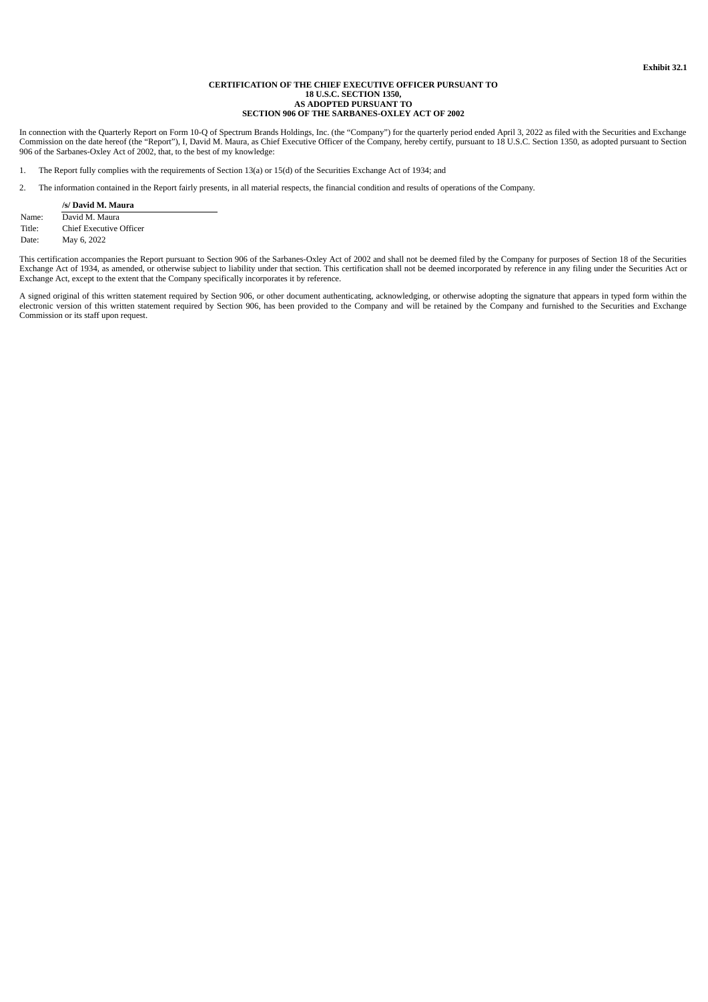## **CERTIFICATION OF THE CHIEF EXECUTIVE OFFICER PURSUANT TO 18 U.S.C. SECTION 1350, AS ADOPTED PURSUANT TO SECTION 906 OF THE SARBANES-OXLEY ACT OF 2002**

<span id="page-60-0"></span>In connection with the Quarterly Report on Form 10-Q of Spectrum Brands Holdings, Inc. (the "Company") for the quarterly period ended April 3, 2022 as filed with the Securities and Exchange Commission on the date hereof (the "Report"), I, David M. Maura, as Chief Executive Officer of the Company, hereby certify, pursuant to 18 U.S.C. Section 1350, as adopted pursuant to Section 906 of the Sarbanes-Oxley Act of 2002, that, to the best of my knowledge:

1. The Report fully complies with the requirements of Section 13(a) or 15(d) of the Securities Exchange Act of 1934; and

2. The information contained in the Report fairly presents, in all material respects, the financial condition and results of operations of the Company.

|        | /s/ David M. Maura             |  |  |  |  |
|--------|--------------------------------|--|--|--|--|
| Name:  | David M. Maura                 |  |  |  |  |
| Title: | <b>Chief Executive Officer</b> |  |  |  |  |
| Date:  | May 6, 2022                    |  |  |  |  |

This certification accompanies the Report pursuant to Section 906 of the Sarbanes-Oxley Act of 2002 and shall not be deemed filed by the Company for purposes of Section 18 of the Securities Exchange Act of 1934, as amended, or otherwise subject to liability under that section. This certification shall not be deemed incorporated by reference in any filing under the Securities Act or Exchange Act, except to the extent that the Company specifically incorporates it by reference.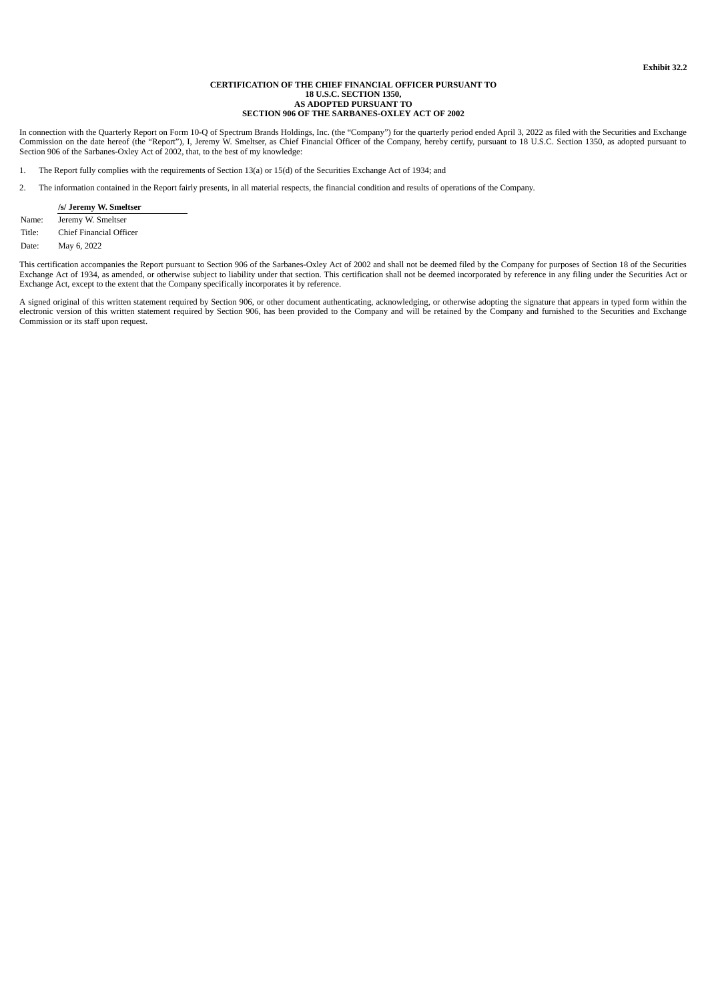# **CERTIFICATION OF THE CHIEF FINANCIAL OFFICER PURSUANT TO 18 U.S.C. SECTION 1350, AS ADOPTED PURSUANT TO SECTION 906 OF THE SARBANES-OXLEY ACT OF 2002**

<span id="page-61-0"></span>In connection with the Quarterly Report on Form 10-Q of Spectrum Brands Holdings, Inc. (the "Company") for the quarterly period ended April 3, 2022 as filed with the Securities and Exchange Commission on the date hereof (the "Report"), I, Jeremy W. Smeltser, as Chief Financial Officer of the Company, hereby certify, pursuant to 18 U.S.C. Section 1350, as adopted pursuant to Section 906 of the Sarbanes-Oxley Act of 2002, that, to the best of my knowledge:

- 1. The Report fully complies with the requirements of Section 13(a) or 15(d) of the Securities Exchange Act of 1934; and
- 2. The information contained in the Report fairly presents, in all material respects, the financial condition and results of operations of the Company.

|  |  | /s/ Jeremy W. Smeltser |  |
|--|--|------------------------|--|
|  |  |                        |  |

- Name: Jeremy W. Smeltser
- Title: Chief Financial Officer
- Date: May 6, 2022

This certification accompanies the Report pursuant to Section 906 of the Sarbanes-Oxley Act of 2002 and shall not be deemed filed by the Company for purposes of Section 18 of the Securities Exchange Act of 1934, as amended, or otherwise subject to liability under that section. This certification shall not be deemed incorporated by reference in any filing under the Securities Act or Exchange Act, except to the extent that the Company specifically incorporates it by reference.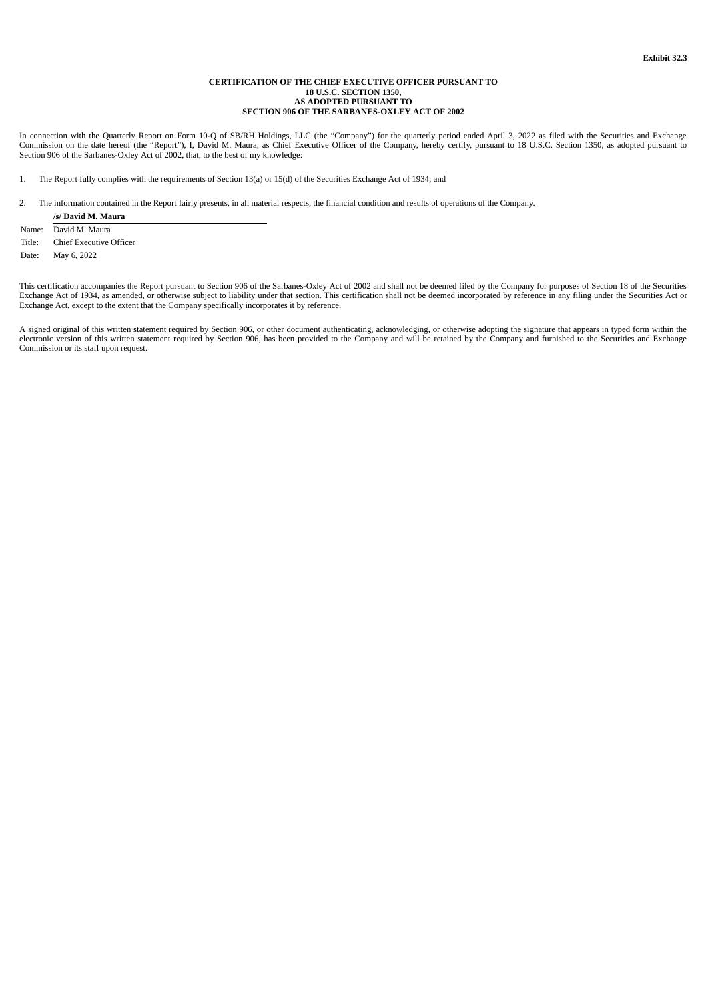#### **CERTIFICATION OF THE CHIEF EXECUTIVE OFFICER PURSUANT TO 18 U.S.C. SECTION 1350, AS ADOPTED PURSUANT TO SECTION 906 OF THE SARBANES-OXLEY ACT OF 2002**

<span id="page-62-0"></span>In connection with the Quarterly Report on Form 10-Q of SB/RH Holdings, LLC (the "Company") for the quarterly period ended April 3, 2022 as filed with the Securities and Exchange Commission on the date hereof (the "Report"), I, David M. Maura, as Chief Executive Officer of the Company, hereby certify, pursuant to 18 U.S.C. Section 1350, as adopted pursuant to Section 906 of the Sarbanes-Oxley Act of 2002, that, to the best of my knowledge:

1. The Report fully complies with the requirements of Section 13(a) or 15(d) of the Securities Exchange Act of 1934; and

2. The information contained in the Report fairly presents, in all material respects, the financial condition and results of operations of the Company.

# **/s/ David M. Maura**

Name: David M. Maura

Title: Chief Executive Officer

Date: May 6, 2022

This certification accompanies the Report pursuant to Section 906 of the Sarbanes-Oxley Act of 2002 and shall not be deemed filed by the Company for purposes of Section 18 of the Securities Exchange Act of 1934, as amended, or otherwise subject to liability under that section. This certification shall not be deemed incorporated by reference in any filing under the Securities Act or Exchange Act, except to the extent that the Company specifically incorporates it by reference.